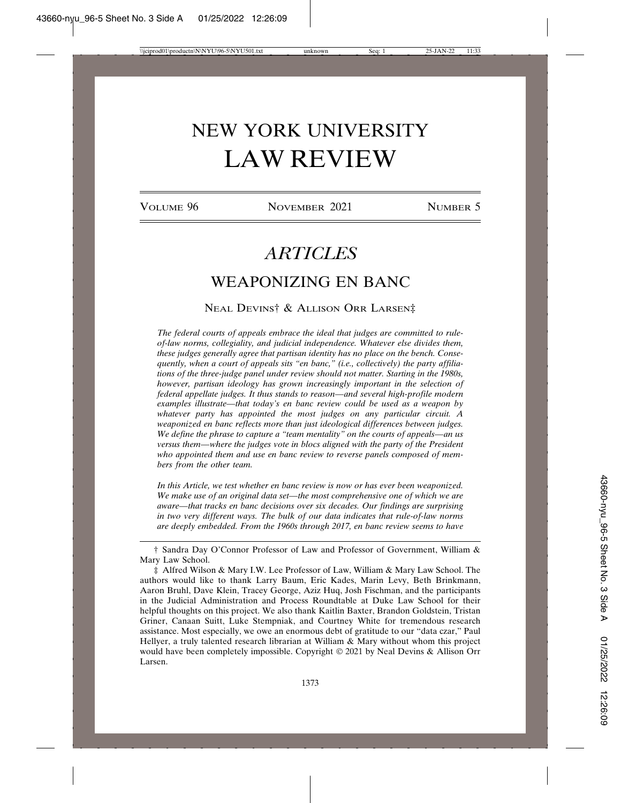# NEW YORK UNIVERSITY LAW REVIEW

VOLUME 96 NOVEMBER 2021 NUMBER 5

## *ARTICLES*

## WEAPONIZING EN BANC

#### NEAL DEVINS† & ALLISON ORR LARSEN‡

*The federal courts of appeals embrace the ideal that judges are committed to ruleof-law norms, collegiality, and judicial independence. Whatever else divides them, these judges generally agree that partisan identity has no place on the bench. Consequently, when a court of appeals sits "en banc," (i.e., collectively) the party affiliations of the three-judge panel under review should not matter. Starting in the 1980s, however, partisan ideology has grown increasingly important in the selection of federal appellate judges. It thus stands to reason—and several high-profile modern examples illustrate—that today's en banc review could be used as a weapon by whatever party has appointed the most judges on any particular circuit. A weaponized en banc reflects more than just ideological differences between judges. We define the phrase to capture a "team mentality" on the courts of appeals—an us versus them—where the judges vote in blocs aligned with the party of the President who appointed them and use en banc review to reverse panels composed of members from the other team.*

*In this Article, we test whether en banc review is now or has ever been weaponized. We make use of an original data set—the most comprehensive one of which we are aware—that tracks en banc decisions over six decades. Our findings are surprising in two very different ways. The bulk of our data indicates that rule-of-law norms are deeply embedded. From the 1960s through 2017, en banc review seems to have*

† Sandra Day O'Connor Professor of Law and Professor of Government, William & Mary Law School.

‡ Alfred Wilson & Mary I.W. Lee Professor of Law, William & Mary Law School. The authors would like to thank Larry Baum, Eric Kades, Marin Levy, Beth Brinkmann, Aaron Bruhl, Dave Klein, Tracey George, Aziz Huq, Josh Fischman, and the participants in the Judicial Administration and Process Roundtable at Duke Law School for their helpful thoughts on this project. We also thank Kaitlin Baxter, Brandon Goldstein, Tristan Griner, Canaan Suitt, Luke Stempniak, and Courtney White for tremendous research assistance. Most especially, we owe an enormous debt of gratitude to our "data czar," Paul Hellyer, a truly talented research librarian at William & Mary without whom this project would have been completely impossible. Copyright © 2021 by Neal Devins & Allison Orr Larsen.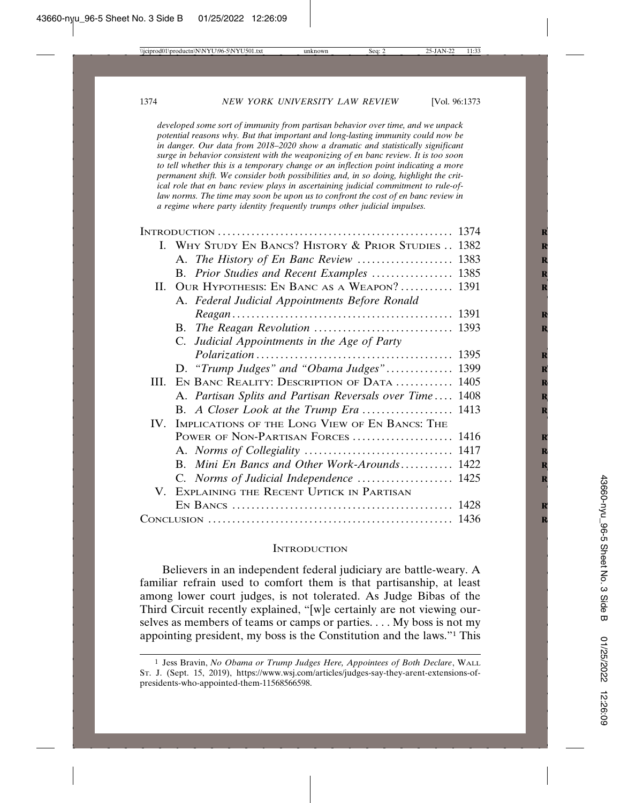*developed some sort of immunity from partisan behavior over time, and we unpack potential reasons why. But that important and long-lasting immunity could now be in danger. Our data from 2018–2020 show a dramatic and statistically significant surge in behavior consistent with the weaponizing of en banc review. It is too soon to tell whether this is a temporary change or an inflection point indicating a more permanent shift. We consider both possibilities and, in so doing, highlight the critical role that en banc review plays in ascertaining judicial commitment to rule-oflaw norms. The time may soon be upon us to confront the cost of en banc review in a regime where party identity frequently trumps other judicial impulses.*

|     | I. WHY STUDY EN BANCS? HISTORY & PRIOR STUDIES  1382     |  |
|-----|----------------------------------------------------------|--|
|     |                                                          |  |
|     | B. Prior Studies and Recent Examples  1385               |  |
| П.  | OUR HYPOTHESIS: EN BANC AS A WEAPON? 1391                |  |
|     | A. Federal Judicial Appointments Before Ronald           |  |
|     |                                                          |  |
|     |                                                          |  |
|     | C. Judicial Appointments in the Age of Party             |  |
|     |                                                          |  |
|     | D. "Trump Judges" and "Obama Judges" 1399                |  |
| HL. | EN BANC REALITY: DESCRIPTION OF DATA  1405               |  |
|     | A. Partisan Splits and Partisan Reversals over Time 1408 |  |
|     |                                                          |  |
| IV. | IMPLICATIONS OF THE LONG VIEW OF EN BANCS: THE           |  |
|     | POWER OF NON-PARTISAN FORCES  1416                       |  |
|     |                                                          |  |
|     | B. Mini En Bancs and Other Work-Arounds 1422             |  |
|     |                                                          |  |
|     | V. EXPLAINING THE RECENT UPTICK IN PARTISAN              |  |
|     |                                                          |  |
|     |                                                          |  |

#### **INTRODUCTION**

Believers in an independent federal judiciary are battle-weary. A familiar refrain used to comfort them is that partisanship, at least among lower court judges, is not tolerated. As Judge Bibas of the Third Circuit recently explained, "[w]e certainly are not viewing ourselves as members of teams or camps or parties. . . . My boss is not my appointing president, my boss is the Constitution and the laws."1 This

<sup>1</sup> Jess Bravin, *No Obama or Trump Judges Here, Appointees of Both Declare*, WALL ST. J. (Sept. 15, 2019), https://www.wsj.com/articles/judges-say-they-arent-extensions-ofpresidents-who-appointed-them-11568566598.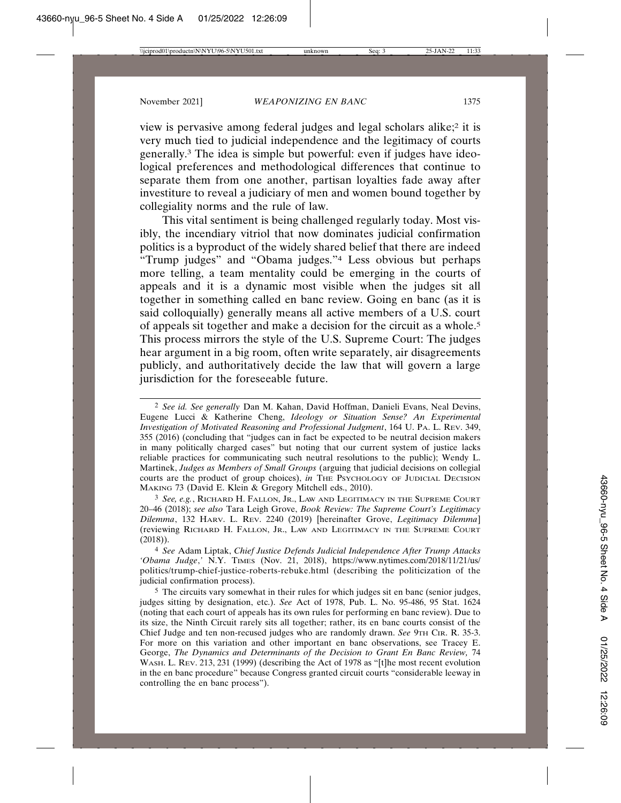view is pervasive among federal judges and legal scholars alike;2 it is very much tied to judicial independence and the legitimacy of courts generally.3 The idea is simple but powerful: even if judges have ideological preferences and methodological differences that continue to separate them from one another, partisan loyalties fade away after investiture to reveal a judiciary of men and women bound together by collegiality norms and the rule of law.

This vital sentiment is being challenged regularly today. Most visibly, the incendiary vitriol that now dominates judicial confirmation politics is a byproduct of the widely shared belief that there are indeed "Trump judges" and "Obama judges."4 Less obvious but perhaps more telling, a team mentality could be emerging in the courts of appeals and it is a dynamic most visible when the judges sit all together in something called en banc review. Going en banc (as it is said colloquially) generally means all active members of a U.S. court of appeals sit together and make a decision for the circuit as a whole.5 This process mirrors the style of the U.S. Supreme Court: The judges hear argument in a big room, often write separately, air disagreements publicly, and authoritatively decide the law that will govern a large jurisdiction for the foreseeable future.

3 *See, e.g.*, RICHARD H. FALLON, JR., LAW AND LEGITIMACY IN THE SUPREME COURT 20–46 (2018); *see also* Tara Leigh Grove, *Book Review: The Supreme Court's Legitimacy Dilemma*, 132 HARV. L. REV. 2240 (2019) [hereinafter Grove, *Legitimacy Dilemma*] (reviewing RICHARD H. FALLON, JR., LAW AND LEGITIMACY IN THE SUPREME COURT (2018)).

4 *See* Adam Liptak, *Chief Justice Defends Judicial Independence After Trump Attacks 'Obama Judge*,*'* N.Y. TIMES (Nov. 21, 2018), https://www.nytimes.com/2018/11/21/us/ politics/trump-chief-justice-roberts-rebuke.html (describing the politicization of the judicial confirmation process).

5 The circuits vary somewhat in their rules for which judges sit en banc (senior judges, judges sitting by designation, etc.). *See* Act of 1978, Pub. L. No. 95-486, 95 Stat. 1624 (noting that each court of appeals has its own rules for performing en banc review). Due to its size, the Ninth Circuit rarely sits all together; rather, its en banc courts consist of the Chief Judge and ten non-recused judges who are randomly drawn. *See* 9TH CIR. R. 35-3. For more on this variation and other important en banc observations, see Tracey E. George, *The Dynamics and Determinants of the Decision to Grant En Banc Review,* 74 WASH. L. REV. 213, 231 (1999) (describing the Act of 1978 as "[t]he most recent evolution in the en banc procedure" because Congress granted circuit courts "considerable leeway in controlling the en banc process").

<sup>2</sup> *See id. See generally* Dan M. Kahan, David Hoffman, Danieli Evans, Neal Devins, Eugene Lucci & Katherine Cheng, *Ideology or Situation Sense? An Experimental Investigation of Motivated Reasoning and Professional Judgment*, 164 U. PA. L. REV. 349, 355 (2016) (concluding that "judges can in fact be expected to be neutral decision makers in many politically charged cases" but noting that our current system of justice lacks reliable practices for communicating such neutral resolutions to the public); Wendy L. Martinek, *Judges as Members of Small Groups* (arguing that judicial decisions on collegial courts are the product of group choices), in THE PSYCHOLOGY OF JUDICIAL DECISION MAKING 73 (David E. Klein & Gregory Mitchell eds., 2010).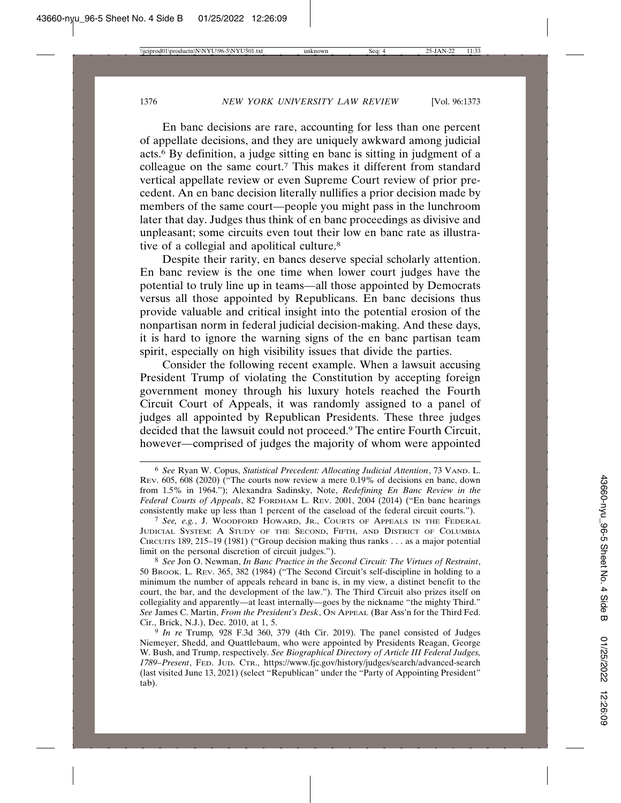En banc decisions are rare, accounting for less than one percent of appellate decisions, and they are uniquely awkward among judicial acts.6 By definition, a judge sitting en banc is sitting in judgment of a colleague on the same court.7 This makes it different from standard vertical appellate review or even Supreme Court review of prior precedent. An en banc decision literally nullifies a prior decision made by members of the same court—people you might pass in the lunchroom later that day. Judges thus think of en banc proceedings as divisive and unpleasant; some circuits even tout their low en banc rate as illustrative of a collegial and apolitical culture.8

Despite their rarity, en bancs deserve special scholarly attention. En banc review is the one time when lower court judges have the potential to truly line up in teams—all those appointed by Democrats versus all those appointed by Republicans. En banc decisions thus provide valuable and critical insight into the potential erosion of the nonpartisan norm in federal judicial decision-making. And these days, it is hard to ignore the warning signs of the en banc partisan team spirit, especially on high visibility issues that divide the parties.

Consider the following recent example. When a lawsuit accusing President Trump of violating the Constitution by accepting foreign government money through his luxury hotels reached the Fourth Circuit Court of Appeals, it was randomly assigned to a panel of judges all appointed by Republican Presidents. These three judges decided that the lawsuit could not proceed.9 The entire Fourth Circuit, however—comprised of judges the majority of whom were appointed

<sup>6</sup> *See* Ryan W. Copus, *Statistical Precedent: Allocating Judicial Attention*, 73 VAND. L. REV. 605, 608 (2020) ("The courts now review a mere 0.19% of decisions en banc, down from 1.5% in 1964."); Alexandra Sadinsky, Note, *Redefining En Banc Review in the Federal Courts of Appeals*, 82 FORDHAM L. REV. 2001, 2004 (2014) ("En banc hearings consistently make up less than 1 percent of the caseload of the federal circuit courts.").

<sup>7</sup> *See, e.g.*, J. WOODFORD HOWARD, JR., COURTS OF APPEALS IN THE FEDERAL JUDICIAL SYSTEM: A STUDY OF THE SECOND, FIFTH, AND DISTRICT OF COLUMBIA CIRCUITS 189, 215–19 (1981) ("Group decision making thus ranks . . . as a major potential limit on the personal discretion of circuit judges.").

<sup>8</sup> *See* Jon O. Newman, *In Banc Practice in the Second Circuit: The Virtues of Restraint*, 50 BROOK. L. REV. 365, 382 (1984) ("The Second Circuit's self-discipline in holding to a minimum the number of appeals reheard in banc is, in my view, a distinct benefit to the court, the bar, and the development of the law."). The Third Circuit also prizes itself on collegiality and apparently—at least internally—goes by the nickname "the mighty Third." *See* James C. Martin, *From the President's Desk*, ON APPEAL (Bar Ass'n for the Third Fed. Cir., Brick, N.J.), Dec. 2010, at 1, 5.

<sup>9</sup> *In re* Trump*,* 928 F.3d 360, 379 (4th Cir. 2019). The panel consisted of Judges Niemeyer, Shedd, and Quattlebaum, who were appointed by Presidents Reagan, George W. Bush, and Trump, respectively. *See Biographical Directory of Article III Federal Judges, 1789–Present*, FED. JUD. CTR., https://www.fjc.gov/history/judges/search/advanced-search (last visited June 13, 2021) (select "Republican" under the "Party of Appointing President" tab).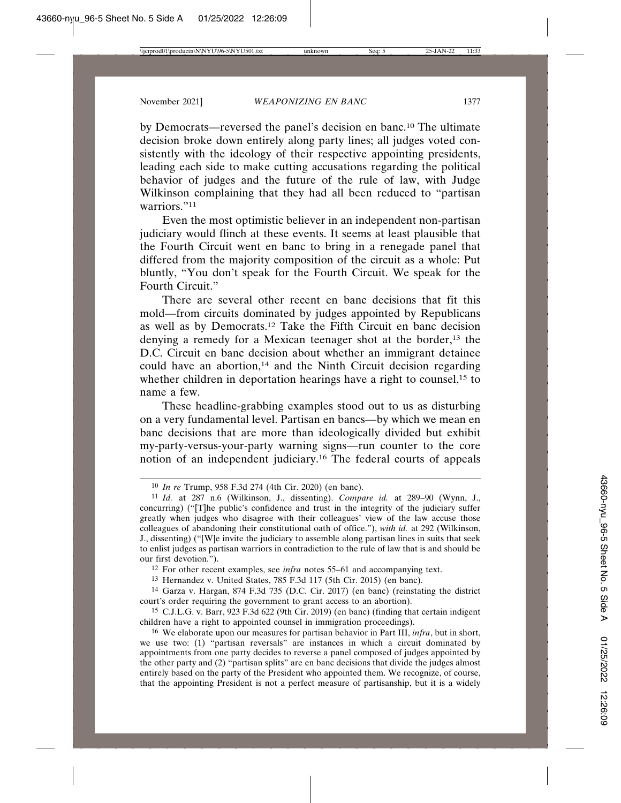by Democrats—reversed the panel's decision en banc.10 The ultimate decision broke down entirely along party lines; all judges voted consistently with the ideology of their respective appointing presidents, leading each side to make cutting accusations regarding the political behavior of judges and the future of the rule of law, with Judge Wilkinson complaining that they had all been reduced to "partisan warriors."11

Even the most optimistic believer in an independent non-partisan judiciary would flinch at these events. It seems at least plausible that the Fourth Circuit went en banc to bring in a renegade panel that differed from the majority composition of the circuit as a whole: Put bluntly, "You don't speak for the Fourth Circuit. We speak for the Fourth Circuit."

There are several other recent en banc decisions that fit this mold—from circuits dominated by judges appointed by Republicans as well as by Democrats.12 Take the Fifth Circuit en banc decision denying a remedy for a Mexican teenager shot at the border,<sup>13</sup> the D.C. Circuit en banc decision about whether an immigrant detainee could have an abortion, $14$  and the Ninth Circuit decision regarding whether children in deportation hearings have a right to counsel,<sup>15</sup> to name a few.

These headline-grabbing examples stood out to us as disturbing on a very fundamental level. Partisan en bancs—by which we mean en banc decisions that are more than ideologically divided but exhibit my-party-versus-your-party warning signs—run counter to the core notion of an independent judiciary.16 The federal courts of appeals

12 For other recent examples, see *infra* notes 55–61 and accompanying text.

13 Hernandez v. United States, 785 F.3d 117 (5th Cir. 2015) (en banc).

14 Garza v. Hargan, 874 F.3d 735 (D.C. Cir. 2017) (en banc) (reinstating the district court's order requiring the government to grant access to an abortion).

15 C.J.L.G. v. Barr, 923 F.3d 622 (9th Cir. 2019) (en banc) (finding that certain indigent children have a right to appointed counsel in immigration proceedings).

<sup>10</sup> *In re* Trump, 958 F.3d 274 (4th Cir. 2020) (en banc).

<sup>11</sup> *Id.* at 287 n.6 (Wilkinson, J., dissenting). *Compare id.* at 289–90 (Wynn, J., concurring) ("[T]he public's confidence and trust in the integrity of the judiciary suffer greatly when judges who disagree with their colleagues' view of the law accuse those colleagues of abandoning their constitutional oath of office."), *with id.* at 292 (Wilkinson, J., dissenting) ("[W]e invite the judiciary to assemble along partisan lines in suits that seek to enlist judges as partisan warriors in contradiction to the rule of law that is and should be our first devotion.").

<sup>16</sup> We elaborate upon our measures for partisan behavior in Part III, *infra*, but in short, we use two: (1) "partisan reversals" are instances in which a circuit dominated by appointments from one party decides to reverse a panel composed of judges appointed by the other party and (2) "partisan splits" are en banc decisions that divide the judges almost entirely based on the party of the President who appointed them. We recognize, of course, that the appointing President is not a perfect measure of partisanship, but it is a widely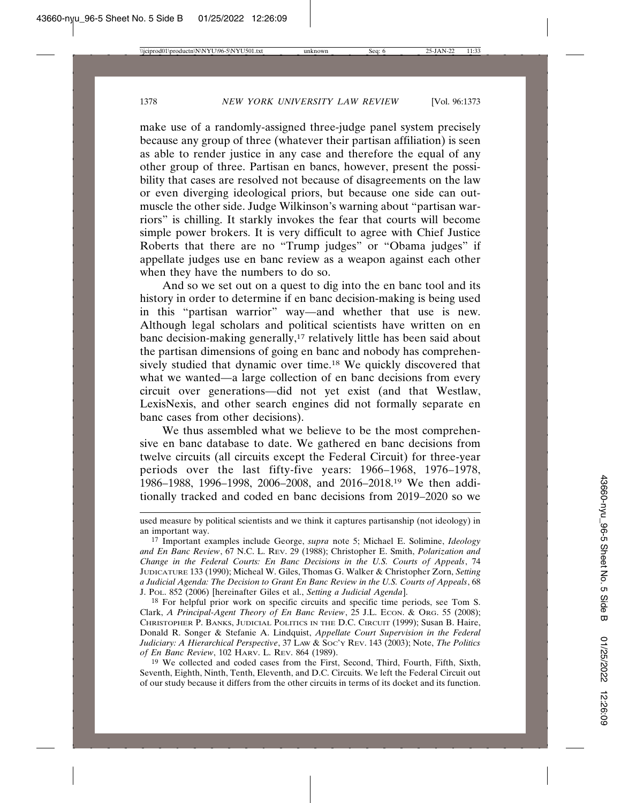make use of a randomly-assigned three-judge panel system precisely because any group of three (whatever their partisan affiliation) is seen as able to render justice in any case and therefore the equal of any other group of three. Partisan en bancs, however, present the possibility that cases are resolved not because of disagreements on the law or even diverging ideological priors, but because one side can outmuscle the other side. Judge Wilkinson's warning about "partisan warriors" is chilling. It starkly invokes the fear that courts will become simple power brokers. It is very difficult to agree with Chief Justice Roberts that there are no "Trump judges" or "Obama judges" if appellate judges use en banc review as a weapon against each other when they have the numbers to do so.

And so we set out on a quest to dig into the en banc tool and its history in order to determine if en banc decision-making is being used in this "partisan warrior" way—and whether that use is new. Although legal scholars and political scientists have written on en banc decision-making generally,<sup>17</sup> relatively little has been said about the partisan dimensions of going en banc and nobody has comprehensively studied that dynamic over time.18 We quickly discovered that what we wanted—a large collection of en banc decisions from every circuit over generations—did not yet exist (and that Westlaw, LexisNexis, and other search engines did not formally separate en banc cases from other decisions).

We thus assembled what we believe to be the most comprehensive en banc database to date. We gathered en banc decisions from twelve circuits (all circuits except the Federal Circuit) for three-year periods over the last fifty-five years: 1966–1968, 1976–1978, 1986–1988, 1996–1998, 2006–2008, and 2016–2018.19 We then additionally tracked and coded en banc decisions from 2019–2020 so we

18 For helpful prior work on specific circuits and specific time periods, see Tom S. Clark, *A Principal-Agent Theory of En Banc Review*, 25 J.L. Econ. & Org. 55 (2008); CHRISTOPHER P. BANKS, JUDICIAL POLITICS IN THE D.C. CIRCUIT (1999); Susan B. Haire, Donald R. Songer & Stefanie A. Lindquist, *Appellate Court Supervision in the Federal Judiciary: A Hierarchical Perspective*, 37 LAW & SOC'Y REV. 143 (2003); Note, *The Politics of En Banc Review*, 102 HARV. L. REV. 864 (1989).

19 We collected and coded cases from the First, Second, Third, Fourth, Fifth, Sixth, Seventh, Eighth, Ninth, Tenth, Eleventh, and D.C. Circuits. We left the Federal Circuit out of our study because it differs from the other circuits in terms of its docket and its function.

used measure by political scientists and we think it captures partisanship (not ideology) in an important way.

<sup>17</sup> Important examples include George, *supra* note 5; Michael E. Solimine, *Ideology and En Banc Review*, 67 N.C. L. REV. 29 (1988); Christopher E. Smith, *Polarization and Change in the Federal Courts: En Banc Decisions in the U.S. Courts of Appeals*, 74 JUDICATURE 133 (1990); Micheal W. Giles, Thomas G. Walker & Christopher Zorn, *Setting a Judicial Agenda: The Decision to Grant En Banc Review in the U.S. Courts of Appeals*, 68 J. POL. 852 (2006) [hereinafter Giles et al., *Setting a Judicial Agenda*].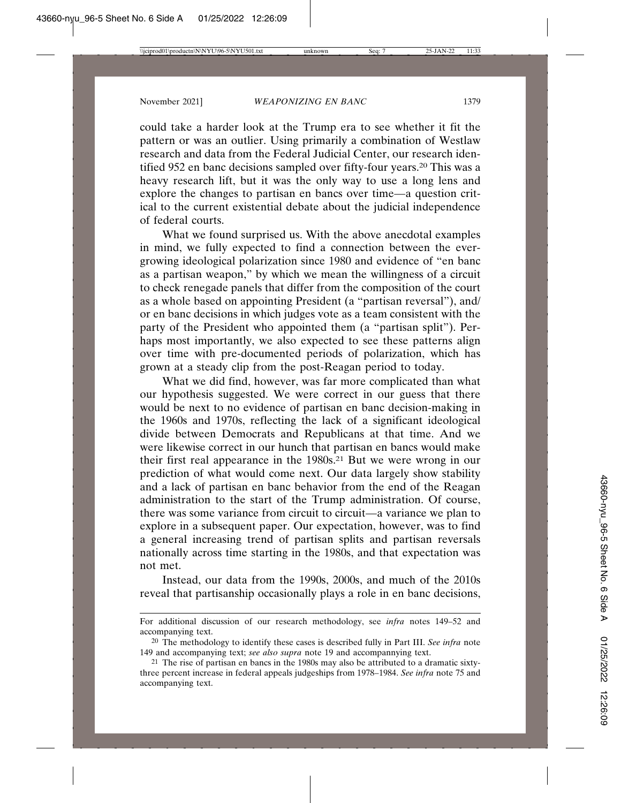could take a harder look at the Trump era to see whether it fit the pattern or was an outlier. Using primarily a combination of Westlaw research and data from the Federal Judicial Center, our research identified 952 en banc decisions sampled over fifty-four years.20 This was a heavy research lift, but it was the only way to use a long lens and explore the changes to partisan en bancs over time—a question critical to the current existential debate about the judicial independence of federal courts.

What we found surprised us. With the above anecdotal examples in mind, we fully expected to find a connection between the evergrowing ideological polarization since 1980 and evidence of "en banc as a partisan weapon," by which we mean the willingness of a circuit to check renegade panels that differ from the composition of the court as a whole based on appointing President (a "partisan reversal"), and/ or en banc decisions in which judges vote as a team consistent with the party of the President who appointed them (a "partisan split"). Perhaps most importantly, we also expected to see these patterns align over time with pre-documented periods of polarization, which has grown at a steady clip from the post-Reagan period to today.

What we did find, however, was far more complicated than what our hypothesis suggested. We were correct in our guess that there would be next to no evidence of partisan en banc decision-making in the 1960s and 1970s, reflecting the lack of a significant ideological divide between Democrats and Republicans at that time. And we were likewise correct in our hunch that partisan en bancs would make their first real appearance in the 1980s.<sup>21</sup> But we were wrong in our prediction of what would come next. Our data largely show stability and a lack of partisan en banc behavior from the end of the Reagan administration to the start of the Trump administration. Of course, there was some variance from circuit to circuit—a variance we plan to explore in a subsequent paper. Our expectation, however, was to find a general increasing trend of partisan splits and partisan reversals nationally across time starting in the 1980s, and that expectation was not met.

Instead, our data from the 1990s, 2000s, and much of the 2010s reveal that partisanship occasionally plays a role in en banc decisions,

For additional discussion of our research methodology, see *infra* notes 149–52 and accompanying text.

<sup>20</sup> The methodology to identify these cases is described fully in Part III. *See infra* note 149 and accompanying text; *see also supra* note 19 and accompannying text.

<sup>21</sup> The rise of partisan en bancs in the 1980s may also be attributed to a dramatic sixtythree percent increase in federal appeals judgeships from 1978–1984. *See infra* note 75 and accompanying text.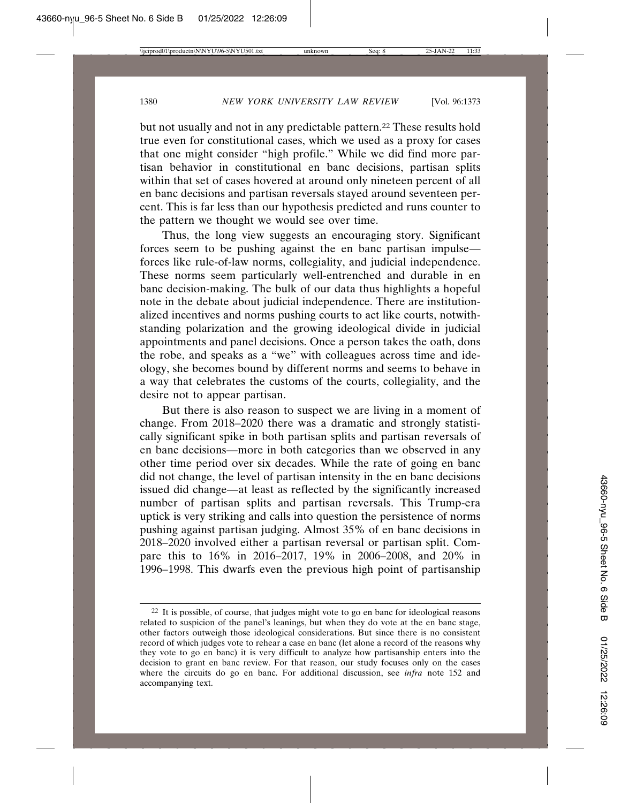but not usually and not in any predictable pattern.22 These results hold true even for constitutional cases, which we used as a proxy for cases that one might consider "high profile." While we did find more partisan behavior in constitutional en banc decisions, partisan splits within that set of cases hovered at around only nineteen percent of all en banc decisions and partisan reversals stayed around seventeen percent. This is far less than our hypothesis predicted and runs counter to the pattern we thought we would see over time.

Thus, the long view suggests an encouraging story. Significant forces seem to be pushing against the en banc partisan impulse forces like rule-of-law norms, collegiality, and judicial independence. These norms seem particularly well-entrenched and durable in en banc decision-making. The bulk of our data thus highlights a hopeful note in the debate about judicial independence. There are institutionalized incentives and norms pushing courts to act like courts, notwithstanding polarization and the growing ideological divide in judicial appointments and panel decisions. Once a person takes the oath, dons the robe, and speaks as a "we" with colleagues across time and ideology, she becomes bound by different norms and seems to behave in a way that celebrates the customs of the courts, collegiality, and the desire not to appear partisan.

But there is also reason to suspect we are living in a moment of change. From 2018–2020 there was a dramatic and strongly statistically significant spike in both partisan splits and partisan reversals of en banc decisions—more in both categories than we observed in any other time period over six decades. While the rate of going en banc did not change, the level of partisan intensity in the en banc decisions issued did change—at least as reflected by the significantly increased number of partisan splits and partisan reversals. This Trump-era uptick is very striking and calls into question the persistence of norms pushing against partisan judging. Almost 35% of en banc decisions in 2018–2020 involved either a partisan reversal or partisan split. Compare this to 16% in 2016–2017, 19% in 2006–2008, and 20% in 1996–1998. This dwarfs even the previous high point of partisanship

 $22$  It is possible, of course, that judges might vote to go en banc for ideological reasons related to suspicion of the panel's leanings, but when they do vote at the en banc stage, other factors outweigh those ideological considerations. But since there is no consistent record of which judges vote to rehear a case en banc (let alone a record of the reasons why they vote to go en banc) it is very difficult to analyze how partisanship enters into the decision to grant en banc review. For that reason, our study focuses only on the cases where the circuits do go en banc. For additional discussion, see *infra* note 152 and accompanying text.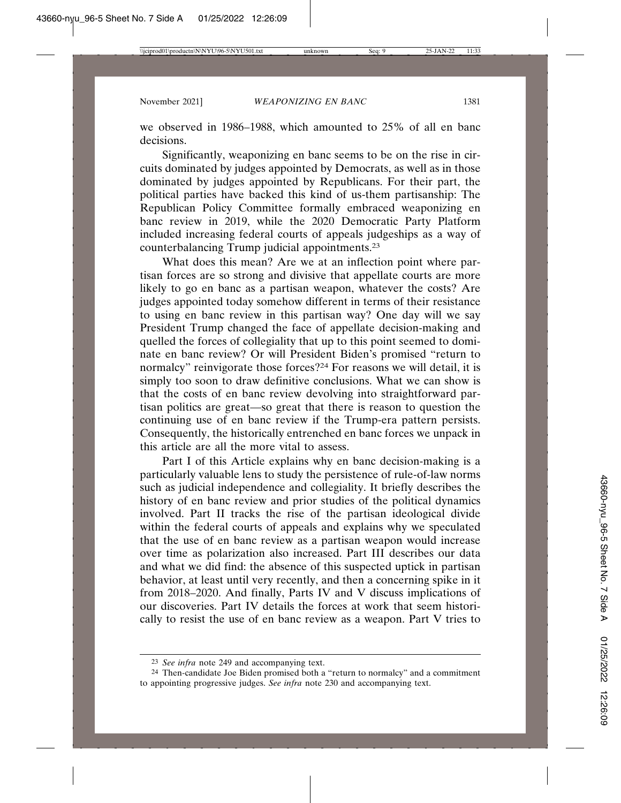we observed in 1986–1988, which amounted to 25% of all en banc decisions.

Significantly, weaponizing en banc seems to be on the rise in circuits dominated by judges appointed by Democrats, as well as in those dominated by judges appointed by Republicans. For their part, the political parties have backed this kind of us-them partisanship: The Republican Policy Committee formally embraced weaponizing en banc review in 2019, while the 2020 Democratic Party Platform included increasing federal courts of appeals judgeships as a way of counterbalancing Trump judicial appointments.23

What does this mean? Are we at an inflection point where partisan forces are so strong and divisive that appellate courts are more likely to go en banc as a partisan weapon, whatever the costs? Are judges appointed today somehow different in terms of their resistance to using en banc review in this partisan way? One day will we say President Trump changed the face of appellate decision-making and quelled the forces of collegiality that up to this point seemed to dominate en banc review? Or will President Biden's promised "return to normalcy" reinvigorate those forces?<sup>24</sup> For reasons we will detail, it is simply too soon to draw definitive conclusions. What we can show is that the costs of en banc review devolving into straightforward partisan politics are great—so great that there is reason to question the continuing use of en banc review if the Trump-era pattern persists. Consequently, the historically entrenched en banc forces we unpack in this article are all the more vital to assess.

Part I of this Article explains why en banc decision-making is a particularly valuable lens to study the persistence of rule-of-law norms such as judicial independence and collegiality. It briefly describes the history of en banc review and prior studies of the political dynamics involved. Part II tracks the rise of the partisan ideological divide within the federal courts of appeals and explains why we speculated that the use of en banc review as a partisan weapon would increase over time as polarization also increased. Part III describes our data and what we did find: the absence of this suspected uptick in partisan behavior, at least until very recently, and then a concerning spike in it from 2018–2020. And finally, Parts IV and V discuss implications of our discoveries. Part IV details the forces at work that seem historically to resist the use of en banc review as a weapon. Part V tries to

<sup>23</sup> *See infra* note 249 and accompanying text.

<sup>24</sup> Then-candidate Joe Biden promised both a "return to normalcy" and a commitment to appointing progressive judges. *See infra* note 230 and accompanying text.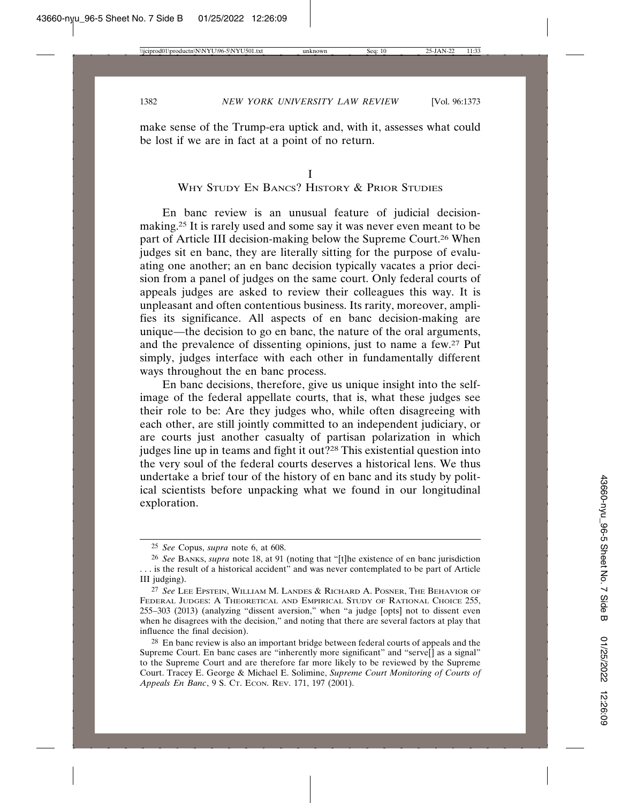make sense of the Trump-era uptick and, with it, assesses what could be lost if we are in fact at a point of no return.

## WHY STUDY EN BANCS? HISTORY & PRIOR STUDIES

En banc review is an unusual feature of judicial decisionmaking.25 It is rarely used and some say it was never even meant to be part of Article III decision-making below the Supreme Court.<sup>26</sup> When judges sit en banc, they are literally sitting for the purpose of evaluating one another; an en banc decision typically vacates a prior decision from a panel of judges on the same court. Only federal courts of appeals judges are asked to review their colleagues this way. It is unpleasant and often contentious business. Its rarity, moreover, amplifies its significance. All aspects of en banc decision-making are unique—the decision to go en banc, the nature of the oral arguments, and the prevalence of dissenting opinions, just to name a few.27 Put simply, judges interface with each other in fundamentally different ways throughout the en banc process.

En banc decisions, therefore, give us unique insight into the selfimage of the federal appellate courts, that is, what these judges see their role to be: Are they judges who, while often disagreeing with each other, are still jointly committed to an independent judiciary, or are courts just another casualty of partisan polarization in which judges line up in teams and fight it out?28 This existential question into the very soul of the federal courts deserves a historical lens. We thus undertake a brief tour of the history of en banc and its study by political scientists before unpacking what we found in our longitudinal exploration.

<sup>25</sup> *See* Copus, *supra* note 6, at 608.

<sup>26</sup> *See* BANKS, *supra* note 18, at 91 (noting that "[t]he existence of en banc jurisdiction . . . is the result of a historical accident" and was never contemplated to be part of Article III judging).

<sup>27</sup> *See* LEE EPSTEIN, WILLIAM M. LANDES & RICHARD A. POSNER, THE BEHAVIOR OF FEDERAL JUDGES: A THEORETICAL AND EMPIRICAL STUDY OF RATIONAL CHOICE 255, 255–303 (2013) (analyzing "dissent aversion," when "a judge [opts] not to dissent even when he disagrees with the decision," and noting that there are several factors at play that influence the final decision).

<sup>&</sup>lt;sup>28</sup> En banc review is also an important bridge between federal courts of appeals and the Supreme Court. En banc cases are "inherently more significant" and "serve[] as a signal" to the Supreme Court and are therefore far more likely to be reviewed by the Supreme Court. Tracey E. George & Michael E. Solimine, *Supreme Court Monitoring of Courts of Appeals En Banc*, 9 S. CT. ECON. REV. 171, 197 (2001).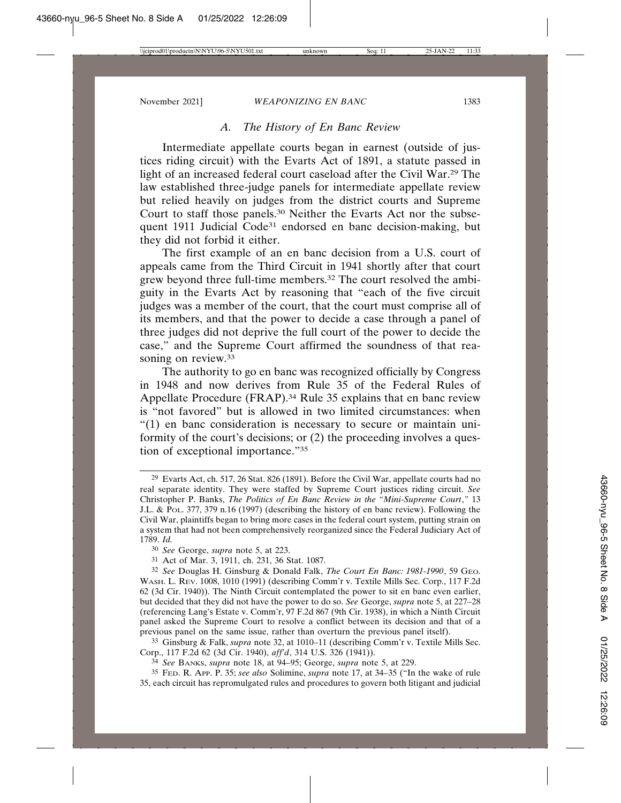#### *A. The History of En Banc Review*

Intermediate appellate courts began in earnest (outside of justices riding circuit) with the Evarts Act of 1891, a statute passed in light of an increased federal court caseload after the Civil War.29 The law established three-judge panels for intermediate appellate review but relied heavily on judges from the district courts and Supreme Court to staff those panels.30 Neither the Evarts Act nor the subsequent 1911 Judicial Code<sup>31</sup> endorsed en banc decision-making, but they did not forbid it either.

The first example of an en banc decision from a U.S. court of appeals came from the Third Circuit in 1941 shortly after that court grew beyond three full-time members.32 The court resolved the ambiguity in the Evarts Act by reasoning that "each of the five circuit judges was a member of the court, that the court must comprise all of its members, and that the power to decide a case through a panel of three judges did not deprive the full court of the power to decide the case," and the Supreme Court affirmed the soundness of that reasoning on review.<sup>33</sup>

The authority to go en banc was recognized officially by Congress in 1948 and now derives from Rule 35 of the Federal Rules of Appellate Procedure (FRAP).34 Rule 35 explains that en banc review is "not favored" but is allowed in two limited circumstances: when "(1) en banc consideration is necessary to secure or maintain uniformity of the court's decisions; or (2) the proceeding involves a question of exceptional importance."35

33 Ginsburg & Falk, *supra* note 32, at 1010–11 (describing Comm'r v. Textile Mills Sec. Corp., 117 F.2d 62 (3d Cir. 1940), *aff'd*, 314 U.S. 326 (1941)).

34 *See* BANKS, *supra* note 18, at 94–95; George, *supra* note 5, at 229.

35 FED. R. APP. P. 35; *see also* Solimine, *supra* note 17, at 34–35 ("In the wake of rule 35, each circuit has repromulgated rules and procedures to govern both litigant and judicial

<sup>29</sup> Evarts Act, ch. 517, 26 Stat. 826 (1891). Before the Civil War, appellate courts had no real separate identity. They were staffed by Supreme Court justices riding circuit. *See* Christopher P. Banks, *The Politics of En Banc Review in the "Mini-Supreme Court*,*"* 13 J.L. & POL. 377, 379 n.16 (1997) (describing the history of en banc review). Following the Civil War, plaintiffs began to bring more cases in the federal court system, putting strain on a system that had not been comprehensively reorganized since the Federal Judiciary Act of 1789. *Id.*

<sup>30</sup> *See* George, *supra* note 5, at 223.

<sup>31</sup> Act of Mar. 3, 1911, ch. 231, 36 Stat. 1087.

<sup>32</sup> *See* Douglas H. Ginsburg & Donald Falk, *The Court En Banc: 1981-1990*, 59 GEO. WASH. L. REV. 1008, 1010 (1991) (describing Comm'r v. Textile Mills Sec. Corp., 117 F.2d 62 (3d Cir. 1940)). The Ninth Circuit contemplated the power to sit en banc even earlier, but decided that they did not have the power to do so. *See* George, *supra* note 5, at 227–28 (referencing Lang's Estate v. Comm'r, 97 F.2d 867 (9th Cir. 1938), in which a Ninth Circuit panel asked the Supreme Court to resolve a conflict between its decision and that of a previous panel on the same issue, rather than overturn the previous panel itself).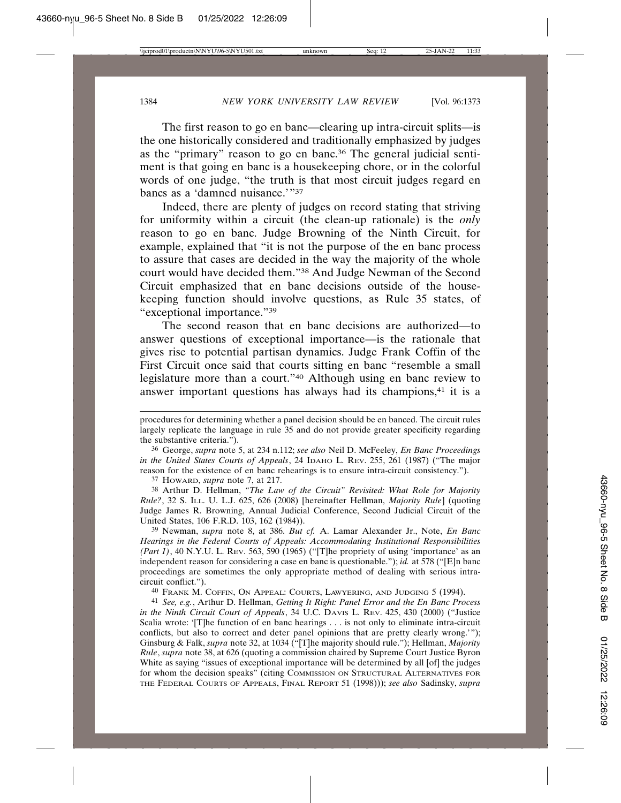The first reason to go en banc—clearing up intra-circuit splits—is the one historically considered and traditionally emphasized by judges as the "primary" reason to go en banc.<sup>36</sup> The general judicial sentiment is that going en banc is a housekeeping chore, or in the colorful words of one judge, "the truth is that most circuit judges regard en bancs as a 'damned nuisance.'"37

Indeed, there are plenty of judges on record stating that striving for uniformity within a circuit (the clean-up rationale) is the *only* reason to go en banc. Judge Browning of the Ninth Circuit, for example, explained that "it is not the purpose of the en banc process to assure that cases are decided in the way the majority of the whole court would have decided them."38 And Judge Newman of the Second Circuit emphasized that en banc decisions outside of the housekeeping function should involve questions, as Rule 35 states, of "exceptional importance."39

The second reason that en banc decisions are authorized—to answer questions of exceptional importance—is the rationale that gives rise to potential partisan dynamics. Judge Frank Coffin of the First Circuit once said that courts sitting en banc "resemble a small legislature more than a court."40 Although using en banc review to answer important questions has always had its champions,<sup>41</sup> it is a

36 George, *supra* note 5, at 234 n.112; *see also* Neil D. McFeeley, *En Banc Proceedings in the United States Courts of Appeals*, 24 IDAHO L. REV. 255, 261 (1987) ("The major reason for the existence of en banc rehearings is to ensure intra-circuit consistency.").

37 HOWARD, *supra* note 7, at 217.

38 Arthur D. Hellman, *"The Law of the Circuit" Revisited: What Role for Majority Rule?*, 32 S. ILL. U. L.J. 625, 626 (2008) [hereinafter Hellman, *Majority Rule*] (quoting Judge James R. Browning, Annual Judicial Conference, Second Judicial Circuit of the United States, 106 F.R.D. 103, 162 (1984)).

39 Newman, *supra* note 8, at 386. *But cf.* A. Lamar Alexander Jr., Note, *En Banc Hearings in the Federal Courts of Appeals: Accommodating Institutional Responsibilities (Part 1)*, 40 N.Y.U. L. REV. 563, 590 (1965) ("[T]he propriety of using 'importance' as an independent reason for considering a case en banc is questionable."); *id.* at 578 ("[E]n banc proceedings are sometimes the only appropriate method of dealing with serious intracircuit conflict.").

40 FRANK M. COFFIN, ON APPEAL: COURTS, LAWYERING, AND JUDGING 5 (1994).

41 *See, e.g.*, Arthur D. Hellman, *Getting It Right: Panel Error and the En Banc Process in the Ninth Circuit Court of Appeals*, 34 U.C. DAVIS L. REV. 425, 430 (2000) ("Justice Scalia wrote: '[T]he function of en banc hearings . . . is not only to eliminate intra-circuit conflicts, but also to correct and deter panel opinions that are pretty clearly wrong.'"); Ginsburg & Falk, *supra* note 32, at 1034 ("[T]he majority should rule."); Hellman, *Majority Rule*, *supra* note 38, at 626 (quoting a commission chaired by Supreme Court Justice Byron White as saying "issues of exceptional importance will be determined by all [of] the judges for whom the decision speaks" (citing COMMISSION ON STRUCTURAL ALTERNATIVES FOR THE FEDERAL COURTS OF APPEALS, FINAL REPORT 51 (1998))); *see also* Sadinsky, *supra*

procedures for determining whether a panel decision should be en banced. The circuit rules largely replicate the language in rule 35 and do not provide greater specificity regarding the substantive criteria.").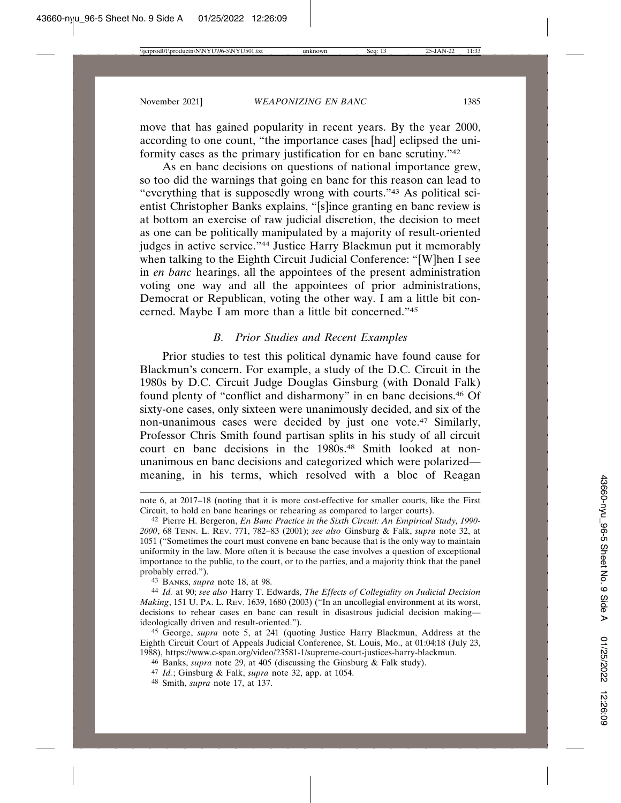move that has gained popularity in recent years. By the year 2000, according to one count, "the importance cases [had] eclipsed the uniformity cases as the primary justification for en banc scrutiny."42

As en banc decisions on questions of national importance grew, so too did the warnings that going en banc for this reason can lead to "everything that is supposedly wrong with courts."43 As political scientist Christopher Banks explains, "[s]ince granting en banc review is at bottom an exercise of raw judicial discretion, the decision to meet as one can be politically manipulated by a majority of result-oriented judges in active service."44 Justice Harry Blackmun put it memorably when talking to the Eighth Circuit Judicial Conference: "[W]hen I see in *en banc* hearings, all the appointees of the present administration voting one way and all the appointees of prior administrations, Democrat or Republican, voting the other way. I am a little bit concerned. Maybe I am more than a little bit concerned."45

## *B. Prior Studies and Recent Examples*

Prior studies to test this political dynamic have found cause for Blackmun's concern. For example, a study of the D.C. Circuit in the 1980s by D.C. Circuit Judge Douglas Ginsburg (with Donald Falk) found plenty of "conflict and disharmony" in en banc decisions.46 Of sixty-one cases, only sixteen were unanimously decided, and six of the non-unanimous cases were decided by just one vote.47 Similarly, Professor Chris Smith found partisan splits in his study of all circuit court en banc decisions in the 1980s.<sup>48</sup> Smith looked at nonunanimous en banc decisions and categorized which were polarized meaning, in his terms, which resolved with a bloc of Reagan

43 BANKS, *supra* note 18, at 98.

44 *Id.* at 90; *see also* Harry T. Edwards, *The Effects of Collegiality on Judicial Decision Making*, 151 U. PA. L. REV. 1639, 1680 (2003) ("In an uncollegial environment at its worst, decisions to rehear cases en banc can result in disastrous judicial decision making ideologically driven and result-oriented.").

45 George, *supra* note 5, at 241 (quoting Justice Harry Blackmun, Address at the Eighth Circuit Court of Appeals Judicial Conference, St. Louis, Mo., at 01:04:18 (July 23, 1988), https://www.c-span.org/video/?3581-1/supreme-court-justices-harry-blackmun.

48 Smith, *supra* note 17, at 137.

note 6, at 2017–18 (noting that it is more cost-effective for smaller courts, like the First Circuit, to hold en banc hearings or rehearing as compared to larger courts).

<sup>42</sup> Pierre H. Bergeron, *En Banc Practice in the Sixth Circuit: An Empirical Study, 1990- 2000*, 68 TENN. L. REV. 771, 782–83 (2001); *see also* Ginsburg & Falk, *supra* note 32, at 1051 ("Sometimes the court must convene en banc because that is the only way to maintain uniformity in the law. More often it is because the case involves a question of exceptional importance to the public, to the court, or to the parties, and a majority think that the panel probably erred.").

<sup>46</sup> Banks, *supra* note 29, at 405 (discussing the Ginsburg & Falk study).

<sup>47</sup> *Id.*; Ginsburg & Falk, *supra* note 32, app. at 1054.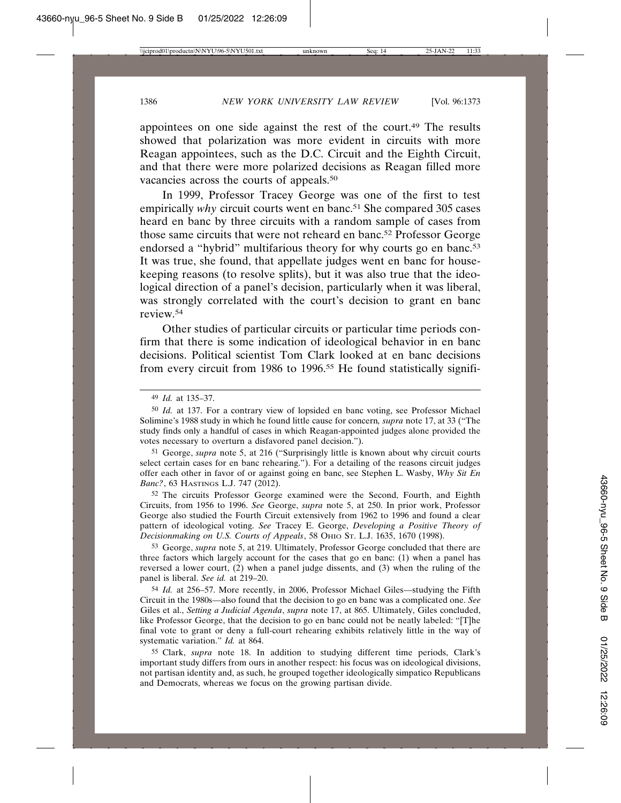appointees on one side against the rest of the court.49 The results showed that polarization was more evident in circuits with more Reagan appointees, such as the D.C. Circuit and the Eighth Circuit, and that there were more polarized decisions as Reagan filled more vacancies across the courts of appeals.50

In 1999, Professor Tracey George was one of the first to test empirically *why* circuit courts went en banc.<sup>51</sup> She compared 305 cases heard en banc by three circuits with a random sample of cases from those same circuits that were not reheard en banc.52 Professor George endorsed a "hybrid" multifarious theory for why courts go en banc.<sup>53</sup> It was true, she found, that appellate judges went en banc for housekeeping reasons (to resolve splits), but it was also true that the ideological direction of a panel's decision, particularly when it was liberal, was strongly correlated with the court's decision to grant en banc review.54

Other studies of particular circuits or particular time periods confirm that there is some indication of ideological behavior in en banc decisions. Political scientist Tom Clark looked at en banc decisions from every circuit from 1986 to 1996.55 He found statistically signifi-

51 George, *supra* note 5, at 216 ("Surprisingly little is known about why circuit courts select certain cases for en banc rehearing."). For a detailing of the reasons circuit judges offer each other in favor of or against going en banc, see Stephen L. Wasby, *Why Sit En Banc?*, 63 HASTINGS L.J. 747 (2012).

52 The circuits Professor George examined were the Second, Fourth, and Eighth Circuits, from 1956 to 1996. *See* George, *supra* note 5, at 250. In prior work, Professor George also studied the Fourth Circuit extensively from 1962 to 1996 and found a clear pattern of ideological voting. *See* Tracey E. George, *Developing a Positive Theory of Decisionmaking on U.S. Courts of Appeals*, 58 OHIO ST. L.J. 1635, 1670 (1998).

53 George, *supra* note 5, at 219. Ultimately, Professor George concluded that there are three factors which largely account for the cases that go en banc: (1) when a panel has reversed a lower court, (2) when a panel judge dissents, and (3) when the ruling of the panel is liberal. *See id.* at 219–20.

54 *Id.* at 256–57. More recently, in 2006, Professor Michael Giles—studying the Fifth Circuit in the 1980s—also found that the decision to go en banc was a complicated one. *See* Giles et al., *Setting a Judicial Agenda*, *supra* note 17, at 865. Ultimately, Giles concluded, like Professor George, that the decision to go en banc could not be neatly labeled: "[T]he final vote to grant or deny a full-court rehearing exhibits relatively little in the way of systematic variation." *Id.* at 864.

55 Clark, *supra* note 18. In addition to studying different time periods, Clark's important study differs from ours in another respect: his focus was on ideological divisions, not partisan identity and, as such, he grouped together ideologically simpatico Republicans and Democrats, whereas we focus on the growing partisan divide.

<sup>49</sup> *Id.* at 135–37.

<sup>50</sup> *Id.* at 137. For a contrary view of lopsided en banc voting, see Professor Michael Solimine's 1988 study in which he found little cause for concern*, supra* note 17, at 33 ("The study finds only a handful of cases in which Reagan-appointed judges alone provided the votes necessary to overturn a disfavored panel decision.").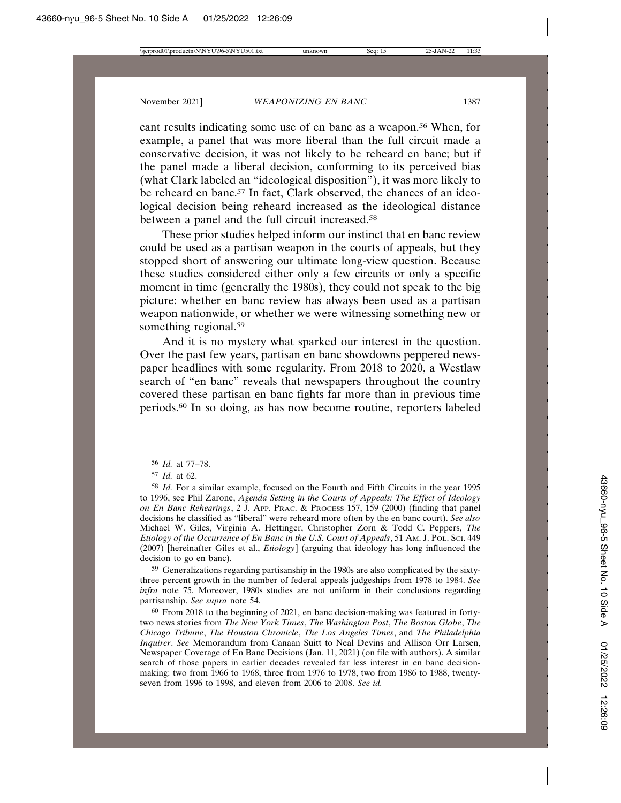cant results indicating some use of en banc as a weapon.56 When, for example, a panel that was more liberal than the full circuit made a conservative decision, it was not likely to be reheard en banc; but if the panel made a liberal decision, conforming to its perceived bias (what Clark labeled an "ideological disposition"), it was more likely to be reheard en banc.<sup>57</sup> In fact, Clark observed, the chances of an ideological decision being reheard increased as the ideological distance between a panel and the full circuit increased.58

These prior studies helped inform our instinct that en banc review could be used as a partisan weapon in the courts of appeals, but they stopped short of answering our ultimate long-view question. Because these studies considered either only a few circuits or only a specific moment in time (generally the 1980s), they could not speak to the big picture: whether en banc review has always been used as a partisan weapon nationwide, or whether we were witnessing something new or something regional.<sup>59</sup>

And it is no mystery what sparked our interest in the question. Over the past few years, partisan en banc showdowns peppered newspaper headlines with some regularity. From 2018 to 2020, a Westlaw search of "en banc" reveals that newspapers throughout the country covered these partisan en banc fights far more than in previous time periods.60 In so doing, as has now become routine, reporters labeled

59 Generalizations regarding partisanship in the 1980s are also complicated by the sixtythree percent growth in the number of federal appeals judgeships from 1978 to 1984. *See infra* note 75*.* Moreover, 1980s studies are not uniform in their conclusions regarding partisanship. *See supra* note 54.

60 From 2018 to the beginning of 2021, en banc decision-making was featured in fortytwo news stories from *The New York Times*, *The Washington Post*, *The Boston Globe*, *The Chicago Tribune*, *The Houston Chronicle*, *The Los Angeles Times*, and *The Philadelphia Inquirer*. *See* Memorandum from Canaan Suitt to Neal Devins and Allison Orr Larsen, Newspaper Coverage of En Banc Decisions (Jan. 11, 2021) (on file with authors). A similar search of those papers in earlier decades revealed far less interest in en banc decisionmaking: two from 1966 to 1968, three from 1976 to 1978, two from 1986 to 1988, twentyseven from 1996 to 1998, and eleven from 2006 to 2008. *See id.*

<sup>56</sup> *Id.* at 77–78.

<sup>57</sup> *Id.* at 62.

<sup>58</sup> *Id.* For a similar example, focused on the Fourth and Fifth Circuits in the year 1995 to 1996, see Phil Zarone, *Agenda Setting in the Courts of Appeals: The Effect of Ideology on En Banc Rehearings*, 2 J. APP. PRAC. & PROCESS 157, 159 (2000) (finding that panel decisions he classified as "liberal" were reheard more often by the en banc court). *See also* Michael W. Giles, Virginia A. Hettinger, Christopher Zorn & Todd C. Peppers, *The Etiology of the Occurrence of En Banc in the U.S. Court of Appeals*, 51 AM. J. POL. SCI. 449 (2007) [hereinafter Giles et al., *Etiology*] (arguing that ideology has long influenced the decision to go en banc).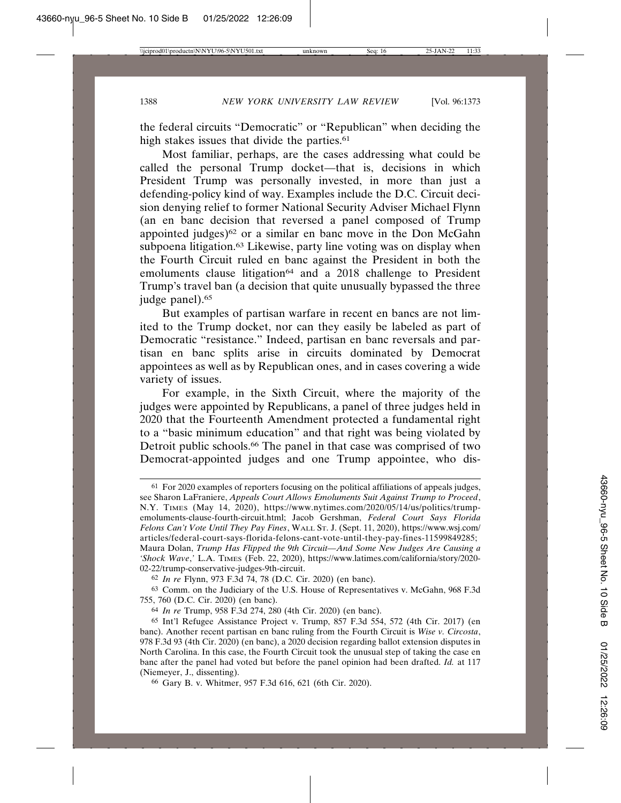the federal circuits "Democratic" or "Republican" when deciding the high stakes issues that divide the parties.<sup>61</sup>

Most familiar, perhaps, are the cases addressing what could be called the personal Trump docket—that is, decisions in which President Trump was personally invested, in more than just a defending-policy kind of way. Examples include the D.C. Circuit decision denying relief to former National Security Adviser Michael Flynn (an en banc decision that reversed a panel composed of Trump appointed judges)<sup>62</sup> or a similar en banc move in the Don McGahn subpoena litigation.63 Likewise, party line voting was on display when the Fourth Circuit ruled en banc against the President in both the emoluments clause litigation<sup>64</sup> and a 2018 challenge to President Trump's travel ban (a decision that quite unusually bypassed the three judge panel).<sup>65</sup>

But examples of partisan warfare in recent en bancs are not limited to the Trump docket, nor can they easily be labeled as part of Democratic "resistance." Indeed, partisan en banc reversals and partisan en banc splits arise in circuits dominated by Democrat appointees as well as by Republican ones, and in cases covering a wide variety of issues.

For example, in the Sixth Circuit, where the majority of the judges were appointed by Republicans, a panel of three judges held in 2020 that the Fourteenth Amendment protected a fundamental right to a "basic minimum education" and that right was being violated by Detroit public schools.<sup>66</sup> The panel in that case was comprised of two Democrat-appointed judges and one Trump appointee, who dis-

63 Comm. on the Judiciary of the U.S. House of Representatives v. McGahn, 968 F.3d 755, 760 (D.C. Cir. 2020) (en banc).

66 Gary B. v. Whitmer, 957 F.3d 616, 621 (6th Cir. 2020).

<sup>61</sup> For 2020 examples of reporters focusing on the political affiliations of appeals judges, see Sharon LaFraniere, *Appeals Court Allows Emoluments Suit Against Trump to Proceed*, N.Y. TIMES (May 14, 2020), https://www.nytimes.com/2020/05/14/us/politics/trumpemoluments-clause-fourth-circuit.html; Jacob Gershman, *Federal Court Says Florida Felons Can't Vote Until They Pay Fines*, WALL ST. J. (Sept. 11, 2020), https://www.wsj.com/ articles/federal-court-says-florida-felons-cant-vote-until-they-pay-fines-11599849285; Maura Dolan, *Trump Has Flipped the 9th Circuit—And Some New Judges Are Causing a 'Shock Wave*,*'* L.A. TIMES (Feb. 22, 2020), https://www.latimes.com/california/story/2020- 02-22/trump-conservative-judges-9th-circuit.

<sup>62</sup> *In re* Flynn, 973 F.3d 74, 78 (D.C. Cir. 2020) (en banc).

<sup>64</sup> *In re* Trump, 958 F.3d 274, 280 (4th Cir. 2020) (en banc).

<sup>65</sup> Int'l Refugee Assistance Project v. Trump, 857 F.3d 554, 572 (4th Cir. 2017) (en banc). Another recent partisan en banc ruling from the Fourth Circuit is *Wise v. Circosta*, 978 F.3d 93 (4th Cir. 2020) (en banc), a 2020 decision regarding ballot extension disputes in North Carolina. In this case, the Fourth Circuit took the unusual step of taking the case en banc after the panel had voted but before the panel opinion had been drafted. *Id.* at 117 (Niemeyer, J., dissenting).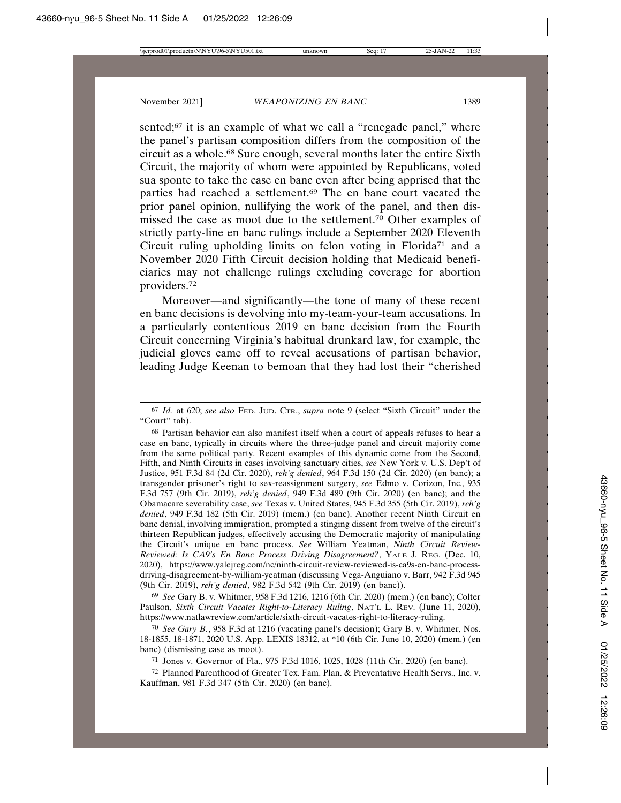sented;<sup>67</sup> it is an example of what we call a "renegade panel," where the panel's partisan composition differs from the composition of the circuit as a whole.68 Sure enough, several months later the entire Sixth Circuit, the majority of whom were appointed by Republicans, voted sua sponte to take the case en banc even after being apprised that the parties had reached a settlement.69 The en banc court vacated the prior panel opinion, nullifying the work of the panel, and then dismissed the case as moot due to the settlement.70 Other examples of strictly party-line en banc rulings include a September 2020 Eleventh Circuit ruling upholding limits on felon voting in Florida<sup>71</sup> and a November 2020 Fifth Circuit decision holding that Medicaid beneficiaries may not challenge rulings excluding coverage for abortion providers.72

Moreover—and significantly—the tone of many of these recent en banc decisions is devolving into my-team-your-team accusations. In a particularly contentious 2019 en banc decision from the Fourth Circuit concerning Virginia's habitual drunkard law, for example, the judicial gloves came off to reveal accusations of partisan behavior, leading Judge Keenan to bemoan that they had lost their "cherished

68 Partisan behavior can also manifest itself when a court of appeals refuses to hear a case en banc, typically in circuits where the three-judge panel and circuit majority come from the same political party. Recent examples of this dynamic come from the Second, Fifth, and Ninth Circuits in cases involving sanctuary cities, *see* New York v. U.S. Dep't of Justice, 951 F.3d 84 (2d Cir. 2020), *reh'g denied*, 964 F.3d 150 (2d Cir. 2020) (en banc); a transgender prisoner's right to sex-reassignment surgery, *see* Edmo v. Corizon, Inc., 935 F.3d 757 (9th Cir. 2019), *reh'g denied*, 949 F.3d 489 (9th Cir. 2020) (en banc); and the Obamacare severability case, *see* Texas v. United States, 945 F.3d 355 (5th Cir. 2019), *reh'g denied*, 949 F.3d 182 (5th Cir. 2019) (mem.) (en banc). Another recent Ninth Circuit en banc denial, involving immigration, prompted a stinging dissent from twelve of the circuit's thirteen Republican judges, effectively accusing the Democratic majority of manipulating the Circuit's unique en banc process. *See* William Yeatman, *Ninth Circuit Review-Reviewed: Is CA9's En Banc Process Driving Disagreement?*, YALE J. REG. (Dec. 10, 2020), https://www.yalejreg.com/nc/ninth-circuit-review-reviewed-is-ca9s-en-banc-processdriving-disagreement-by-william-yeatman (discussing Vega-Anguiano v. Barr, 942 F.3d 945 (9th Cir. 2019), *reh'g denied*, 982 F.3d 542 (9th Cir. 2019) (en banc)).

69 *See* Gary B. v. Whitmer, 958 F.3d 1216, 1216 (6th Cir. 2020) (mem.) (en banc); Colter Paulson, *Sixth Circuit Vacates Right-to-Literacy Ruling*, NAT'L L. REV. (June 11, 2020), https://www.natlawreview.com/article/sixth-circuit-vacates-right-to-literacy-ruling.

70 *See Gary B.*, 958 F.3d at 1216 (vacating panel's decision); Gary B. v. Whitmer, Nos. 18-1855, 18-1871, 2020 U.S. App. LEXIS 18312, at \*10 (6th Cir. June 10, 2020) (mem.) (en banc) (dismissing case as moot).

71 Jones v. Governor of Fla., 975 F.3d 1016, 1025, 1028 (11th Cir. 2020) (en banc).

72 Planned Parenthood of Greater Tex. Fam. Plan. & Preventative Health Servs., Inc. v. Kauffman, 981 F.3d 347 (5th Cir. 2020) (en banc).

<sup>67</sup> *Id.* at 620; *see also* FED. JUD. CTR., *supra* note 9 (select "Sixth Circuit" under the "Court" tab).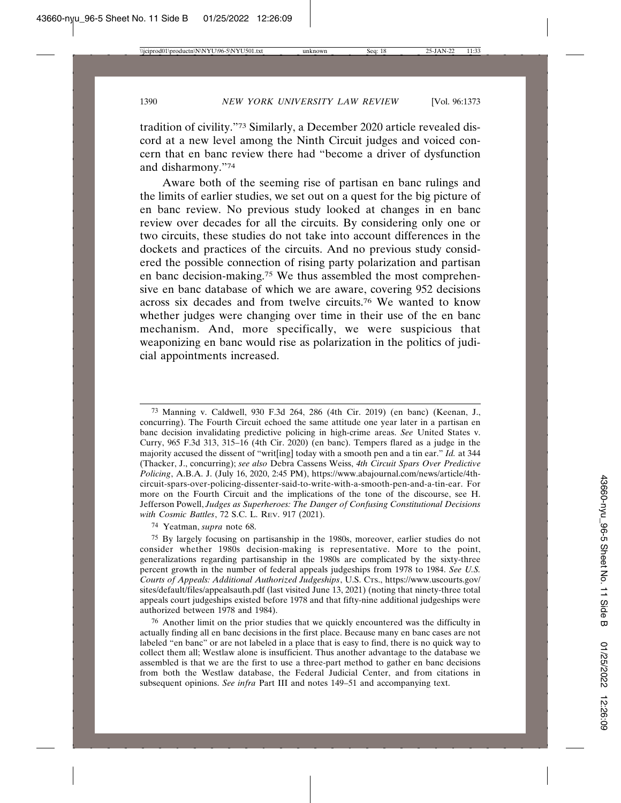tradition of civility."73 Similarly, a December 2020 article revealed discord at a new level among the Ninth Circuit judges and voiced concern that en banc review there had "become a driver of dysfunction and disharmony."74

Aware both of the seeming rise of partisan en banc rulings and the limits of earlier studies, we set out on a quest for the big picture of en banc review. No previous study looked at changes in en banc review over decades for all the circuits. By considering only one or two circuits, these studies do not take into account differences in the dockets and practices of the circuits. And no previous study considered the possible connection of rising party polarization and partisan en banc decision-making.75 We thus assembled the most comprehensive en banc database of which we are aware, covering 952 decisions across six decades and from twelve circuits.76 We wanted to know whether judges were changing over time in their use of the en banc mechanism. And, more specifically, we were suspicious that weaponizing en banc would rise as polarization in the politics of judicial appointments increased.

73 Manning v. Caldwell, 930 F.3d 264, 286 (4th Cir. 2019) (en banc) (Keenan, J., concurring). The Fourth Circuit echoed the same attitude one year later in a partisan en banc decision invalidating predictive policing in high-crime areas. *See* United States v. Curry, 965 F.3d 313, 315–16 (4th Cir. 2020) (en banc). Tempers flared as a judge in the majority accused the dissent of "writ[ing] today with a smooth pen and a tin ear." *Id.* at 344 (Thacker, J., concurring); *see also* Debra Cassens Weiss, *4th Circuit Spars Over Predictive Policing*, A.B.A. J. (July 16, 2020, 2:45 PM), https://www.abajournal.com/news/article/4thcircuit-spars-over-policing-dissenter-said-to-write-with-a-smooth-pen-and-a-tin-ear. For more on the Fourth Circuit and the implications of the tone of the discourse, see H. Jefferson Powell, *Judges as Superheroes: The Danger of Confusing Constitutional Decisions with Cosmic Battles*, 72 S.C. L. REV. 917 (2021).

74 Yeatman, *supra* note 68.

75 By largely focusing on partisanship in the 1980s, moreover, earlier studies do not consider whether 1980s decision-making is representative. More to the point, generalizations regarding partisanship in the 1980s are complicated by the sixty-three percent growth in the number of federal appeals judgeships from 1978 to 1984. *See U.S. Courts of Appeals: Additional Authorized Judgeships*, U.S. CTS., https://www.uscourts.gov/ sites/default/files/appealsauth.pdf (last visited June 13, 2021) (noting that ninety-three total appeals court judgeships existed before 1978 and that fifty-nine additional judgeships were authorized between 1978 and 1984).

76 Another limit on the prior studies that we quickly encountered was the difficulty in actually finding all en banc decisions in the first place. Because many en banc cases are not labeled "en banc" or are not labeled in a place that is easy to find, there is no quick way to collect them all; Westlaw alone is insufficient. Thus another advantage to the database we assembled is that we are the first to use a three-part method to gather en banc decisions from both the Westlaw database, the Federal Judicial Center, and from citations in subsequent opinions. *See infra* Part III and notes 149–51 and accompanying text.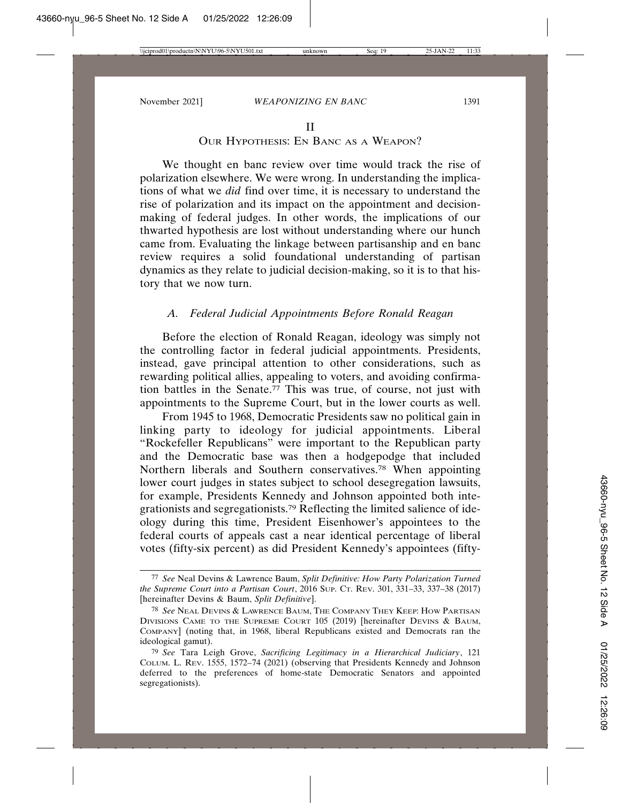#### II

#### OUR HYPOTHESIS: EN BANC AS A WEAPON?

We thought en banc review over time would track the rise of polarization elsewhere. We were wrong. In understanding the implications of what we *did* find over time, it is necessary to understand the rise of polarization and its impact on the appointment and decisionmaking of federal judges. In other words, the implications of our thwarted hypothesis are lost without understanding where our hunch came from. Evaluating the linkage between partisanship and en banc review requires a solid foundational understanding of partisan dynamics as they relate to judicial decision-making, so it is to that history that we now turn.

#### *A. Federal Judicial Appointments Before Ronald Reagan*

Before the election of Ronald Reagan, ideology was simply not the controlling factor in federal judicial appointments. Presidents, instead, gave principal attention to other considerations, such as rewarding political allies, appealing to voters, and avoiding confirmation battles in the Senate. $\frac{77}{7}$  This was true, of course, not just with appointments to the Supreme Court, but in the lower courts as well.

From 1945 to 1968, Democratic Presidents saw no political gain in linking party to ideology for judicial appointments. Liberal "Rockefeller Republicans" were important to the Republican party and the Democratic base was then a hodgepodge that included Northern liberals and Southern conservatives.78 When appointing lower court judges in states subject to school desegregation lawsuits, for example, Presidents Kennedy and Johnson appointed both integrationists and segregationists.79 Reflecting the limited salience of ideology during this time, President Eisenhower's appointees to the federal courts of appeals cast a near identical percentage of liberal votes (fifty-six percent) as did President Kennedy's appointees (fifty-

<sup>77</sup> *See* Neal Devins & Lawrence Baum, *Split Definitive: How Party Polarization Turned the Supreme Court into a Partisan Court*, 2016 SUP. CT. REV. 301, 331–33, 337–38 (2017) [hereinafter Devins & Baum, *Split Definitive*].

<sup>78</sup> *See* NEAL DEVINS & LAWRENCE BAUM, THE COMPANY THEY KEEP: HOW PARTISAN DIVISIONS CAME TO THE SUPREME COURT 105 (2019) [hereinafter DEVINS & BAUM, COMPANY] (noting that, in 1968, liberal Republicans existed and Democrats ran the ideological gamut).

<sup>79</sup> *See* Tara Leigh Grove, *Sacrificing Legitimacy in a Hierarchical Judiciary*, 121 COLUM. L. REV. 1555, 1572–74 (2021) (observing that Presidents Kennedy and Johnson deferred to the preferences of home-state Democratic Senators and appointed segregationists).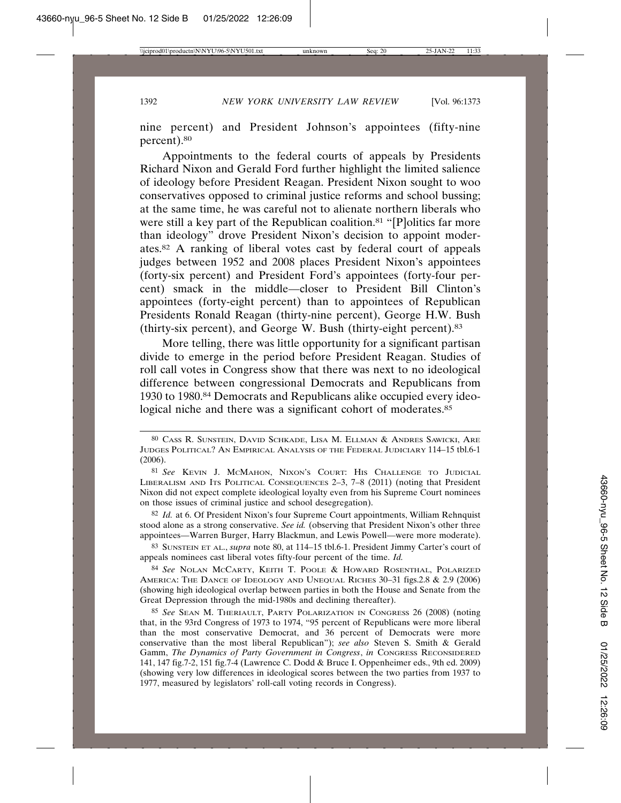nine percent) and President Johnson's appointees (fifty-nine percent).80

Appointments to the federal courts of appeals by Presidents Richard Nixon and Gerald Ford further highlight the limited salience of ideology before President Reagan. President Nixon sought to woo conservatives opposed to criminal justice reforms and school bussing; at the same time, he was careful not to alienate northern liberals who were still a key part of the Republican coalition.<sup>81</sup> "[P]olitics far more than ideology" drove President Nixon's decision to appoint moderates.82 A ranking of liberal votes cast by federal court of appeals judges between 1952 and 2008 places President Nixon's appointees (forty-six percent) and President Ford's appointees (forty-four percent) smack in the middle—closer to President Bill Clinton's appointees (forty-eight percent) than to appointees of Republican Presidents Ronald Reagan (thirty-nine percent), George H.W. Bush (thirty-six percent), and George W. Bush (thirty-eight percent).83

More telling, there was little opportunity for a significant partisan divide to emerge in the period before President Reagan. Studies of roll call votes in Congress show that there was next to no ideological difference between congressional Democrats and Republicans from 1930 to 1980.84 Democrats and Republicans alike occupied every ideological niche and there was a significant cohort of moderates.<sup>85</sup>

82 *Id.* at 6. Of President Nixon's four Supreme Court appointments, William Rehnquist stood alone as a strong conservative. *See id.* (observing that President Nixon's other three appointees—Warren Burger, Harry Blackmun, and Lewis Powell—were more moderate).

83 SUNSTEIN ET AL., *supra* note 80, at 114–15 tbl.6-1. President Jimmy Carter's court of appeals nominees cast liberal votes fifty-four percent of the time. *Id.* 

84 *See* NOLAN MCCARTY, KEITH T. POOLE & HOWARD ROSENTHAL, POLARIZED AMERICA: THE DANCE OF IDEOLOGY AND UNEQUAL RICHES 30–31 figs.2.8 & 2.9 (2006) (showing high ideological overlap between parties in both the House and Senate from the Great Depression through the mid-1980s and declining thereafter).

<sup>80</sup> CASS R. SUNSTEIN, DAVID SCHKADE, LISA M. ELLMAN & ANDRES SAWICKI, ARE JUDGES POLITICAL? AN EMPIRICAL ANALYSIS OF THE FEDERAL JUDICIARY 114–15 tbl.6-1 (2006).

<sup>81</sup> *See* KEVIN J. MCMAHON, NIXON'S COURT: HIS CHALLENGE TO JUDICIAL LIBERALISM AND ITS POLITICAL CONSEQUENCES 2–3, 7–8 (2011) (noting that President Nixon did not expect complete ideological loyalty even from his Supreme Court nominees on those issues of criminal justice and school desegregation).

<sup>85</sup> *See* SEAN M. THERIAULT, PARTY POLARIZATION IN CONGRESS 26 (2008) (noting that, in the 93rd Congress of 1973 to 1974, "95 percent of Republicans were more liberal than the most conservative Democrat, and 36 percent of Democrats were more conservative than the most liberal Republican"); *see also* Steven S. Smith & Gerald Gamm, *The Dynamics of Party Government in Congress*, *in* CONGRESS RECONSIDERED 141, 147 fig.7-2, 151 fig.7-4 (Lawrence C. Dodd & Bruce I. Oppenheimer eds., 9th ed. 2009) (showing very low differences in ideological scores between the two parties from 1937 to 1977, measured by legislators' roll-call voting records in Congress).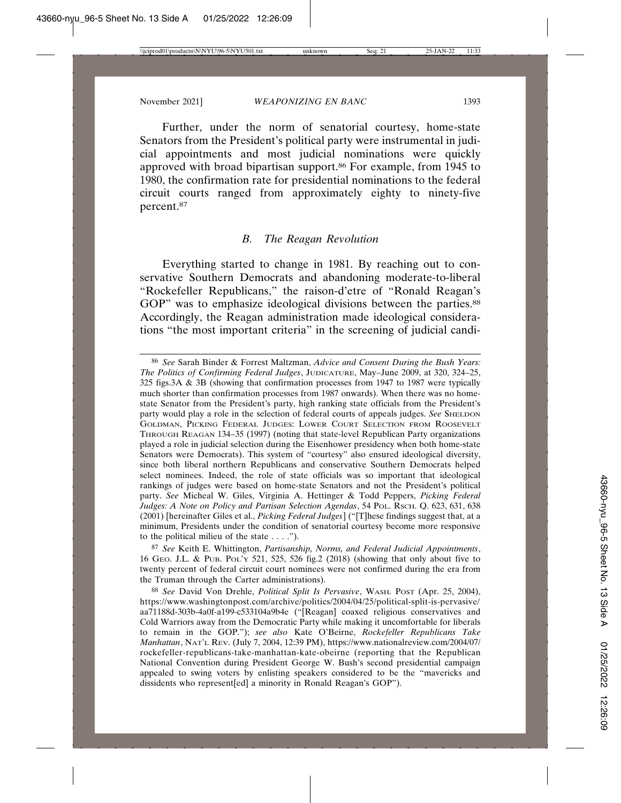Further, under the norm of senatorial courtesy, home-state Senators from the President's political party were instrumental in judicial appointments and most judicial nominations were quickly approved with broad bipartisan support.86 For example, from 1945 to 1980, the confirmation rate for presidential nominations to the federal circuit courts ranged from approximately eighty to ninety-five percent.87

#### *B. The Reagan Revolution*

Everything started to change in 1981. By reaching out to conservative Southern Democrats and abandoning moderate-to-liberal "Rockefeller Republicans," the raison-d'etre of "Ronald Reagan's GOP" was to emphasize ideological divisions between the parties.<sup>88</sup> Accordingly, the Reagan administration made ideological considerations "the most important criteria" in the screening of judicial candi-

87 *See* Keith E. Whittington, *Partisanship, Norms, and Federal Judicial Appointments*, 16 GEO. J.L. & PUB. POL'Y 521, 525, 526 fig.2 (2018) (showing that only about five to twenty percent of federal circuit court nominees were not confirmed during the era from the Truman through the Carter administrations).

<sup>86</sup> *See* Sarah Binder & Forrest Maltzman, *Advice and Consent During the Bush Years: The Politics of Confirming Federal Judges*, JUDICATURE, May–June 2009, at 320, 324–25, 325 figs.3A & 3B (showing that confirmation processes from 1947 to 1987 were typically much shorter than confirmation processes from 1987 onwards). When there was no homestate Senator from the President's party, high ranking state officials from the President's party would play a role in the selection of federal courts of appeals judges. *See* SHELDON GOLDMAN, PICKING FEDERAL JUDGES: LOWER COURT SELECTION FROM ROOSEVELT THROUGH REAGAN 134–35 (1997) (noting that state-level Republican Party organizations played a role in judicial selection during the Eisenhower presidency when both home-state Senators were Democrats). This system of "courtesy" also ensured ideological diversity, since both liberal northern Republicans and conservative Southern Democrats helped select nominees. Indeed, the role of state officials was so important that ideological rankings of judges were based on home-state Senators and not the President's political party. *See* Micheal W. Giles, Virginia A. Hettinger & Todd Peppers, *Picking Federal* Judges: A Note on Policy and Partisan Selection Agendas, 54 PoL. Rsch. Q. 623, 631, 638 (2001) [hereinafter Giles et al., *Picking Federal Judges*] ("[T]hese findings suggest that, at a minimum, Presidents under the condition of senatorial courtesy become more responsive to the political milieu of the state . . . .").

<sup>88</sup> *See* David Von Drehle, *Political Split Is Pervasive*, WASH. POST (Apr. 25, 2004), https://www.washingtonpost.com/archive/politics/2004/04/25/political-split-is-pervasive/ aa71188d-303b-4a0f-a199-c533104a9b4e ("[Reagan] coaxed religious conservatives and Cold Warriors away from the Democratic Party while making it uncomfortable for liberals to remain in the GOP."); *see also* Kate O'Beirne, *Rockefeller Republicans Take Manhattan*, NAT'L REV. (July 7, 2004, 12:39 PM), https://www.nationalreview.com/2004/07/ rockefeller-republicans-take-manhattan-kate-obeirne (reporting that the Republican National Convention during President George W. Bush's second presidential campaign appealed to swing voters by enlisting speakers considered to be the "mavericks and dissidents who represent[ed] a minority in Ronald Reagan's GOP").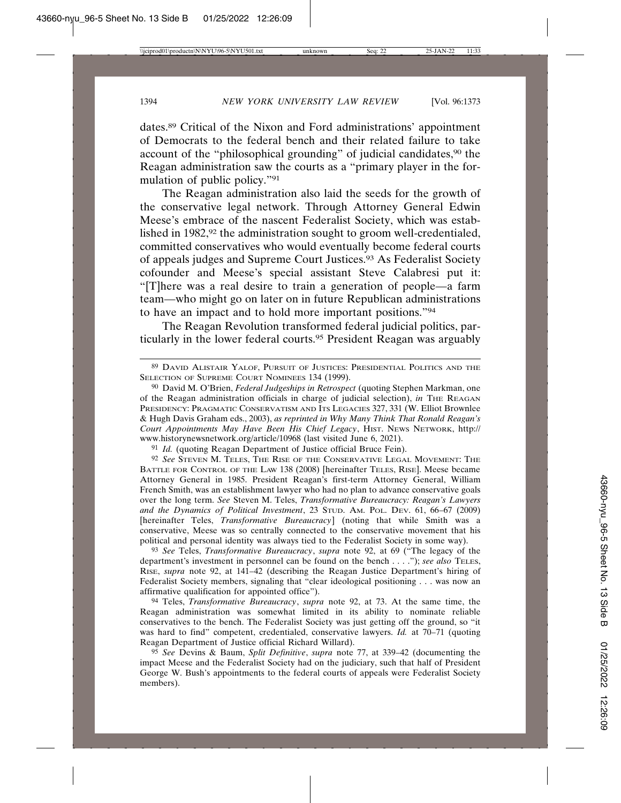dates.89 Critical of the Nixon and Ford administrations' appointment of Democrats to the federal bench and their related failure to take account of the "philosophical grounding" of judicial candidates,<sup>90</sup> the Reagan administration saw the courts as a "primary player in the formulation of public policy."91

The Reagan administration also laid the seeds for the growth of the conservative legal network. Through Attorney General Edwin Meese's embrace of the nascent Federalist Society, which was established in 1982,<sup>92</sup> the administration sought to groom well-credentialed, committed conservatives who would eventually become federal courts of appeals judges and Supreme Court Justices.93 As Federalist Society cofounder and Meese's special assistant Steve Calabresi put it: "[T]here was a real desire to train a generation of people—a farm team—who might go on later on in future Republican administrations to have an impact and to hold more important positions."94

The Reagan Revolution transformed federal judicial politics, particularly in the lower federal courts.95 President Reagan was arguably

<sup>91</sup> *Id.* (quoting Reagan Department of Justice official Bruce Fein).

92 *See* STEVEN M. TELES, THE RISE OF THE CONSERVATIVE LEGAL MOVEMENT: THE BATTLE FOR CONTROL OF THE LAW 138 (2008) [hereinafter TELES, RISE]. Meese became Attorney General in 1985. President Reagan's first-term Attorney General, William French Smith, was an establishment lawyer who had no plan to advance conservative goals over the long term. *See* Steven M. Teles, *Transformative Bureaucracy: Reagan's Lawyers and the Dynamics of Political Investment*, 23 STUD. AM. POL. DEV. 61, 66–67 (2009) [hereinafter Teles, *Transformative Bureaucracy*] (noting that while Smith was a conservative, Meese was so centrally connected to the conservative movement that his political and personal identity was always tied to the Federalist Society in some way).

93 *See* Teles, *Transformative Bureaucracy*, *supra* note 92, at 69 ("The legacy of the department's investment in personnel can be found on the bench . . . ."); *see also* TELES, RISE, *supra* note 92, at 141–42 (describing the Reagan Justice Department's hiring of Federalist Society members, signaling that "clear ideological positioning . . . was now an affirmative qualification for appointed office").

94 Teles, *Transformative Bureaucracy*, *supra* note 92, at 73. At the same time, the Reagan administration was somewhat limited in its ability to nominate reliable conservatives to the bench. The Federalist Society was just getting off the ground, so "it was hard to find" competent, credentialed, conservative lawyers. *Id.* at 70–71 (quoting Reagan Department of Justice official Richard Willard).

95 *See* Devins & Baum, *Split Definitive*, *supra* note 77, at 339–42 (documenting the impact Meese and the Federalist Society had on the judiciary, such that half of President George W. Bush's appointments to the federal courts of appeals were Federalist Society members).

<sup>89</sup> DAVID ALISTAIR YALOF, PURSUIT OF JUSTICES: PRESIDENTIAL POLITICS AND THE SELECTION OF SUPREME COURT NOMINEES 134 (1999).

<sup>90</sup> David M. O'Brien, *Federal Judgeships in Retrospect* (quoting Stephen Markman, one of the Reagan administration officials in charge of judicial selection), *in* THE REAGAN PRESIDENCY: PRAGMATIC CONSERVATISM AND ITS LEGACIES 327, 331 (W. Elliot Brownlee & Hugh Davis Graham eds., 2003), *as reprinted in Why Many Think That Ronald Reagan's Court Appointments May Have Been His Chief Legacy*, HIST. NEWS NETWORK, http:// www.historynewsnetwork.org/article/10968 (last visited June 6, 2021).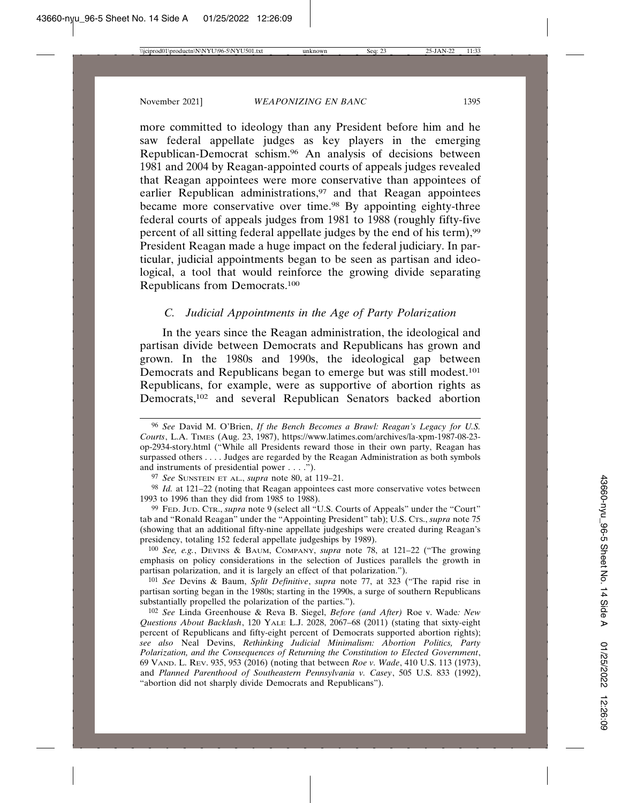more committed to ideology than any President before him and he saw federal appellate judges as key players in the emerging Republican-Democrat schism.96 An analysis of decisions between 1981 and 2004 by Reagan-appointed courts of appeals judges revealed that Reagan appointees were more conservative than appointees of earlier Republican administrations,<sup>97</sup> and that Reagan appointees became more conservative over time.98 By appointing eighty-three federal courts of appeals judges from 1981 to 1988 (roughly fifty-five percent of all sitting federal appellate judges by the end of his term),99 President Reagan made a huge impact on the federal judiciary. In particular, judicial appointments began to be seen as partisan and ideological, a tool that would reinforce the growing divide separating Republicans from Democrats.100

## *C. Judicial Appointments in the Age of Party Polarization*

In the years since the Reagan administration, the ideological and partisan divide between Democrats and Republicans has grown and grown. In the 1980s and 1990s, the ideological gap between Democrats and Republicans began to emerge but was still modest.<sup>101</sup> Republicans, for example, were as supportive of abortion rights as Democrats,102 and several Republican Senators backed abortion

99 FED. JUD. CTR., *supra* note 9 (select all "U.S. Courts of Appeals" under the "Court" tab and "Ronald Reagan" under the "Appointing President" tab); U.S. CTS., *supra* note 75 (showing that an additional fifty-nine appellate judgeships were created during Reagan's presidency, totaling 152 federal appellate judgeships by 1989).

100 *See, e.g.*, DEVINS & BAUM, COMPANY, *supra* note 78, at 121–22 ("The growing emphasis on policy considerations in the selection of Justices parallels the growth in partisan polarization, and it is largely an effect of that polarization.").

101 *See* Devins & Baum, *Split Definitive*, *supra* note 77, at 323 ("The rapid rise in partisan sorting began in the 1980s; starting in the 1990s, a surge of southern Republicans substantially propelled the polarization of the parties.").

102 *See* Linda Greenhouse & Reva B. Siegel, *Before (and After)* Roe v. Wade*: New Questions About Backlash*, 120 YALE L.J. 2028, 2067–68 (2011) (stating that sixty-eight percent of Republicans and fifty-eight percent of Democrats supported abortion rights); *see also* Neal Devins, *Rethinking Judicial Minimalism: Abortion Politics, Party Polarization, and the Consequences of Returning the Constitution to Elected Government*, 69 VAND. L. REV. 935, 953 (2016) (noting that between *Roe v. Wade*, 410 U.S. 113 (1973), and *Planned Parenthood of Southeastern Pennsylvania v. Casey*, 505 U.S. 833 (1992), "abortion did not sharply divide Democrats and Republicans").

<sup>96</sup> *See* David M. O'Brien, *If the Bench Becomes a Brawl: Reagan's Legacy for U.S. Courts*, L.A. TIMES (Aug. 23, 1987), https://www.latimes.com/archives/la-xpm-1987-08-23 op-2934-story.html ("While all Presidents reward those in their own party, Reagan has surpassed others . . . . Judges are regarded by the Reagan Administration as both symbols and instruments of presidential power . . . .").

<sup>97</sup> *See* SUNSTEIN ET AL., *supra* note 80, at 119–21.

<sup>98</sup> *Id.* at 121–22 (noting that Reagan appointees cast more conservative votes between 1993 to 1996 than they did from 1985 to 1988).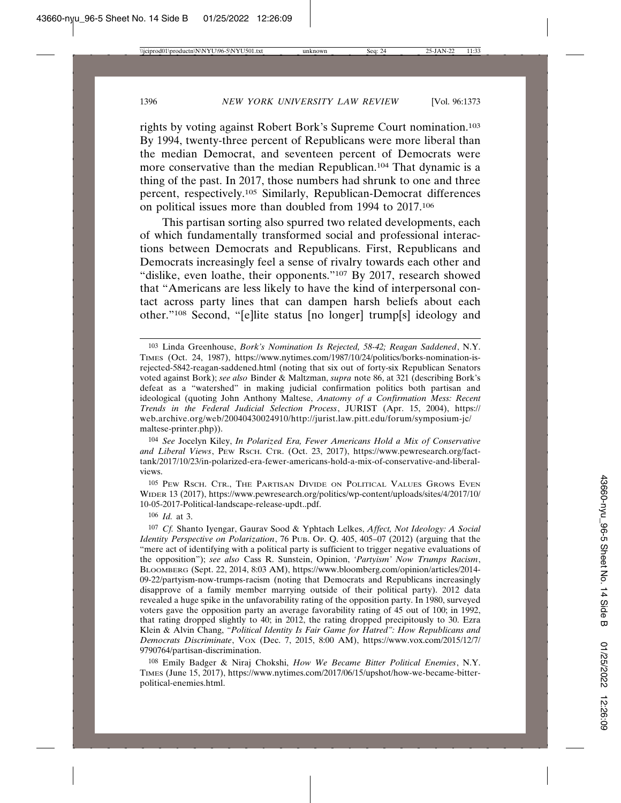rights by voting against Robert Bork's Supreme Court nomination.103 By 1994, twenty-three percent of Republicans were more liberal than the median Democrat, and seventeen percent of Democrats were more conservative than the median Republican.104 That dynamic is a thing of the past. In 2017, those numbers had shrunk to one and three percent, respectively.105 Similarly, Republican-Democrat differences on political issues more than doubled from 1994 to 2017.106

This partisan sorting also spurred two related developments, each of which fundamentally transformed social and professional interactions between Democrats and Republicans. First, Republicans and Democrats increasingly feel a sense of rivalry towards each other and "dislike, even loathe, their opponents."<sup>107</sup> By 2017, research showed that "Americans are less likely to have the kind of interpersonal contact across party lines that can dampen harsh beliefs about each other."108 Second, "[e]lite status [no longer] trump[s] ideology and

105 PEW RSCH. CTR., THE PARTISAN DIVIDE ON POLITICAL VALUES GROWS EVEN WIDER 13 (2017), https://www.pewresearch.org/politics/wp-content/uploads/sites/4/2017/10/ 10-05-2017-Political-landscape-release-updt..pdf.

106 *Id.* at 3.

108 Emily Badger & Niraj Chokshi, *How We Became Bitter Political Enemies*, N.Y. TIMES (June 15, 2017), https://www.nytimes.com/2017/06/15/upshot/how-we-became-bitterpolitical-enemies.html.

<sup>103</sup> Linda Greenhouse, *Bork's Nomination Is Rejected, 58-42; Reagan Saddened*, N.Y. TIMES (Oct. 24, 1987), https://www.nytimes.com/1987/10/24/politics/borks-nomination-isrejected-5842-reagan-saddened.html (noting that six out of forty-six Republican Senators voted against Bork); *see also* Binder & Maltzman, *supra* note 86, at 321 (describing Bork's defeat as a "watershed" in making judicial confirmation politics both partisan and ideological (quoting John Anthony Maltese, *Anatomy of a Confirmation Mess: Recent Trends in the Federal Judicial Selection Process*, JURIST (Apr. 15, 2004), https:// web.archive.org/web/20040430024910/http://jurist.law.pitt.edu/forum/symposium-jc/ maltese-printer.php)).

<sup>104</sup> *See* Jocelyn Kiley, *In Polarized Era, Fewer Americans Hold a Mix of Conservative and Liberal Views*, PEW RSCH. CTR. (Oct. 23, 2017), https://www.pewresearch.org/facttank/2017/10/23/in-polarized-era-fewer-americans-hold-a-mix-of-conservative-and-liberalviews.

<sup>107</sup> *Cf.* Shanto Iyengar, Gaurav Sood & Yphtach Lelkes, *Affect, Not Ideology: A Social Identity Perspective on Polarization*, 76 PUB. OP. Q. 405, 405–07 (2012) (arguing that the "mere act of identifying with a political party is sufficient to trigger negative evaluations of the opposition"); *see also* Cass R. Sunstein, Opinion, *'Partyism' Now Trumps Racism*, BLOOMBERG (Sept. 22, 2014, 8:03 AM), https://www.bloomberg.com/opinion/articles/2014- 09-22/partyism-now-trumps-racism (noting that Democrats and Republicans increasingly disapprove of a family member marrying outside of their political party). 2012 data revealed a huge spike in the unfavorability rating of the opposition party. In 1980, surveyed voters gave the opposition party an average favorability rating of 45 out of 100; in 1992, that rating dropped slightly to 40; in 2012, the rating dropped precipitously to 30. Ezra Klein & Alvin Chang, *"Political Identity Is Fair Game for Hatred": How Republicans and Democrats Discriminate*, VOX (Dec. 7, 2015, 8:00 AM), https://www.vox.com/2015/12/7/ 9790764/partisan-discrimination.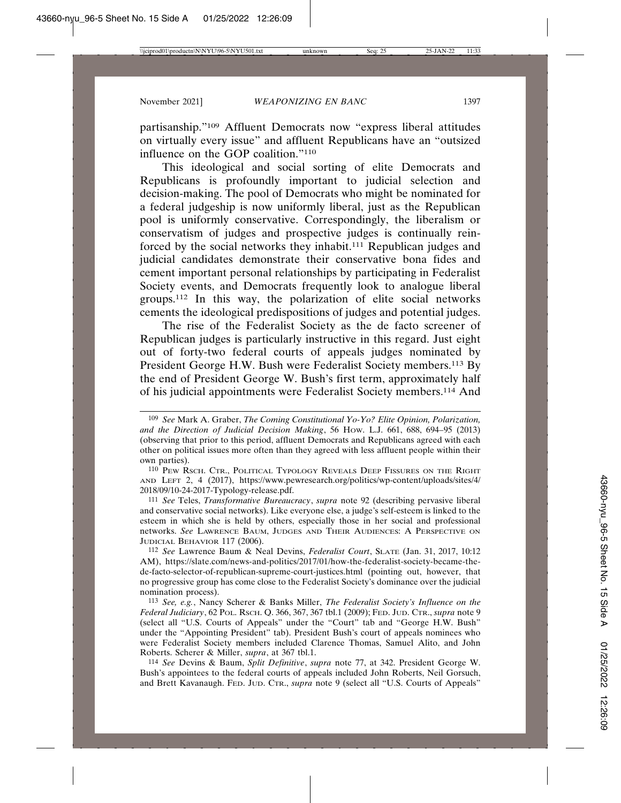partisanship."109 Affluent Democrats now "express liberal attitudes on virtually every issue" and affluent Republicans have an "outsized influence on the GOP coalition."110

This ideological and social sorting of elite Democrats and Republicans is profoundly important to judicial selection and decision-making. The pool of Democrats who might be nominated for a federal judgeship is now uniformly liberal, just as the Republican pool is uniformly conservative. Correspondingly, the liberalism or conservatism of judges and prospective judges is continually reinforced by the social networks they inhabit.111 Republican judges and judicial candidates demonstrate their conservative bona fides and cement important personal relationships by participating in Federalist Society events, and Democrats frequently look to analogue liberal groups.112 In this way, the polarization of elite social networks cements the ideological predispositions of judges and potential judges.

The rise of the Federalist Society as the de facto screener of Republican judges is particularly instructive in this regard. Just eight out of forty-two federal courts of appeals judges nominated by President George H.W. Bush were Federalist Society members.113 By the end of President George W. Bush's first term, approximately half of his judicial appointments were Federalist Society members.114 And

111 *See* Teles, *Transformative Bureaucracy*, *supra* note 92 (describing pervasive liberal and conservative social networks). Like everyone else, a judge's self-esteem is linked to the esteem in which she is held by others, especially those in her social and professional networks. *See* LAWRENCE BAUM, JUDGES AND THEIR AUDIENCES: A PERSPECTIVE ON JUDICIAL BEHAVIOR 117 (2006).

112 *See* Lawrence Baum & Neal Devins, *Federalist Court*, SLATE (Jan. 31, 2017, 10:12 AM), https://slate.com/news-and-politics/2017/01/how-the-federalist-society-became-thede-facto-selector-of-republican-supreme-court-justices.html (pointing out, however, that no progressive group has come close to the Federalist Society's dominance over the judicial nomination process).

113 *See, e.g.*, Nancy Scherer & Banks Miller, *The Federalist Society's Influence on the Federal Judiciary*, 62 POL. RSCH. Q. 366, 367, 367 tbl.1 (2009); FED. JUD. CTR., *supra* note 9 (select all "U.S. Courts of Appeals" under the "Court" tab and "George H.W. Bush" under the "Appointing President" tab). President Bush's court of appeals nominees who were Federalist Society members included Clarence Thomas, Samuel Alito, and John Roberts. Scherer & Miller, *supra*, at 367 tbl.1.

114 *See* Devins & Baum, *Split Definitive*, *supra* note 77, at 342. President George W. Bush's appointees to the federal courts of appeals included John Roberts, Neil Gorsuch, and Brett Kavanaugh. FED. JUD. CTR., *supra* note 9 (select all "U.S. Courts of Appeals"

<sup>109</sup> *See* Mark A. Graber, *The Coming Constitutional Yo-Yo? Elite Opinion, Polarization, and the Direction of Judicial Decision Making*, 56 HOW. L.J. 661, 688, 694–95 (2013) (observing that prior to this period, affluent Democrats and Republicans agreed with each other on political issues more often than they agreed with less affluent people within their own parties).

<sup>110</sup> PEW RSCH. CTR., POLITICAL TYPOLOGY REVEALS DEEP FISSURES ON THE RIGHT AND LEFT 2, 4 (2017), https://www.pewresearch.org/politics/wp-content/uploads/sites/4/ 2018/09/10-24-2017-Typology-release.pdf.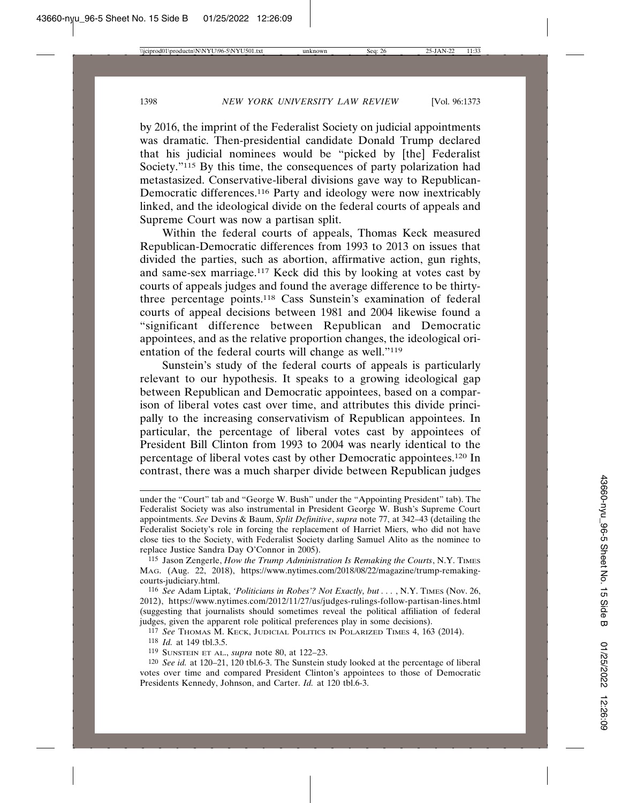by 2016, the imprint of the Federalist Society on judicial appointments was dramatic. Then-presidential candidate Donald Trump declared that his judicial nominees would be "picked by [the] Federalist Society."<sup>115</sup> By this time, the consequences of party polarization had metastasized. Conservative-liberal divisions gave way to Republican-Democratic differences.116 Party and ideology were now inextricably linked, and the ideological divide on the federal courts of appeals and Supreme Court was now a partisan split.

Within the federal courts of appeals, Thomas Keck measured Republican-Democratic differences from 1993 to 2013 on issues that divided the parties, such as abortion, affirmative action, gun rights, and same-sex marriage.117 Keck did this by looking at votes cast by courts of appeals judges and found the average difference to be thirtythree percentage points.118 Cass Sunstein's examination of federal courts of appeal decisions between 1981 and 2004 likewise found a "significant difference between Republican and Democratic appointees, and as the relative proportion changes, the ideological orientation of the federal courts will change as well."119

Sunstein's study of the federal courts of appeals is particularly relevant to our hypothesis. It speaks to a growing ideological gap between Republican and Democratic appointees, based on a comparison of liberal votes cast over time, and attributes this divide principally to the increasing conservativism of Republican appointees. In particular, the percentage of liberal votes cast by appointees of President Bill Clinton from 1993 to 2004 was nearly identical to the percentage of liberal votes cast by other Democratic appointees.120 In contrast, there was a much sharper divide between Republican judges

116 *See* Adam Liptak, *'Politicians in Robes'? Not Exactly, but . . .* , N.Y. TIMES (Nov. 26, 2012), https://www.nytimes.com/2012/11/27/us/judges-rulings-follow-partisan-lines.html (suggesting that journalists should sometimes reveal the political affiliation of federal judges, given the apparent role political preferences play in some decisions).

117 *See* THOMAS M. KECK, JUDICIAL POLITICS IN POLARIZED TIMES 4, 163 (2014).

118 *Id.* at 149 tbl.3.5.

119 SUNSTEIN ET AL., *supra* note 80, at 122–23.

120 *See id.* at 120–21, 120 tbl.6-3. The Sunstein study looked at the percentage of liberal votes over time and compared President Clinton's appointees to those of Democratic Presidents Kennedy, Johnson, and Carter. *Id.* at 120 tbl.6-3.

under the "Court" tab and "George W. Bush" under the "Appointing President" tab). The Federalist Society was also instrumental in President George W. Bush's Supreme Court appointments. *See* Devins & Baum, *Split Definitive*, *supra* note 77, at 342–43 (detailing the Federalist Society's role in forcing the replacement of Harriet Miers, who did not have close ties to the Society, with Federalist Society darling Samuel Alito as the nominee to replace Justice Sandra Day O'Connor in 2005).

<sup>115</sup> Jason Zengerle, *How the Trump Administration Is Remaking the Courts*, N.Y. TIMES MAG. (Aug. 22, 2018), https://www.nytimes.com/2018/08/22/magazine/trump-remakingcourts-judiciary.html.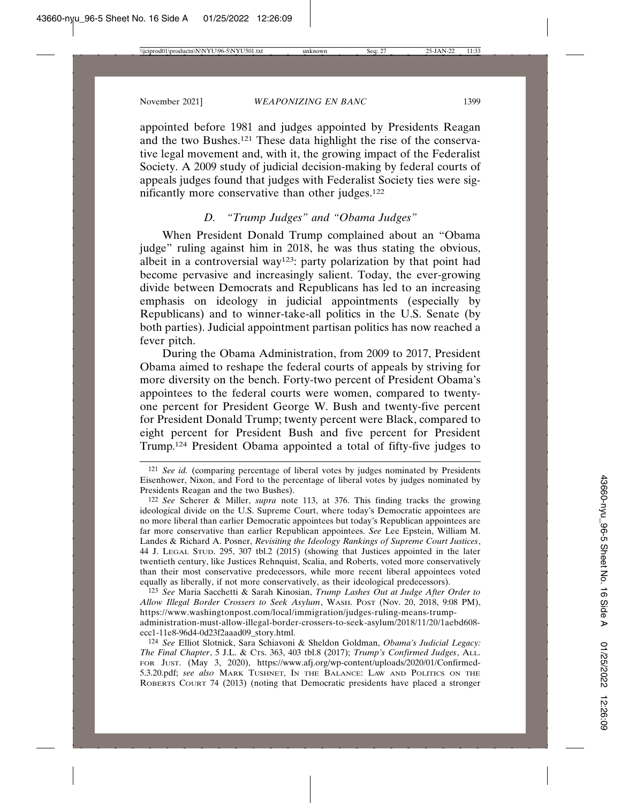appointed before 1981 and judges appointed by Presidents Reagan and the two Bushes.121 These data highlight the rise of the conservative legal movement and, with it, the growing impact of the Federalist Society. A 2009 study of judicial decision-making by federal courts of appeals judges found that judges with Federalist Society ties were significantly more conservative than other judges.122

## *D. "Trump Judges" and "Obama Judges"*

When President Donald Trump complained about an "Obama judge" ruling against him in 2018, he was thus stating the obvious, albeit in a controversial way<sup>123</sup>: party polarization by that point had become pervasive and increasingly salient. Today, the ever-growing divide between Democrats and Republicans has led to an increasing emphasis on ideology in judicial appointments (especially by Republicans) and to winner-take-all politics in the U.S. Senate (by both parties). Judicial appointment partisan politics has now reached a fever pitch.

During the Obama Administration, from 2009 to 2017, President Obama aimed to reshape the federal courts of appeals by striving for more diversity on the bench. Forty-two percent of President Obama's appointees to the federal courts were women, compared to twentyone percent for President George W. Bush and twenty-five percent for President Donald Trump; twenty percent were Black, compared to eight percent for President Bush and five percent for President Trump.124 President Obama appointed a total of fifty-five judges to

123 *See* Maria Sacchetti & Sarah Kinosian, *Trump Lashes Out at Judge After Order to Allow Illegal Border Crossers to Seek Asylum*, WASH. POST (Nov. 20, 2018, 9:08 PM), https://www.washingtonpost.com/local/immigration/judges-ruling-means-trump-

administration-must-allow-illegal-border-crossers-to-seek-asylum/2018/11/20/1aebd608 ecc1-11e8-96d4-0d23f2aaad09\_story.html.

124 *See* Elliot Slotnick, Sara Schiavoni & Sheldon Goldman, *Obama's Judicial Legacy: The Final Chapter*, 5 J.L. & CTS. 363, 403 tbl.8 (2017); *Trump's Confirmed Judges*, ALL. FOR JUST. (May 3, 2020), https://www.afj.org/wp-content/uploads/2020/01/Confirmed-5.3.20.pdf; *see also* MARK TUSHNET, IN THE BALANCE: LAW AND POLITICS ON THE ROBERTS COURT 74 (2013) (noting that Democratic presidents have placed a stronger

<sup>121</sup> *See id.* (comparing percentage of liberal votes by judges nominated by Presidents Eisenhower, Nixon, and Ford to the percentage of liberal votes by judges nominated by Presidents Reagan and the two Bushes).

<sup>122</sup> *See* Scherer & Miller, *supra* note 113, at 376. This finding tracks the growing ideological divide on the U.S. Supreme Court, where today's Democratic appointees are no more liberal than earlier Democratic appointees but today's Republican appointees are far more conservative than earlier Republican appointees. *See* Lee Epstein, William M. Landes & Richard A. Posner, *Revisiting the Ideology Rankings of Supreme Court Justices*, 44 J. LEGAL STUD. 295, 307 tbl.2 (2015) (showing that Justices appointed in the later twentieth century, like Justices Rehnquist, Scalia, and Roberts, voted more conservatively than their most conservative predecessors, while more recent liberal appointees voted equally as liberally, if not more conservatively, as their ideological predecessors).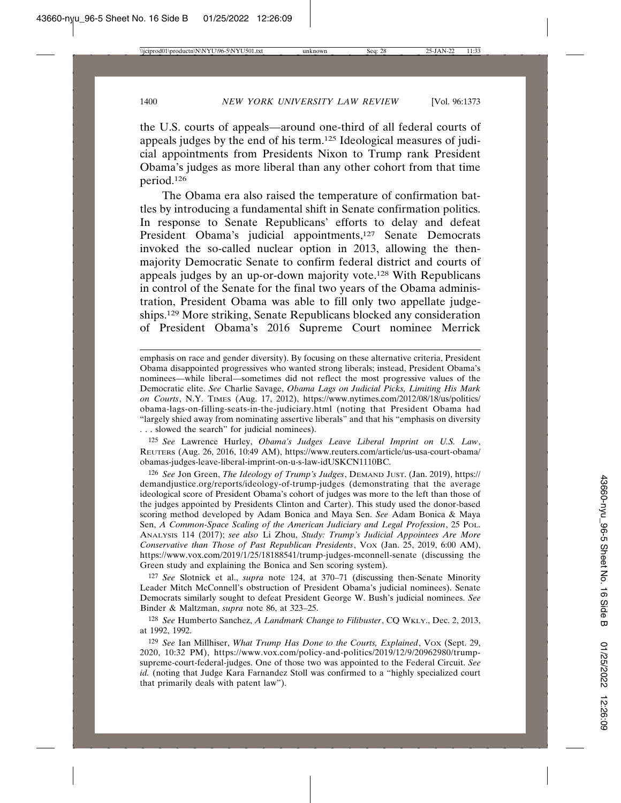the U.S. courts of appeals—around one-third of all federal courts of appeals judges by the end of his term.125 Ideological measures of judicial appointments from Presidents Nixon to Trump rank President Obama's judges as more liberal than any other cohort from that time period.126

The Obama era also raised the temperature of confirmation battles by introducing a fundamental shift in Senate confirmation politics. In response to Senate Republicans' efforts to delay and defeat President Obama's judicial appointments,<sup>127</sup> Senate Democrats invoked the so-called nuclear option in 2013, allowing the thenmajority Democratic Senate to confirm federal district and courts of appeals judges by an up-or-down majority vote.128 With Republicans in control of the Senate for the final two years of the Obama administration, President Obama was able to fill only two appellate judgeships.129 More striking, Senate Republicans blocked any consideration of President Obama's 2016 Supreme Court nominee Merrick

125 *See* Lawrence Hurley, *Obama's Judges Leave Liberal Imprint on U.S. Law*, REUTERS (Aug. 26, 2016, 10:49 AM), https://www.reuters.com/article/us-usa-court-obama/ obamas-judges-leave-liberal-imprint-on-u-s-law-idUSKCN1110BC.

126 *See* Jon Green, *The Ideology of Trump's Judges*, DEMAND JUST. (Jan. 2019), https:// demandjustice.org/reports/ideology-of-trump-judges (demonstrating that the average ideological score of President Obama's cohort of judges was more to the left than those of the judges appointed by Presidents Clinton and Carter). This study used the donor-based scoring method developed by Adam Bonica and Maya Sen. *See* Adam Bonica & Maya Sen, *A Common-Space Scaling of the American Judiciary and Legal Profession*, 25 POL. ANALYSIS 114 (2017); *see also* Li Zhou, *Study: Trump's Judicial Appointees Are More Conservative than Those of Past Republican Presidents*, Vox (Jan. 25, 2019, 6:00 AM), https://www.vox.com/2019/1/25/18188541/trump-judges-mconnell-senate (discussing the Green study and explaining the Bonica and Sen scoring system).

127 *See* Slotnick et al., *supra* note 124, at 370–71 (discussing then-Senate Minority Leader Mitch McConnell's obstruction of President Obama's judicial nominees). Senate Democrats similarly sought to defeat President George W. Bush's judicial nominees. *See* Binder & Maltzman, *supra* note 86, at 323–25.

128 *See* Humberto Sanchez, *A Landmark Change to Filibuster*, CQ WKLY., Dec. 2, 2013, at 1992, 1992.

129 *See* Ian Millhiser, *What Trump Has Done to the Courts, Explained*, VOX (Sept. 29, 2020, 10:32 PM), https://www.vox.com/policy-and-politics/2019/12/9/20962980/trumpsupreme-court-federal-judges. One of those two was appointed to the Federal Circuit. *See id.* (noting that Judge Kara Farnandez Stoll was confirmed to a "highly specialized court that primarily deals with patent law").

emphasis on race and gender diversity). By focusing on these alternative criteria, President Obama disappointed progressives who wanted strong liberals; instead, President Obama's nominees—while liberal—sometimes did not reflect the most progressive values of the Democratic elite. *See* Charlie Savage, *Obama Lags on Judicial Picks, Limiting His Mark on Courts*, N.Y. TIMES (Aug. 17, 2012), https://www.nytimes.com/2012/08/18/us/politics/ obama-lags-on-filling-seats-in-the-judiciary.html (noting that President Obama had "largely shied away from nominating assertive liberals" and that his "emphasis on diversity . . . slowed the search" for judicial nominees).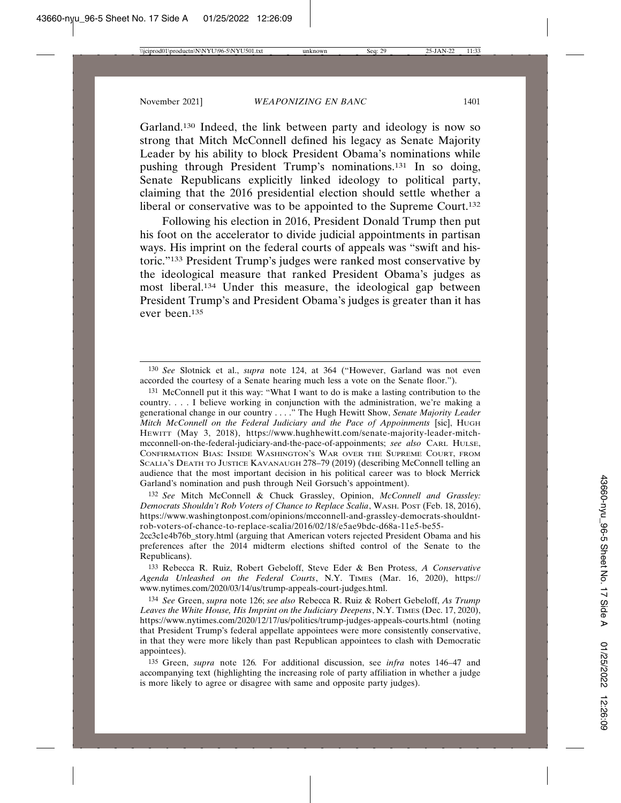Garland.130 Indeed, the link between party and ideology is now so strong that Mitch McConnell defined his legacy as Senate Majority Leader by his ability to block President Obama's nominations while pushing through President Trump's nominations.131 In so doing, Senate Republicans explicitly linked ideology to political party, claiming that the 2016 presidential election should settle whether a liberal or conservative was to be appointed to the Supreme Court.<sup>132</sup>

Following his election in 2016, President Donald Trump then put his foot on the accelerator to divide judicial appointments in partisan ways. His imprint on the federal courts of appeals was "swift and historic."133 President Trump's judges were ranked most conservative by the ideological measure that ranked President Obama's judges as most liberal.134 Under this measure, the ideological gap between President Trump's and President Obama's judges is greater than it has ever been.135

131 McConnell put it this way: "What I want to do is make a lasting contribution to the country. . . . I believe working in conjunction with the administration, we're making a generational change in our country . . . ." The Hugh Hewitt Show, *Senate Majority Leader Mitch McConnell on the Federal Judiciary and the Pace of Appoinments* [sic], HUGH HEWITT (May 3, 2018), https://www.hughhewitt.com/senate-majority-leader-mitchmcconnell-on-the-federal-judiciary-and-the-pace-of-appoinments; *see also* CARL HULSE, CONFIRMATION BIAS: INSIDE WASHINGTON'S WAR OVER THE SUPREME COURT, FROM SCALIA'S DEATH TO JUSTICE KAVANAUGH 278–79 (2019) (describing McConnell telling an audience that the most important decision in his political career was to block Merrick Garland's nomination and push through Neil Gorsuch's appointment).

132 *See* Mitch McConnell & Chuck Grassley, Opinion, *McConnell and Grassley: Democrats Shouldn't Rob Voters of Chance to Replace Scalia*, WASH. POST (Feb. 18, 2016), https://www.washingtonpost.com/opinions/mcconnell-and-grassley-democrats-shouldntrob-voters-of-chance-to-replace-scalia/2016/02/18/e5ae9bdc-d68a-11e5-be55-

2cc3c1e4b76b\_story.html (arguing that American voters rejected President Obama and his preferences after the 2014 midterm elections shifted control of the Senate to the Republicans).

133 Rebecca R. Ruiz, Robert Gebeloff, Steve Eder & Ben Protess, *A Conservative Agenda Unleashed on the Federal Courts*, N.Y. TIMES (Mar. 16, 2020), https:// www.nytimes.com/2020/03/14/us/trump-appeals-court-judges.html.

134 *See* Green, *supra* note 126; *see also* Rebecca R. Ruiz & Robert Gebeloff, *As Trump Leaves the White House, His Imprint on the Judiciary Deepens*, N.Y. TIMES (Dec. 17, 2020), https://www.nytimes.com/2020/12/17/us/politics/trump-judges-appeals-courts.html (noting that President Trump's federal appellate appointees were more consistently conservative, in that they were more likely than past Republican appointees to clash with Democratic appointees).

135 Green, *supra* note 126*.* For additional discussion, see *infra* notes 146–47 and accompanying text (highlighting the increasing role of party affiliation in whether a judge is more likely to agree or disagree with same and opposite party judges).

<sup>130</sup> *See* Slotnick et al., *supra* note 124, at 364 ("However, Garland was not even accorded the courtesy of a Senate hearing much less a vote on the Senate floor.").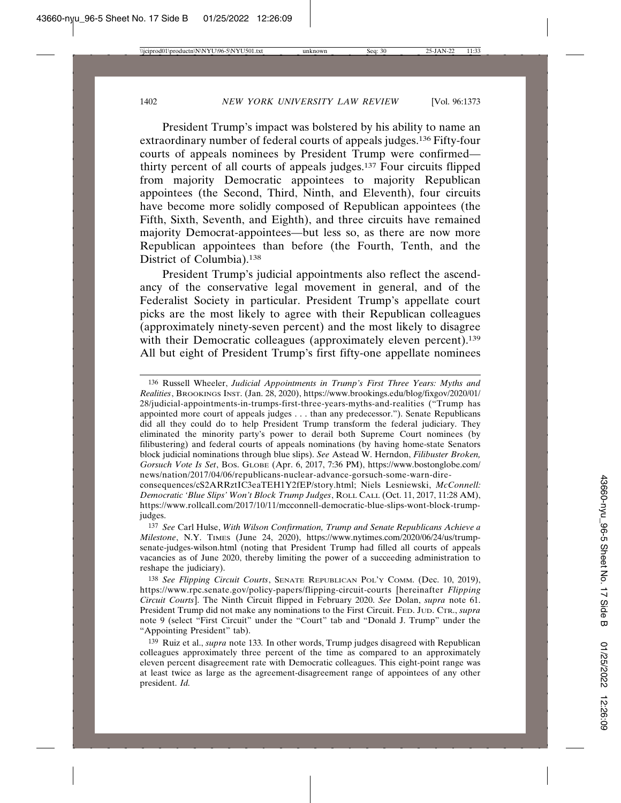President Trump's impact was bolstered by his ability to name an extraordinary number of federal courts of appeals judges.136 Fifty-four courts of appeals nominees by President Trump were confirmed thirty percent of all courts of appeals judges.137 Four circuits flipped from majority Democratic appointees to majority Republican appointees (the Second, Third, Ninth, and Eleventh), four circuits have become more solidly composed of Republican appointees (the Fifth, Sixth, Seventh, and Eighth), and three circuits have remained majority Democrat-appointees—but less so, as there are now more Republican appointees than before (the Fourth, Tenth, and the District of Columbia).138

President Trump's judicial appointments also reflect the ascendancy of the conservative legal movement in general, and of the Federalist Society in particular. President Trump's appellate court picks are the most likely to agree with their Republican colleagues (approximately ninety-seven percent) and the most likely to disagree with their Democratic colleagues (approximately eleven percent).<sup>139</sup> All but eight of President Trump's first fifty-one appellate nominees

<sup>136</sup> Russell Wheeler, *Judicial Appointments in Trump's First Three Years: Myths and Realities*, BROOKINGS INST. (Jan. 28, 2020), https://www.brookings.edu/blog/fixgov/2020/01/ 28/judicial-appointments-in-trumps-first-three-years-myths-and-realities ("Trump has appointed more court of appeals judges . . . than any predecessor."). Senate Republicans did all they could do to help President Trump transform the federal judiciary. They eliminated the minority party's power to derail both Supreme Court nominees (by filibustering) and federal courts of appeals nominations (by having home-state Senators block judicial nominations through blue slips). *See* Astead W. Herndon, *Filibuster Broken, Gorsuch Vote Is Set*, BOS. GLOBE (Apr. 6, 2017, 7:36 PM), https://www.bostonglobe.com/ news/nation/2017/04/06/republicans-nuclear-advance-gorsuch-some-warn-dire-

consequences/cS2ARRztIC3eaTEH1Y2fEP/story.html; Niels Lesniewski, *McConnell: Democratic 'Blue Slips' Won't Block Trump Judges*, ROLL CALL (Oct. 11, 2017, 11:28 AM), https://www.rollcall.com/2017/10/11/mcconnell-democratic-blue-slips-wont-block-trumpjudges.

<sup>137</sup> *See* Carl Hulse, *With Wilson Confirmation, Trump and Senate Republicans Achieve a Milestone*, N.Y. TIMES (June 24, 2020), https://www.nytimes.com/2020/06/24/us/trumpsenate-judges-wilson.html (noting that President Trump had filled all courts of appeals vacancies as of June 2020, thereby limiting the power of a succeeding administration to reshape the judiciary).

<sup>138</sup> *See Flipping Circuit Courts*, SENATE REPUBLICAN POL'Y COMM. (Dec. 10, 2019), https://www.rpc.senate.gov/policy-papers/flipping-circuit-courts [hereinafter *Flipping Circuit Courts*]. The Ninth Circuit flipped in February 2020. *See* Dolan, *supra* note 61. President Trump did not make any nominations to the First Circuit. FED. JUD. CTR., *supra* note 9 (select "First Circuit" under the "Court" tab and "Donald J. Trump" under the "Appointing President" tab).

<sup>139</sup> Ruiz et al., *supra* note 133*.* In other words, Trump judges disagreed with Republican colleagues approximately three percent of the time as compared to an approximately eleven percent disagreement rate with Democratic colleagues. This eight-point range was at least twice as large as the agreement-disagreement range of appointees of any other president. *Id.*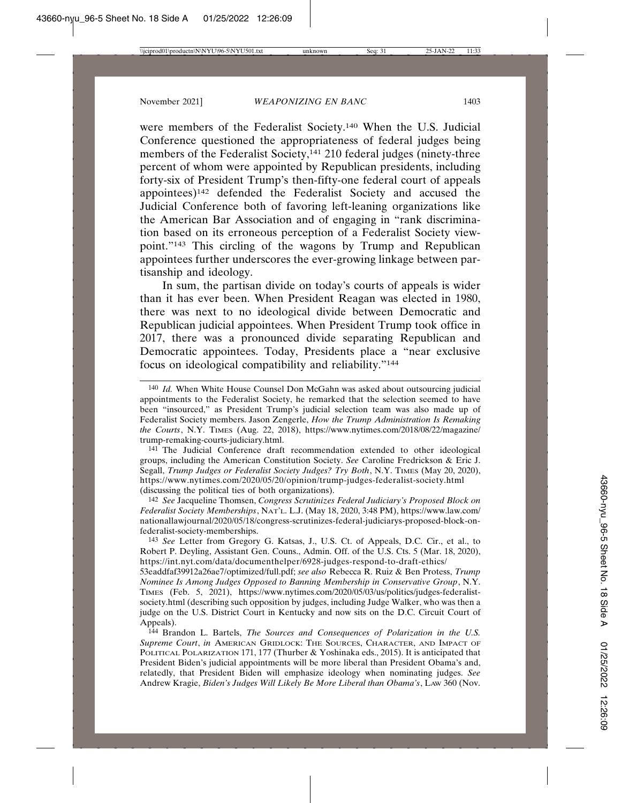were members of the Federalist Society.140 When the U.S. Judicial Conference questioned the appropriateness of federal judges being members of the Federalist Society,<sup>141</sup> 210 federal judges (ninety-three percent of whom were appointed by Republican presidents, including forty-six of President Trump's then-fifty-one federal court of appeals appointees)142 defended the Federalist Society and accused the Judicial Conference both of favoring left-leaning organizations like the American Bar Association and of engaging in "rank discrimination based on its erroneous perception of a Federalist Society viewpoint."143 This circling of the wagons by Trump and Republican appointees further underscores the ever-growing linkage between partisanship and ideology.

In sum, the partisan divide on today's courts of appeals is wider than it has ever been. When President Reagan was elected in 1980, there was next to no ideological divide between Democratic and Republican judicial appointees. When President Trump took office in 2017, there was a pronounced divide separating Republican and Democratic appointees. Today, Presidents place a "near exclusive focus on ideological compatibility and reliability."144

141 The Judicial Conference draft recommendation extended to other ideological groups, including the American Constitution Society. *See* Caroline Fredrickson & Eric J. Segall, *Trump Judges or Federalist Society Judges? Try Both*, N.Y. TIMES (May 20, 2020), https://www.nytimes.com/2020/05/20/opinion/trump-judges-federalist-society.html (discussing the political ties of both organizations).

142 *See* Jacqueline Thomsen, *Congress Scrutinizes Federal Judiciary's Proposed Block on Federalist Society Memberships*, NAT'L. L.J. (May 18, 2020, 3:48 PM), https://www.law.com/ nationallawjournal/2020/05/18/congress-scrutinizes-federal-judiciarys-proposed-block-onfederalist-society-memberships.

143 *See* Letter from Gregory G. Katsas, J., U.S. Ct. of Appeals, D.C. Cir., et al., to Robert P. Deyling, Assistant Gen. Couns., Admin. Off. of the U.S. Cts. 5 (Mar. 18, 2020), https://int.nyt.com/data/documenthelper/6928-judges-respond-to-draft-ethics/

53eaddfaf39912a26ae7/optimized/full.pdf; *see also* Rebecca R. Ruiz & Ben Protess, *Trump Nominee Is Among Judges Opposed to Banning Membership in Conservative Group*, N.Y. TIMES (Feb. 5, 2021), https://www.nytimes.com/2020/05/03/us/politics/judges-federalistsociety.html (describing such opposition by judges, including Judge Walker, who was then a judge on the U.S. District Court in Kentucky and now sits on the D.C. Circuit Court of Appeals).

144 Brandon L. Bartels, *The Sources and Consequences of Polarization in the U.S. Supreme Court*, *in* AMERICAN GRIDLOCK: THE SOURCES, CHARACTER, AND IMPACT OF POLITICAL POLARIZATION 171, 177 (Thurber & Yoshinaka eds., 2015). It is anticipated that President Biden's judicial appointments will be more liberal than President Obama's and, relatedly, that President Biden will emphasize ideology when nominating judges. *See* Andrew Kragie, *Biden's Judges Will Likely Be More Liberal than Obama's*, LAW 360 (Nov.

<sup>140</sup> *Id.* When White House Counsel Don McGahn was asked about outsourcing judicial appointments to the Federalist Society, he remarked that the selection seemed to have been "insourced," as President Trump's judicial selection team was also made up of Federalist Society members. Jason Zengerle, *How the Trump Administration Is Remaking the Courts*, N.Y. TIMES (Aug. 22, 2018), https://www.nytimes.com/2018/08/22/magazine/ trump-remaking-courts-judiciary.html.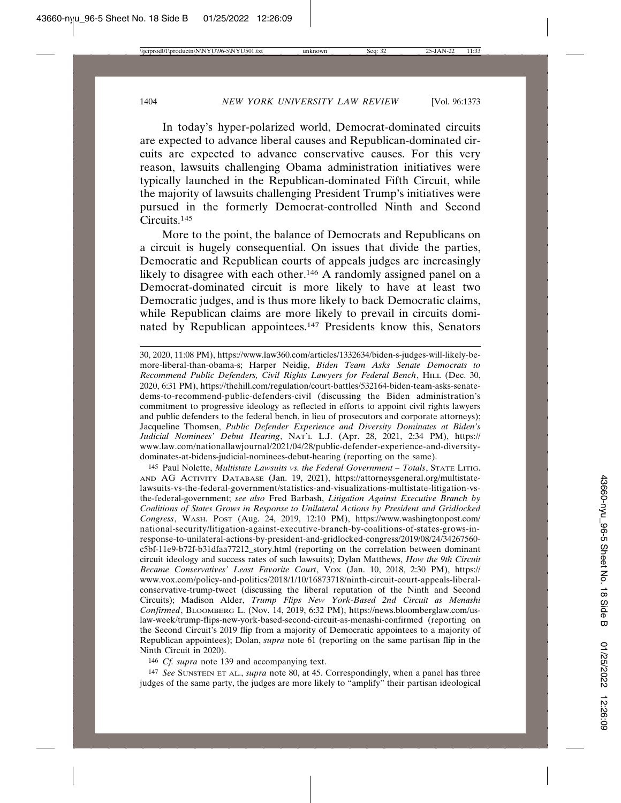In today's hyper-polarized world, Democrat-dominated circuits are expected to advance liberal causes and Republican-dominated circuits are expected to advance conservative causes. For this very reason, lawsuits challenging Obama administration initiatives were typically launched in the Republican-dominated Fifth Circuit, while the majority of lawsuits challenging President Trump's initiatives were pursued in the formerly Democrat-controlled Ninth and Second Circuits.145

More to the point, the balance of Democrats and Republicans on a circuit is hugely consequential. On issues that divide the parties, Democratic and Republican courts of appeals judges are increasingly likely to disagree with each other.<sup>146</sup> A randomly assigned panel on a Democrat-dominated circuit is more likely to have at least two Democratic judges, and is thus more likely to back Democratic claims, while Republican claims are more likely to prevail in circuits dominated by Republican appointees.147 Presidents know this, Senators

145 Paul Nolette, *Multistate Lawsuits vs. the Federal Government – Totals*, STATE LITIG. AND AG ACTIVITY DATABASE (Jan. 19, 2021), https://attorneysgeneral.org/multistatelawsuits-vs-the-federal-government/statistics-and-visualizations-multistate-litigation-vsthe-federal-government; *see also* Fred Barbash, *Litigation Against Executive Branch by Coalitions of States Grows in Response to Unilateral Actions by President and Gridlocked Congress*, WASH. POST (Aug. 24, 2019, 12:10 PM), https://www.washingtonpost.com/ national-security/litigation-against-executive-branch-by-coalitions-of-states-grows-inresponse-to-unilateral-actions-by-president-and-gridlocked-congress/2019/08/24/34267560 c5bf-11e9-b72f-b31dfaa77212\_story.html (reporting on the correlation between dominant circuit ideology and success rates of such lawsuits); Dylan Matthews, *How the 9th Circuit Became Conservatives' Least Favorite Court*, VOX (Jan. 10, 2018, 2:30 PM), https:// www.vox.com/policy-and-politics/2018/1/10/16873718/ninth-circuit-court-appeals-liberalconservative-trump-tweet (discussing the liberal reputation of the Ninth and Second Circuits); Madison Alder, *Trump Flips New York-Based 2nd Circuit as Menashi Confirmed*, BLOOMBERG L. (Nov. 14, 2019, 6:32 PM), https://news.bloomberglaw.com/uslaw-week/trump-flips-new-york-based-second-circuit-as-menashi-confirmed (reporting on the Second Circuit's 2019 flip from a majority of Democratic appointees to a majority of Republican appointees); Dolan, *supra* note 61 (reporting on the same partisan flip in the Ninth Circuit in 2020).

146 *Cf. supra* note 139 and accompanying text.

147 *See* SUNSTEIN ET AL., *supra* note 80, at 45. Correspondingly, when a panel has three judges of the same party, the judges are more likely to "amplify" their partisan ideological

<sup>30, 2020, 11:08</sup> PM), https://www.law360.com/articles/1332634/biden-s-judges-will-likely-bemore-liberal-than-obama-s; Harper Neidig, *Biden Team Asks Senate Democrats to Recommend Public Defenders, Civil Rights Lawyers for Federal Bench*, HILL (Dec. 30, 2020, 6:31 PM), https://thehill.com/regulation/court-battles/532164-biden-team-asks-senatedems-to-recommend-public-defenders-civil (discussing the Biden administration's commitment to progressive ideology as reflected in efforts to appoint civil rights lawyers and public defenders to the federal bench, in lieu of prosecutors and corporate attorneys); Jacqueline Thomsen, *Public Defender Experience and Diversity Dominates at Biden's Judicial Nominees' Debut Hearing*, NAT'L L.J. (Apr. 28, 2021, 2:34 PM), https:// www.law.com/nationallawjournal/2021/04/28/public-defender-experience-and-diversitydominates-at-bidens-judicial-nominees-debut-hearing (reporting on the same).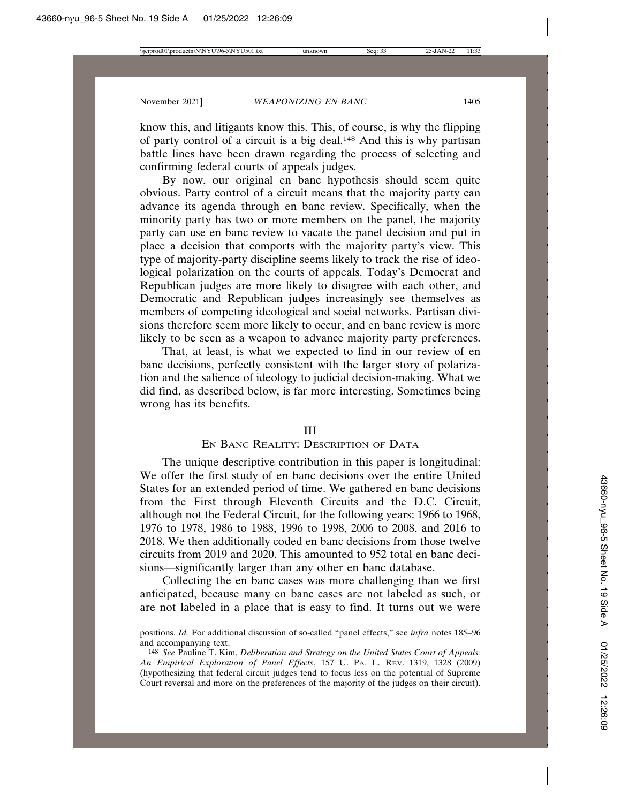know this, and litigants know this. This, of course, is why the flipping of party control of a circuit is a big deal.148 And this is why partisan battle lines have been drawn regarding the process of selecting and confirming federal courts of appeals judges.

By now, our original en banc hypothesis should seem quite obvious. Party control of a circuit means that the majority party can advance its agenda through en banc review. Specifically, when the minority party has two or more members on the panel, the majority party can use en banc review to vacate the panel decision and put in place a decision that comports with the majority party's view. This type of majority-party discipline seems likely to track the rise of ideological polarization on the courts of appeals. Today's Democrat and Republican judges are more likely to disagree with each other, and Democratic and Republican judges increasingly see themselves as members of competing ideological and social networks. Partisan divisions therefore seem more likely to occur, and en banc review is more likely to be seen as a weapon to advance majority party preferences.

That, at least, is what we expected to find in our review of en banc decisions, perfectly consistent with the larger story of polarization and the salience of ideology to judicial decision-making. What we did find, as described below, is far more interesting. Sometimes being wrong has its benefits.

#### III

## EN BANC REALITY: DESCRIPTION OF DATA

The unique descriptive contribution in this paper is longitudinal: We offer the first study of en banc decisions over the entire United States for an extended period of time. We gathered en banc decisions from the First through Eleventh Circuits and the D.C. Circuit, although not the Federal Circuit, for the following years: 1966 to 1968, 1976 to 1978, 1986 to 1988, 1996 to 1998, 2006 to 2008, and 2016 to 2018. We then additionally coded en banc decisions from those twelve circuits from 2019 and 2020. This amounted to 952 total en banc decisions—significantly larger than any other en banc database.

Collecting the en banc cases was more challenging than we first anticipated, because many en banc cases are not labeled as such, or are not labeled in a place that is easy to find. It turns out we were

positions. *Id.* For additional discussion of so-called "panel effects," see *infra* notes 185–96 and accompanying text.

<sup>148</sup> *See* Pauline T. Kim, *Deliberation and Strategy on the United States Court of Appeals: An Empirical Exploration of Panel Effects*, 157 U. PA. L. REV. 1319, 1328 (2009) (hypothesizing that federal circuit judges tend to focus less on the potential of Supreme Court reversal and more on the preferences of the majority of the judges on their circuit).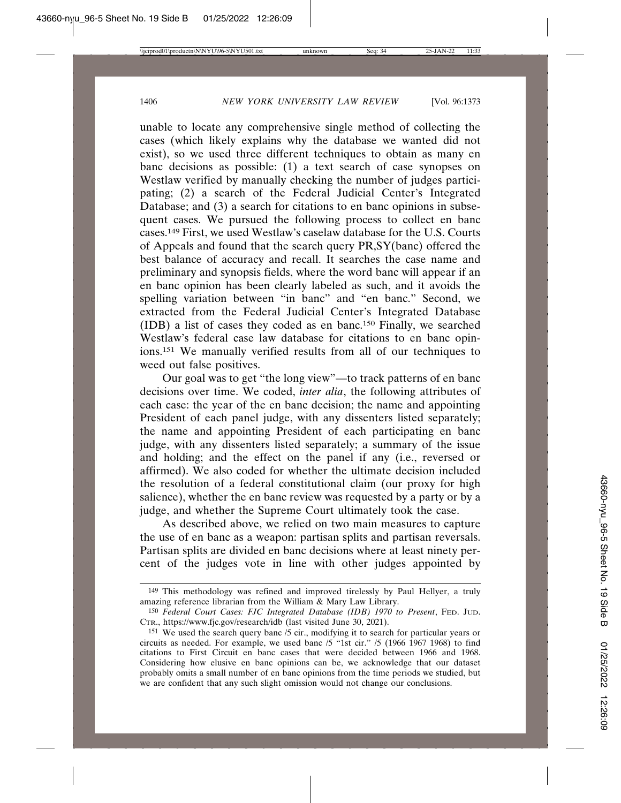unable to locate any comprehensive single method of collecting the cases (which likely explains why the database we wanted did not exist), so we used three different techniques to obtain as many en banc decisions as possible: (1) a text search of case synopses on Westlaw verified by manually checking the number of judges participating; (2) a search of the Federal Judicial Center's Integrated Database; and (3) a search for citations to en banc opinions in subsequent cases. We pursued the following process to collect en banc cases.149 First, we used Westlaw's caselaw database for the U.S. Courts of Appeals and found that the search query PR,SY(banc) offered the best balance of accuracy and recall. It searches the case name and preliminary and synopsis fields, where the word banc will appear if an en banc opinion has been clearly labeled as such, and it avoids the spelling variation between "in banc" and "en banc." Second, we extracted from the Federal Judicial Center's Integrated Database (IDB) a list of cases they coded as en banc.150 Finally, we searched Westlaw's federal case law database for citations to en banc opinions.151 We manually verified results from all of our techniques to weed out false positives.

Our goal was to get "the long view"—to track patterns of en banc decisions over time. We coded, *inter alia*, the following attributes of each case: the year of the en banc decision; the name and appointing President of each panel judge, with any dissenters listed separately; the name and appointing President of each participating en banc judge, with any dissenters listed separately; a summary of the issue and holding; and the effect on the panel if any (i.e., reversed or affirmed). We also coded for whether the ultimate decision included the resolution of a federal constitutional claim (our proxy for high salience), whether the en banc review was requested by a party or by a judge, and whether the Supreme Court ultimately took the case.

As described above, we relied on two main measures to capture the use of en banc as a weapon: partisan splits and partisan reversals. Partisan splits are divided en banc decisions where at least ninety percent of the judges vote in line with other judges appointed by

<sup>149</sup> This methodology was refined and improved tirelessly by Paul Hellyer, a truly amazing reference librarian from the William & Mary Law Library.

<sup>150</sup> *Federal Court Cases: FJC Integrated Database (IDB) 1970 to Present*, FED. JUD. CTR., https://www.fjc.gov/research/idb (last visited June 30, 2021).

<sup>151</sup> We used the search query banc /5 cir., modifying it to search for particular years or circuits as needed. For example, we used banc /5 "1st cir." /5 (1966 1967 1968) to find citations to First Circuit en banc cases that were decided between 1966 and 1968. Considering how elusive en banc opinions can be, we acknowledge that our dataset probably omits a small number of en banc opinions from the time periods we studied, but we are confident that any such slight omission would not change our conclusions.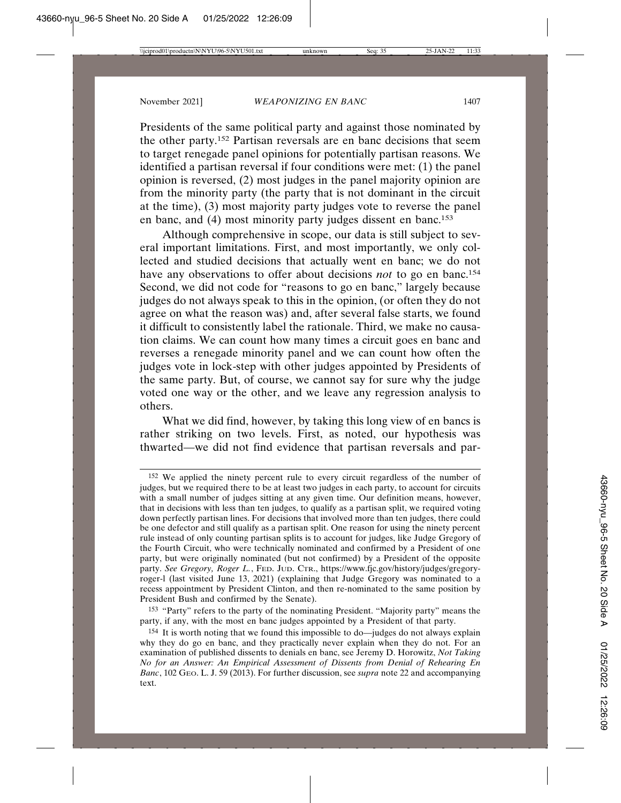Presidents of the same political party and against those nominated by the other party.152 Partisan reversals are en banc decisions that seem to target renegade panel opinions for potentially partisan reasons. We identified a partisan reversal if four conditions were met: (1) the panel opinion is reversed, (2) most judges in the panel majority opinion are from the minority party (the party that is not dominant in the circuit at the time), (3) most majority party judges vote to reverse the panel en banc, and (4) most minority party judges dissent en banc.<sup>153</sup>

Although comprehensive in scope, our data is still subject to several important limitations. First, and most importantly, we only collected and studied decisions that actually went en banc; we do not have any observations to offer about decisions *not* to go en banc.154 Second, we did not code for "reasons to go en banc," largely because judges do not always speak to this in the opinion, (or often they do not agree on what the reason was) and, after several false starts, we found it difficult to consistently label the rationale. Third, we make no causation claims. We can count how many times a circuit goes en banc and reverses a renegade minority panel and we can count how often the judges vote in lock-step with other judges appointed by Presidents of the same party. But, of course, we cannot say for sure why the judge voted one way or the other, and we leave any regression analysis to others.

What we did find, however, by taking this long view of en bancs is rather striking on two levels. First, as noted, our hypothesis was thwarted—we did not find evidence that partisan reversals and par-

153 "Party" refers to the party of the nominating President. "Majority party" means the party, if any, with the most en banc judges appointed by a President of that party.

<sup>152</sup> We applied the ninety percent rule to every circuit regardless of the number of judges, but we required there to be at least two judges in each party, to account for circuits with a small number of judges sitting at any given time. Our definition means, however, that in decisions with less than ten judges, to qualify as a partisan split, we required voting down perfectly partisan lines. For decisions that involved more than ten judges, there could be one defector and still qualify as a partisan split. One reason for using the ninety percent rule instead of only counting partisan splits is to account for judges, like Judge Gregory of the Fourth Circuit, who were technically nominated and confirmed by a President of one party, but were originally nominated (but not confirmed) by a President of the opposite party. *See Gregory, Roger L.*, FED. JUD. CTR., https://www.fjc.gov/history/judges/gregoryroger-l (last visited June 13, 2021) (explaining that Judge Gregory was nominated to a recess appointment by President Clinton, and then re-nominated to the same position by President Bush and confirmed by the Senate).

<sup>154</sup> It is worth noting that we found this impossible to do—judges do not always explain why they do go en banc, and they practically never explain when they do not. For an examination of published dissents to denials en banc, see Jeremy D. Horowitz, *Not Taking No for an Answer: An Empirical Assessment of Dissents from Denial of Rehearing En Banc*, 102 GEO. L. J. 59 (2013). For further discussion, see *supra* note 22 and accompanying text.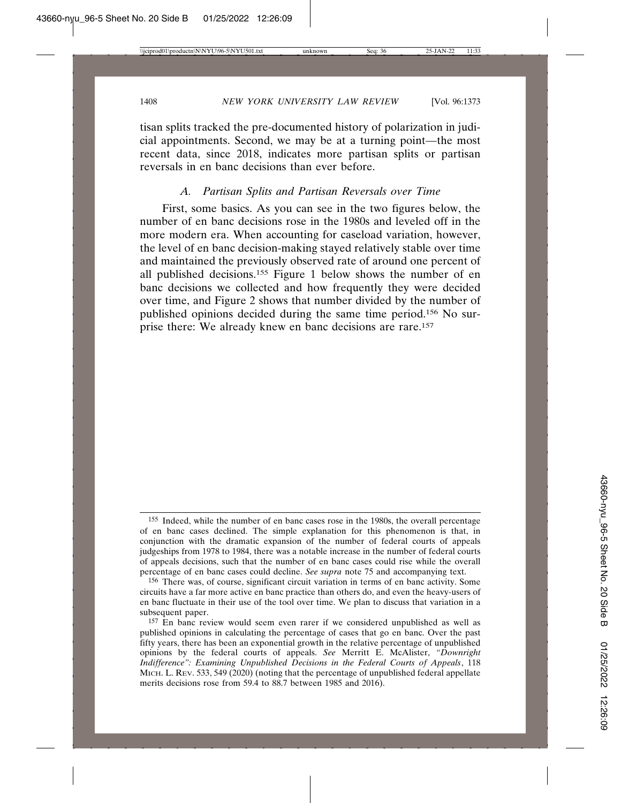tisan splits tracked the pre-documented history of polarization in judicial appointments. Second, we may be at a turning point—the most recent data, since 2018, indicates more partisan splits or partisan reversals in en banc decisions than ever before.

#### *A. Partisan Splits and Partisan Reversals over Time*

First, some basics. As you can see in the two figures below, the number of en banc decisions rose in the 1980s and leveled off in the more modern era. When accounting for caseload variation, however, the level of en banc decision-making stayed relatively stable over time and maintained the previously observed rate of around one percent of all published decisions.155 Figure 1 below shows the number of en banc decisions we collected and how frequently they were decided over time, and Figure 2 shows that number divided by the number of published opinions decided during the same time period.156 No surprise there: We already knew en banc decisions are rare.157

<sup>155</sup> Indeed, while the number of en banc cases rose in the 1980s, the overall percentage of en banc cases declined. The simple explanation for this phenomenon is that, in conjunction with the dramatic expansion of the number of federal courts of appeals judgeships from 1978 to 1984, there was a notable increase in the number of federal courts of appeals decisions, such that the number of en banc cases could rise while the overall percentage of en banc cases could decline. *See supra* note 75 and accompanying text.

<sup>156</sup> There was, of course, significant circuit variation in terms of en banc activity. Some circuits have a far more active en banc practice than others do, and even the heavy-users of en banc fluctuate in their use of the tool over time. We plan to discuss that variation in a subsequent paper.

<sup>157</sup> En banc review would seem even rarer if we considered unpublished as well as published opinions in calculating the percentage of cases that go en banc. Over the past fifty years, there has been an exponential growth in the relative percentage of unpublished opinions by the federal courts of appeals. *See* Merritt E. McAlister, *"Downright Indifference": Examining Unpublished Decisions in the Federal Courts of Appeals*, 118 MICH. L. REV. 533, 549 (2020) (noting that the percentage of unpublished federal appellate merits decisions rose from 59.4 to 88.7 between 1985 and 2016).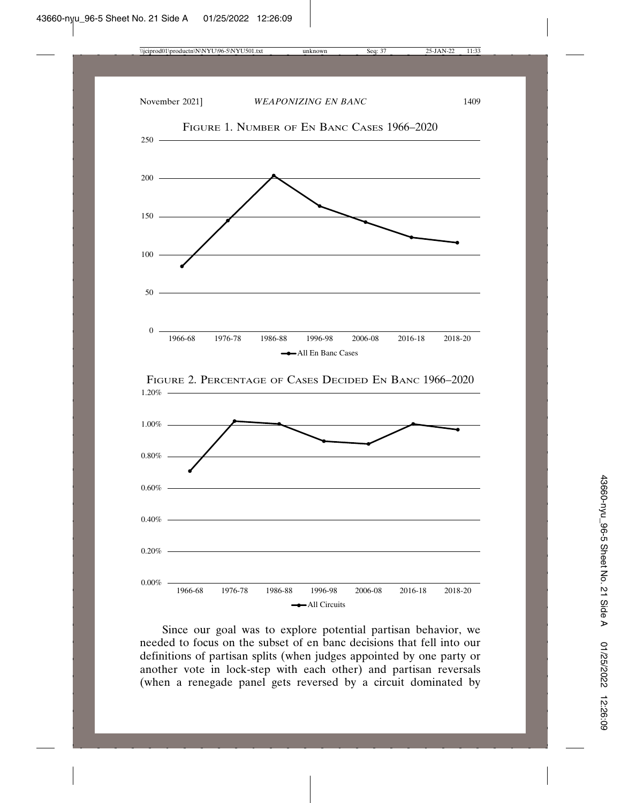

Since our goal was to explore potential partisan behavior, we needed to focus on the subset of en banc decisions that fell into our definitions of partisan splits (when judges appointed by one party or another vote in lock-step with each other) and partisan reversals (when a renegade panel gets reversed by a circuit dominated by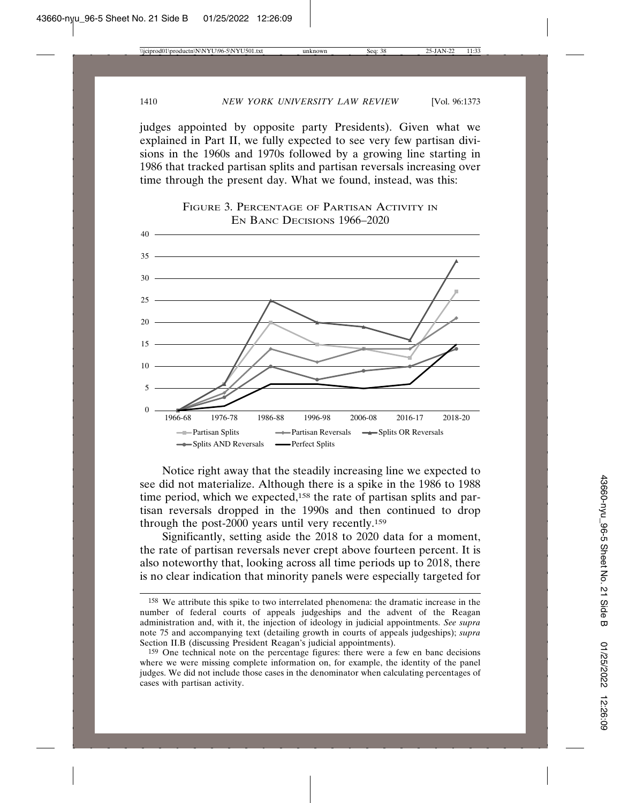judges appointed by opposite party Presidents). Given what we explained in Part II, we fully expected to see very few partisan divisions in the 1960s and 1970s followed by a growing line starting in 1986 that tracked partisan splits and partisan reversals increasing over time through the present day. What we found, instead, was this:



FIGURE 3. PERCENTAGE OF PARTISAN ACTIVITY IN

Notice right away that the steadily increasing line we expected to see did not materialize. Although there is a spike in the 1986 to 1988 time period, which we expected,<sup>158</sup> the rate of partisan splits and partisan reversals dropped in the 1990s and then continued to drop through the post-2000 years until very recently.<sup>159</sup>

Significantly, setting aside the 2018 to 2020 data for a moment, the rate of partisan reversals never crept above fourteen percent. It is also noteworthy that, looking across all time periods up to 2018, there is no clear indication that minority panels were especially targeted for

<sup>158</sup> We attribute this spike to two interrelated phenomena: the dramatic increase in the number of federal courts of appeals judgeships and the advent of the Reagan administration and, with it, the injection of ideology in judicial appointments. *See supra* note 75 and accompanying text (detailing growth in courts of appeals judgeships); *supra* Section II.B (discussing President Reagan's judicial appointments).

<sup>159</sup> One technical note on the percentage figures: there were a few en banc decisions where we were missing complete information on, for example, the identity of the panel judges. We did not include those cases in the denominator when calculating percentages of cases with partisan activity.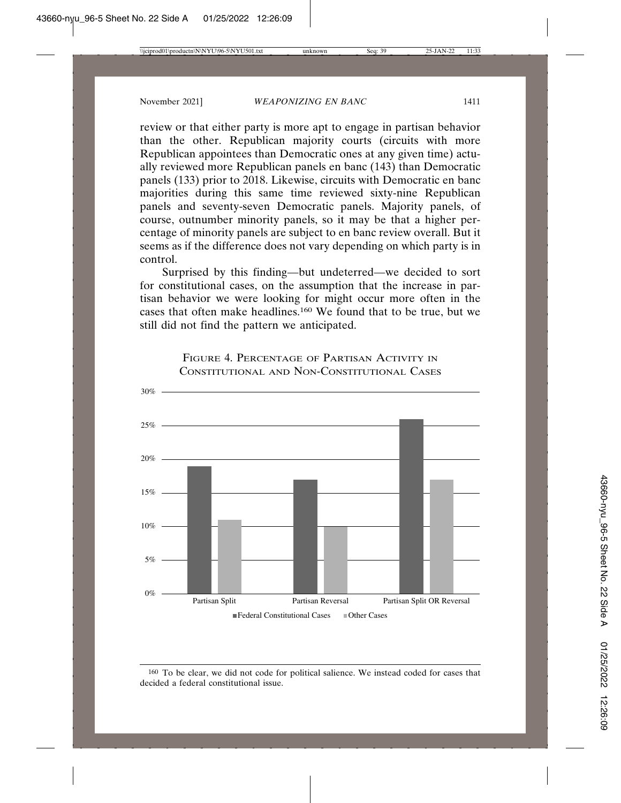review or that either party is more apt to engage in partisan behavior than the other. Republican majority courts (circuits with more Republican appointees than Democratic ones at any given time) actually reviewed more Republican panels en banc (143) than Democratic panels (133) prior to 2018. Likewise, circuits with Democratic en banc majorities during this same time reviewed sixty-nine Republican panels and seventy-seven Democratic panels. Majority panels, of course, outnumber minority panels, so it may be that a higher percentage of minority panels are subject to en banc review overall. But it seems as if the difference does not vary depending on which party is in control.

Surprised by this finding—but undeterred—we decided to sort for constitutional cases, on the assumption that the increase in partisan behavior we were looking for might occur more often in the cases that often make headlines.160 We found that to be true, but we still did not find the pattern we anticipated.



FIGURE 4. PERCENTAGE OF PARTISAN ACTIVITY IN CONSTITUTIONAL AND NON-CONSTITUTIONAL CASES

<sup>160</sup> To be clear, we did not code for political salience. We instead coded for cases that decided a federal constitutional issue.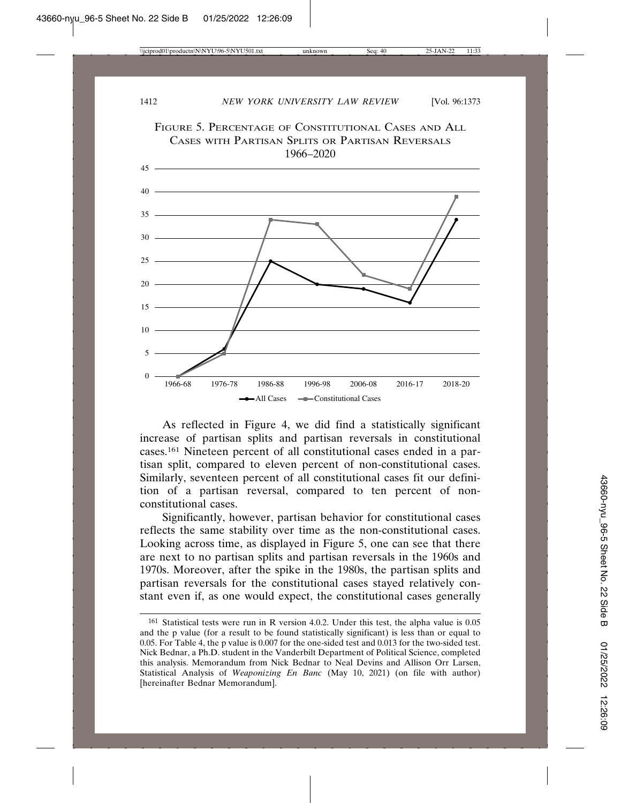

As reflected in Figure 4, we did find a statistically significant increase of partisan splits and partisan reversals in constitutional cases.161 Nineteen percent of all constitutional cases ended in a partisan split, compared to eleven percent of non-constitutional cases. Similarly, seventeen percent of all constitutional cases fit our definition of a partisan reversal, compared to ten percent of nonconstitutional cases.

Significantly, however, partisan behavior for constitutional cases reflects the same stability over time as the non-constitutional cases. Looking across time, as displayed in Figure 5, one can see that there are next to no partisan splits and partisan reversals in the 1960s and 1970s. Moreover, after the spike in the 1980s, the partisan splits and partisan reversals for the constitutional cases stayed relatively constant even if, as one would expect, the constitutional cases generally

<sup>161</sup> Statistical tests were run in R version 4.0.2. Under this test, the alpha value is 0.05 and the p value (for a result to be found statistically significant) is less than or equal to 0.05. For Table 4, the p value is 0.007 for the one-sided test and 0.013 for the two-sided test. Nick Bednar, a Ph.D. student in the Vanderbilt Department of Political Science, completed this analysis. Memorandum from Nick Bednar to Neal Devins and Allison Orr Larsen, Statistical Analysis of *Weaponizing En Banc* (May 10, 2021) (on file with author) [hereinafter Bednar Memorandum].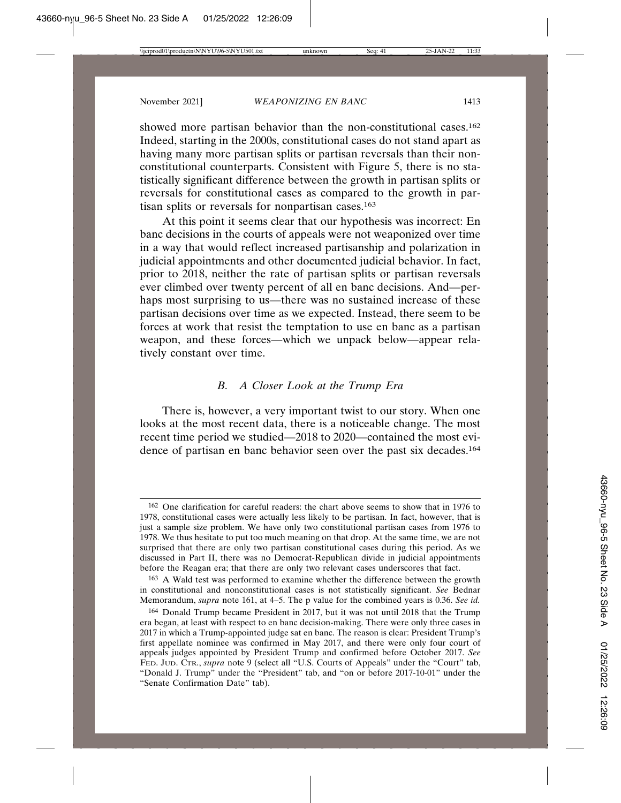showed more partisan behavior than the non-constitutional cases.<sup>162</sup> Indeed, starting in the 2000s, constitutional cases do not stand apart as having many more partisan splits or partisan reversals than their nonconstitutional counterparts. Consistent with Figure 5, there is no statistically significant difference between the growth in partisan splits or reversals for constitutional cases as compared to the growth in partisan splits or reversals for nonpartisan cases.<sup>163</sup>

At this point it seems clear that our hypothesis was incorrect: En banc decisions in the courts of appeals were not weaponized over time in a way that would reflect increased partisanship and polarization in judicial appointments and other documented judicial behavior. In fact, prior to 2018, neither the rate of partisan splits or partisan reversals ever climbed over twenty percent of all en banc decisions. And—perhaps most surprising to us—there was no sustained increase of these partisan decisions over time as we expected. Instead, there seem to be forces at work that resist the temptation to use en banc as a partisan weapon, and these forces—which we unpack below—appear relatively constant over time.

## *B. A Closer Look at the Trump Era*

There is, however, a very important twist to our story. When one looks at the most recent data, there is a noticeable change. The most recent time period we studied—2018 to 2020—contained the most evidence of partisan en banc behavior seen over the past six decades.164

<sup>162</sup> One clarification for careful readers: the chart above seems to show that in 1976 to 1978, constitutional cases were actually less likely to be partisan. In fact, however, that is just a sample size problem. We have only two constitutional partisan cases from 1976 to 1978. We thus hesitate to put too much meaning on that drop. At the same time, we are not surprised that there are only two partisan constitutional cases during this period. As we discussed in Part II, there was no Democrat-Republican divide in judicial appointments before the Reagan era; that there are only two relevant cases underscores that fact.

<sup>163</sup> A Wald test was performed to examine whether the difference between the growth in constitutional and nonconstitutional cases is not statistically significant. *See* Bednar Memorandum, *supra* note 161, at 4–5. The p value for the combined years is 0.36. *See id.*

<sup>164</sup> Donald Trump became President in 2017, but it was not until 2018 that the Trump era began, at least with respect to en banc decision-making. There were only three cases in 2017 in which a Trump-appointed judge sat en banc. The reason is clear: President Trump's first appellate nominee was confirmed in May 2017, and there were only four court of appeals judges appointed by President Trump and confirmed before October 2017. *See* FED. JUD. CTR., *supra* note 9 (select all "U.S. Courts of Appeals" under the "Court" tab, "Donald J. Trump" under the "President" tab, and "on or before 2017-10-01" under the "Senate Confirmation Date" tab).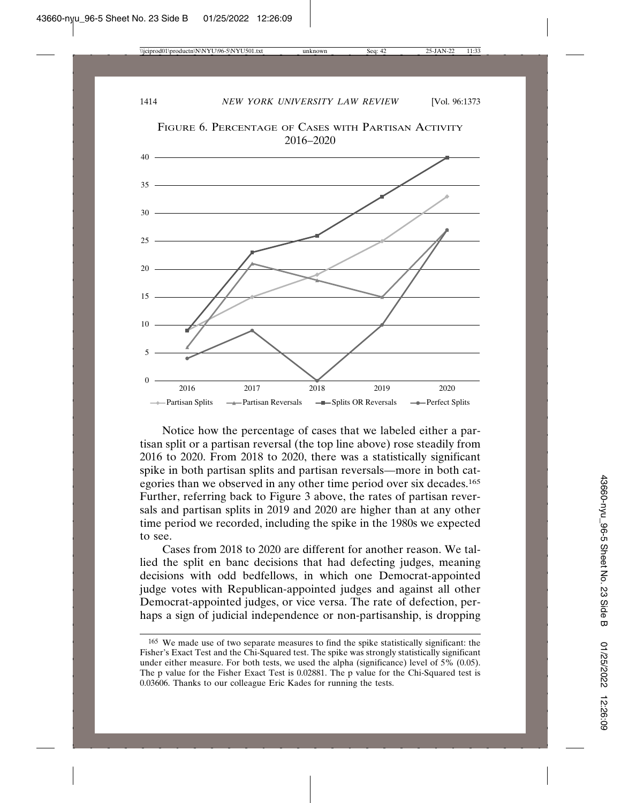

FIGURE 6. PERCENTAGE OF CASES WITH PARTISAN ACTIVITY

Notice how the percentage of cases that we labeled either a partisan split or a partisan reversal (the top line above) rose steadily from 2016 to 2020. From 2018 to 2020, there was a statistically significant spike in both partisan splits and partisan reversals—more in both categories than we observed in any other time period over six decades.165 Further, referring back to Figure 3 above, the rates of partisan reversals and partisan splits in 2019 and 2020 are higher than at any other time period we recorded, including the spike in the 1980s we expected to see.

Cases from 2018 to 2020 are different for another reason. We tallied the split en banc decisions that had defecting judges, meaning decisions with odd bedfellows, in which one Democrat-appointed judge votes with Republican-appointed judges and against all other Democrat-appointed judges, or vice versa. The rate of defection, perhaps a sign of judicial independence or non-partisanship, is dropping

<sup>165</sup> We made use of two separate measures to find the spike statistically significant: the Fisher's Exact Test and the Chi-Squared test. The spike was strongly statistically significant under either measure. For both tests, we used the alpha (significance) level of 5% (0.05). The p value for the Fisher Exact Test is 0.02881. The p value for the Chi-Squared test is 0.03606. Thanks to our colleague Eric Kades for running the tests.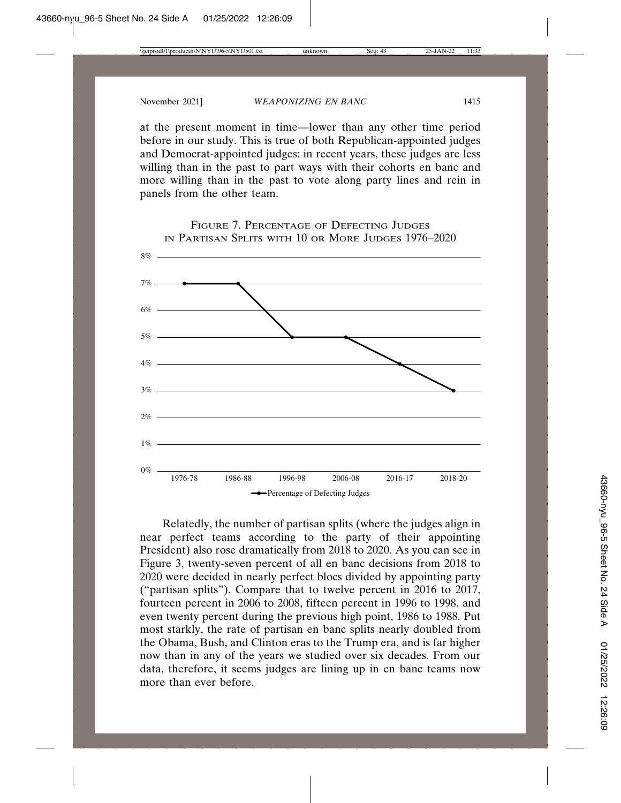at the present moment in time—lower than any other time period before in our study. This is true of both Republican-appointed judges and Democrat-appointed judges: in recent years, these judges are less willing than in the past to part ways with their cohorts en banc and more willing than in the past to vote along party lines and rein in panels from the other team.



Relatedly, the number of partisan splits (where the judges align in near perfect teams according to the party of their appointing President) also rose dramatically from 2018 to 2020. As you can see in Figure 3, twenty-seven percent of all en banc decisions from 2018 to 2020 were decided in nearly perfect blocs divided by appointing party ("partisan splits"). Compare that to twelve percent in 2016 to 2017, fourteen percent in 2006 to 2008, fifteen percent in 1996 to 1998, and even twenty percent during the previous high point, 1986 to 1988. Put most starkly, the rate of partisan en banc splits nearly doubled from the Obama, Bush, and Clinton eras to the Trump era, and is far higher now than in any of the years we studied over six decades. From our data, therefore, it seems judges are lining up in en banc teams now more than ever before.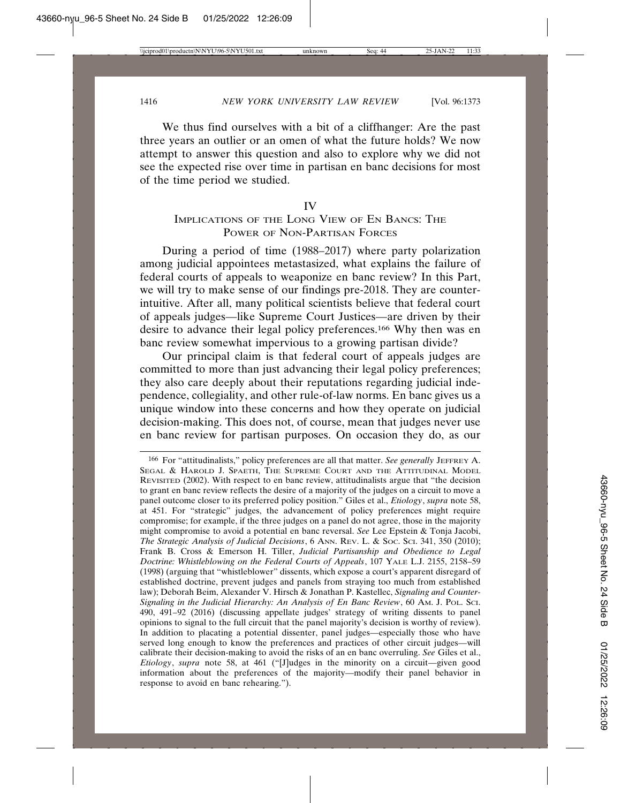We thus find ourselves with a bit of a cliffhanger: Are the past three years an outlier or an omen of what the future holds? We now attempt to answer this question and also to explore why we did not see the expected rise over time in partisan en banc decisions for most of the time period we studied.

#### IV

## IMPLICATIONS OF THE LONG VIEW OF EN BANCS: THE POWER OF NON-PARTISAN FORCES

During a period of time (1988–2017) where party polarization among judicial appointees metastasized, what explains the failure of federal courts of appeals to weaponize en banc review? In this Part, we will try to make sense of our findings pre-2018. They are counterintuitive. After all, many political scientists believe that federal court of appeals judges—like Supreme Court Justices—are driven by their desire to advance their legal policy preferences.166 Why then was en banc review somewhat impervious to a growing partisan divide?

Our principal claim is that federal court of appeals judges are committed to more than just advancing their legal policy preferences; they also care deeply about their reputations regarding judicial independence, collegiality, and other rule-of-law norms. En banc gives us a unique window into these concerns and how they operate on judicial decision-making. This does not, of course, mean that judges never use en banc review for partisan purposes. On occasion they do, as our

<sup>&</sup>lt;sup>166</sup> For "attitudinalists," policy preferences are all that matter. *See generally JEFFREY A.* SEGAL & HAROLD J. SPAETH, THE SUPREME COURT AND THE ATTITUDINAL MODEL REVISITED (2002). With respect to en banc review, attitudinalists argue that "the decision to grant en banc review reflects the desire of a majority of the judges on a circuit to move a panel outcome closer to its preferred policy position." Giles et al., *Etiology*, *supra* note 58, at 451. For "strategic" judges, the advancement of policy preferences might require compromise; for example, if the three judges on a panel do not agree, those in the majority might compromise to avoid a potential en banc reversal. *See* Lee Epstein & Tonja Jacobi, *The Strategic Analysis of Judicial Decisions*, 6 ANN. REV. L. & SOC. SCI. 341, 350 (2010); Frank B. Cross & Emerson H. Tiller, *Judicial Partisanship and Obedience to Legal Doctrine: Whistleblowing on the Federal Courts of Appeals*, 107 YALE L.J. 2155, 2158–59 (1998) (arguing that "whistleblower" dissents, which expose a court's apparent disregard of established doctrine, prevent judges and panels from straying too much from established law); Deborah Beim, Alexander V. Hirsch & Jonathan P. Kastellec, *Signaling and Counter-Signaling in the Judicial Hierarchy: An Analysis of En Banc Review*, 60 AM. J. POL. SCI. 490, 491–92 (2016) (discussing appellate judges' strategy of writing dissents to panel opinions to signal to the full circuit that the panel majority's decision is worthy of review). In addition to placating a potential dissenter, panel judges—especially those who have served long enough to know the preferences and practices of other circuit judges—will calibrate their decision-making to avoid the risks of an en banc overruling. *See* Giles et al., *Etiology*, *supra* note 58, at 461 ("[J]udges in the minority on a circuit—given good information about the preferences of the majority—modify their panel behavior in response to avoid en banc rehearing.").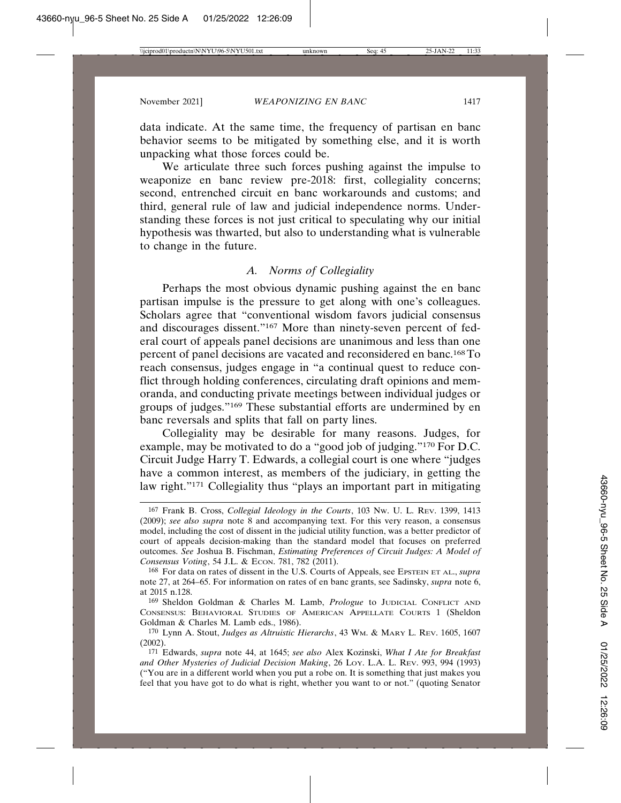data indicate. At the same time, the frequency of partisan en banc behavior seems to be mitigated by something else, and it is worth unpacking what those forces could be.

We articulate three such forces pushing against the impulse to weaponize en banc review pre-2018: first, collegiality concerns; second, entrenched circuit en banc workarounds and customs; and third, general rule of law and judicial independence norms. Understanding these forces is not just critical to speculating why our initial hypothesis was thwarted, but also to understanding what is vulnerable to change in the future.

## *A. Norms of Collegiality*

Perhaps the most obvious dynamic pushing against the en banc partisan impulse is the pressure to get along with one's colleagues. Scholars agree that "conventional wisdom favors judicial consensus and discourages dissent."167 More than ninety-seven percent of federal court of appeals panel decisions are unanimous and less than one percent of panel decisions are vacated and reconsidered en banc.168 To reach consensus, judges engage in "a continual quest to reduce conflict through holding conferences, circulating draft opinions and memoranda, and conducting private meetings between individual judges or groups of judges."169 These substantial efforts are undermined by en banc reversals and splits that fall on party lines.

Collegiality may be desirable for many reasons. Judges, for example, may be motivated to do a "good job of judging."170 For D.C. Circuit Judge Harry T. Edwards, a collegial court is one where "judges have a common interest, as members of the judiciary, in getting the law right."171 Collegiality thus "plays an important part in mitigating

169 Sheldon Goldman & Charles M. Lamb, *Prologue* to JUDICIAL CONFLICT AND CONSENSUS: BEHAVIORAL STUDIES OF AMERICAN APPELLATE COURTS 1 (Sheldon Goldman & Charles M. Lamb eds., 1986).

<sup>167</sup> Frank B. Cross, *Collegial Ideology in the Courts*, 103 NW. U. L. REV. 1399, 1413 (2009); *see also supra* note 8 and accompanying text. For this very reason, a consensus model, including the cost of dissent in the judicial utility function, was a better predictor of court of appeals decision-making than the standard model that focuses on preferred outcomes. *See* Joshua B. Fischman, *Estimating Preferences of Circuit Judges: A Model of Consensus Voting*, 54 J.L. & ECON. 781, 782 (2011).

<sup>168</sup> For data on rates of dissent in the U.S. Courts of Appeals, see EPSTEIN ET AL., *supra* note 27, at 264–65. For information on rates of en banc grants, see Sadinsky, *supra* note 6, at 2015 n.128.

<sup>170</sup> Lynn A. Stout, *Judges as Altruistic Hierarchs*, 43 WM. & MARY L. REV. 1605, 1607 (2002).

<sup>171</sup> Edwards, *supra* note 44, at 1645; *see also* Alex Kozinski, *What I Ate for Breakfast and Other Mysteries of Judicial Decision Making*, 26 LOY. L.A. L. REV. 993, 994 (1993) ("You are in a different world when you put a robe on. It is something that just makes you feel that you have got to do what is right, whether you want to or not." (quoting Senator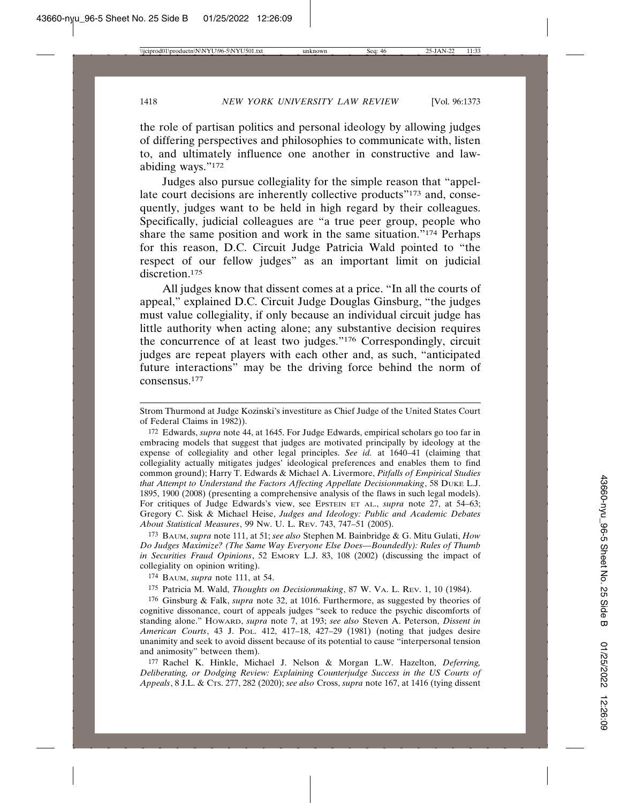the role of partisan politics and personal ideology by allowing judges of differing perspectives and philosophies to communicate with, listen to, and ultimately influence one another in constructive and lawabiding ways."172

Judges also pursue collegiality for the simple reason that "appellate court decisions are inherently collective products"<sup>173</sup> and, consequently, judges want to be held in high regard by their colleagues. Specifically, judicial colleagues are "a true peer group, people who share the same position and work in the same situation."174 Perhaps for this reason, D.C. Circuit Judge Patricia Wald pointed to "the respect of our fellow judges" as an important limit on judicial discretion.<sup>175</sup>

All judges know that dissent comes at a price. "In all the courts of appeal," explained D.C. Circuit Judge Douglas Ginsburg, "the judges must value collegiality, if only because an individual circuit judge has little authority when acting alone; any substantive decision requires the concurrence of at least two judges."176 Correspondingly, circuit judges are repeat players with each other and, as such, "anticipated future interactions" may be the driving force behind the norm of consensus.177

172 Edwards, *supra* note 44, at 1645. For Judge Edwards, empirical scholars go too far in embracing models that suggest that judges are motivated principally by ideology at the expense of collegiality and other legal principles. *See id.* at 1640–41 (claiming that collegiality actually mitigates judges' ideological preferences and enables them to find common ground); Harry T. Edwards & Michael A. Livermore, *Pitfalls of Empirical Studies that Attempt to Understand the Factors Affecting Appellate Decisionmaking*, 58 DUKE L.J. 1895, 1900 (2008) (presenting a comprehensive analysis of the flaws in such legal models). For critiques of Judge Edwards's view, see EPSTEIN ET AL., *supra* note 27, at 54–63; Gregory C. Sisk & Michael Heise, *Judges and Ideology: Public and Academic Debates About Statistical Measures*, 99 NW. U. L. REV. 743, 747–51 (2005).

173 BAUM, *supra* note 111, at 51; *see also* Stephen M. Bainbridge & G. Mitu Gulati, *How Do Judges Maximize? (The Same Way Everyone Else Does—Boundedly): Rules of Thumb in Securities Fraud Opinions*, 52 EMORY L.J. 83, 108 (2002) (discussing the impact of collegiality on opinion writing).

174 BAUM, *supra* note 111, at 54.

175 Patricia M. Wald, *Thoughts on Decisionmaking*, 87 W. VA. L. REV. 1, 10 (1984).

176 Ginsburg & Falk, *supra* note 32, at 1016. Furthermore, as suggested by theories of cognitive dissonance, court of appeals judges "seek to reduce the psychic discomforts of standing alone." HOWARD, *supra* note 7, at 193; *see also* Steven A. Peterson, *Dissent in American Courts*, 43 J. POL. 412, 417–18, 427–29 (1981) (noting that judges desire unanimity and seek to avoid dissent because of its potential to cause "interpersonal tension and animosity" between them).

177 Rachel K. Hinkle, Michael J. Nelson & Morgan L.W. Hazelton, *Deferring, Deliberating, or Dodging Review: Explaining Counterjudge Success in the US Courts of Appeals*, 8 J.L. & CTS. 277, 282 (2020); *see also* Cross, *supra* note 167, at 1416 (tying dissent

Strom Thurmond at Judge Kozinski's investiture as Chief Judge of the United States Court of Federal Claims in 1982)).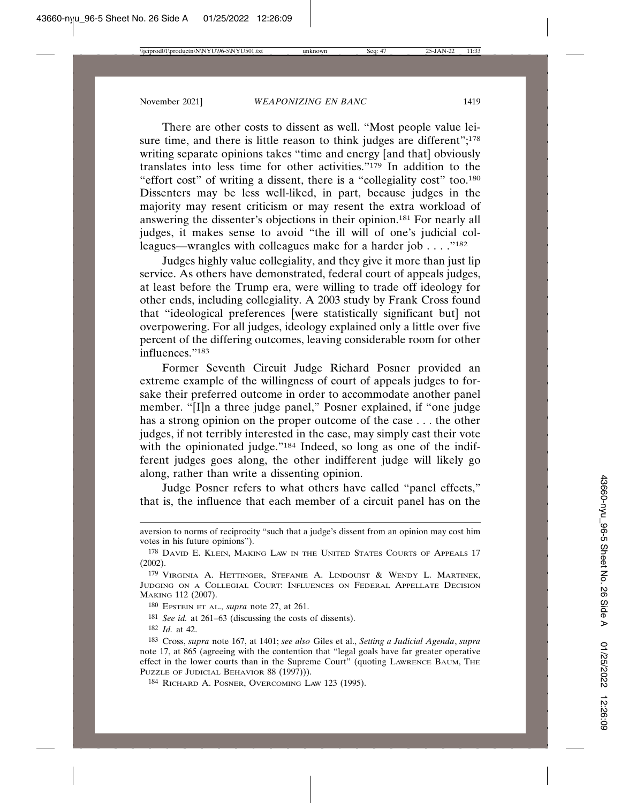There are other costs to dissent as well. "Most people value leisure time, and there is little reason to think judges are different";<sup>178</sup> writing separate opinions takes "time and energy [and that] obviously translates into less time for other activities."179 In addition to the "effort cost" of writing a dissent, there is a "collegiality cost" too.180 Dissenters may be less well-liked, in part, because judges in the majority may resent criticism or may resent the extra workload of answering the dissenter's objections in their opinion.181 For nearly all judges, it makes sense to avoid "the ill will of one's judicial colleagues—wrangles with colleagues make for a harder job  $\dots$ ."<sup>182</sup>

Judges highly value collegiality, and they give it more than just lip service. As others have demonstrated, federal court of appeals judges, at least before the Trump era, were willing to trade off ideology for other ends, including collegiality. A 2003 study by Frank Cross found that "ideological preferences [were statistically significant but] not overpowering. For all judges, ideology explained only a little over five percent of the differing outcomes, leaving considerable room for other influences."183

Former Seventh Circuit Judge Richard Posner provided an extreme example of the willingness of court of appeals judges to forsake their preferred outcome in order to accommodate another panel member. "[I]n a three judge panel," Posner explained, if "one judge has a strong opinion on the proper outcome of the case . . . the other judges, if not terribly interested in the case, may simply cast their vote with the opinionated judge."<sup>184</sup> Indeed, so long as one of the indifferent judges goes along, the other indifferent judge will likely go along, rather than write a dissenting opinion.

Judge Posner refers to what others have called "panel effects," that is, the influence that each member of a circuit panel has on the

aversion to norms of reciprocity "such that a judge's dissent from an opinion may cost him votes in his future opinions").

<sup>178</sup> DAVID E. KLEIN, MAKING LAW IN THE UNITED STATES COURTS OF APPEALS 17 (2002).

<sup>179</sup> VIRGINIA A. HETTINGER, STEFANIE A. LINDQUIST & WENDY L. MARTINEK, JUDGING ON A COLLEGIAL COURT: INFLUENCES ON FEDERAL APPELLATE DECISION MAKING 112 (2007).

<sup>180</sup> EPSTEIN ET AL., *supra* note 27, at 261.

<sup>181</sup> *See id.* at 261–63 (discussing the costs of dissents).

<sup>182</sup> *Id.* at 42.

<sup>183</sup> Cross, *supra* note 167, at 1401; *see also* Giles et al., *Setting a Judicial Agenda*, *supra* note 17, at 865 (agreeing with the contention that "legal goals have far greater operative effect in the lower courts than in the Supreme Court" (quoting LAWRENCE BAUM, THE PUZZLE OF JUDICIAL BEHAVIOR 88 (1997))).

<sup>184</sup> RICHARD A. POSNER, OVERCOMING LAW 123 (1995).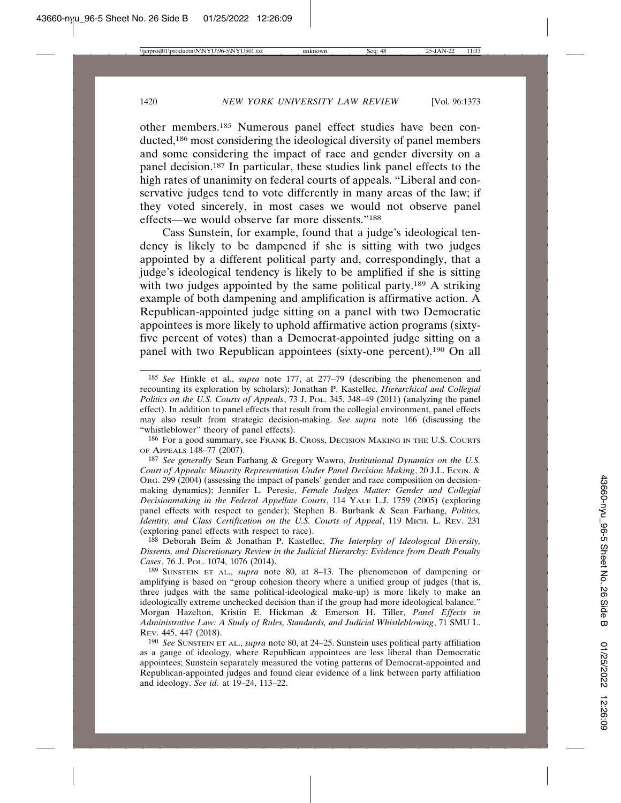other members.185 Numerous panel effect studies have been conducted,186 most considering the ideological diversity of panel members and some considering the impact of race and gender diversity on a panel decision.187 In particular, these studies link panel effects to the high rates of unanimity on federal courts of appeals. "Liberal and conservative judges tend to vote differently in many areas of the law; if they voted sincerely, in most cases we would not observe panel effects—we would observe far more dissents."188

Cass Sunstein, for example, found that a judge's ideological tendency is likely to be dampened if she is sitting with two judges appointed by a different political party and, correspondingly, that a judge's ideological tendency is likely to be amplified if she is sitting with two judges appointed by the same political party.<sup>189</sup> A striking example of both dampening and amplification is affirmative action. A Republican-appointed judge sitting on a panel with two Democratic appointees is more likely to uphold affirmative action programs (sixtyfive percent of votes) than a Democrat-appointed judge sitting on a panel with two Republican appointees (sixty-one percent).190 On all

188 Deborah Beim & Jonathan P. Kastellec, *The Interplay of Ideological Diversity, Dissents, and Discretionary Review in the Judicial Hierarchy: Evidence from Death Penalty Cases*, 76 J. POL. 1074, 1076 (2014).

189 SUNSTEIN ET AL., *supra* note 80, at 8–13. The phenomenon of dampening or amplifying is based on "group cohesion theory where a unified group of judges (that is, three judges with the same political-ideological make-up) is more likely to make an ideologically extreme unchecked decision than if the group had more ideological balance." Morgan Hazelton, Kristin E. Hickman & Emerson H. Tiller, *Panel Effects in Administrative Law: A Study of Rules, Standards, and Judicial Whistleblowing*, 71 SMU L. REV. 445, 447 (2018).

190 *See* SUNSTEIN ET AL., *supra* note 80, at 24–25. Sunstein uses political party affiliation as a gauge of ideology, where Republican appointees are less liberal than Democratic appointees; Sunstein separately measured the voting patterns of Democrat-appointed and Republican-appointed judges and found clear evidence of a link between party affiliation and ideology. *See id.* at 19–24, 113–22.

<sup>185</sup> *See* Hinkle et al., *supra* note 177, at 277–79 (describing the phenomenon and recounting its exploration by scholars); Jonathan P. Kastellec, *Hierarchical and Collegial Politics on the U.S. Courts of Appeals*, 73 J. POL. 345, 348–49 (2011) (analyzing the panel effect). In addition to panel effects that result from the collegial environment, panel effects may also result from strategic decision-making. *See supra* note 166 (discussing the "whistleblower" theory of panel effects).

<sup>186</sup> For a good summary, see FRANK B. CROSS, DECISION MAKING IN THE U.S. COURTS OF APPEALS 148–77 (2007).

<sup>187</sup> *See generally* Sean Farhang & Gregory Wawro, *Institutional Dynamics on the U.S. Court of Appeals: Minority Representation Under Panel Decision Making*, 20 J.L. ECON. & ORG. 299 (2004) (assessing the impact of panels' gender and race composition on decisionmaking dynamics); Jennifer L. Peresie, *Female Judges Matter: Gender and Collegial Decisionmaking in the Federal Appellate Courts*, 114 YALE L.J. 1759 (2005) (exploring panel effects with respect to gender); Stephen B. Burbank & Sean Farhang, *Politics, Identity, and Class Certification on the U.S. Courts of Appeal*, 119 MICH. L. REV. 231 (exploring panel effects with respect to race).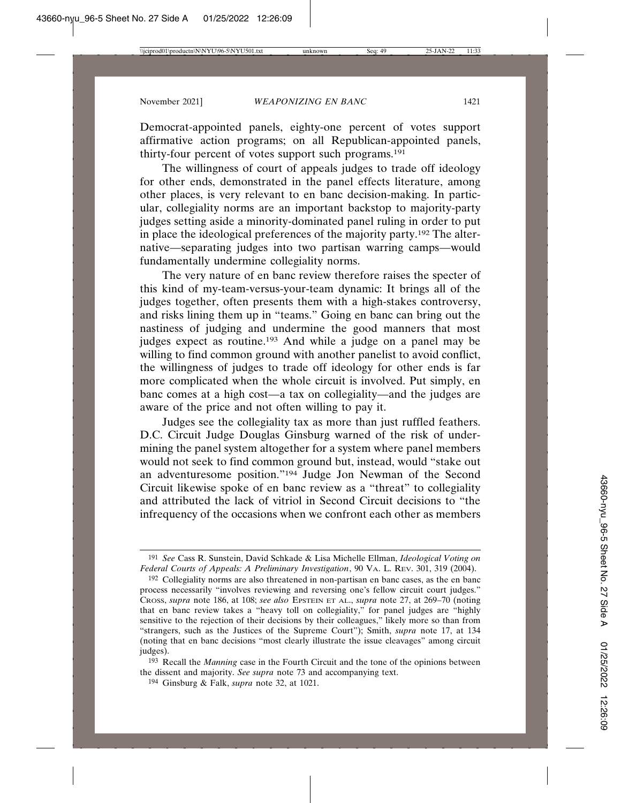Democrat-appointed panels, eighty-one percent of votes support affirmative action programs; on all Republican-appointed panels, thirty-four percent of votes support such programs.191

The willingness of court of appeals judges to trade off ideology for other ends, demonstrated in the panel effects literature, among other places, is very relevant to en banc decision-making. In particular, collegiality norms are an important backstop to majority-party judges setting aside a minority-dominated panel ruling in order to put in place the ideological preferences of the majority party.192 The alternative—separating judges into two partisan warring camps—would fundamentally undermine collegiality norms.

The very nature of en banc review therefore raises the specter of this kind of my-team-versus-your-team dynamic: It brings all of the judges together, often presents them with a high-stakes controversy, and risks lining them up in "teams." Going en banc can bring out the nastiness of judging and undermine the good manners that most judges expect as routine.193 And while a judge on a panel may be willing to find common ground with another panelist to avoid conflict, the willingness of judges to trade off ideology for other ends is far more complicated when the whole circuit is involved. Put simply, en banc comes at a high cost—a tax on collegiality—and the judges are aware of the price and not often willing to pay it.

Judges see the collegiality tax as more than just ruffled feathers. D.C. Circuit Judge Douglas Ginsburg warned of the risk of undermining the panel system altogether for a system where panel members would not seek to find common ground but, instead, would "stake out an adventuresome position."194 Judge Jon Newman of the Second Circuit likewise spoke of en banc review as a "threat" to collegiality and attributed the lack of vitriol in Second Circuit decisions to "the infrequency of the occasions when we confront each other as members

<sup>191</sup> *See* Cass R. Sunstein, David Schkade & Lisa Michelle Ellman, *Ideological Voting on Federal Courts of Appeals: A Preliminary Investigation*, 90 VA. L. REV. 301, 319 (2004).

<sup>192</sup> Collegiality norms are also threatened in non-partisan en banc cases, as the en banc process necessarily "involves reviewing and reversing one's fellow circuit court judges." CROSS, *supra* note 186, at 108; *see also* EPSTEIN ET AL., *supra* note 27, at 269–70 (noting that en banc review takes a "heavy toll on collegiality," for panel judges are "highly sensitive to the rejection of their decisions by their colleagues," likely more so than from "strangers, such as the Justices of the Supreme Court"); Smith, *supra* note 17, at 134 (noting that en banc decisions "most clearly illustrate the issue cleavages" among circuit judges).

<sup>193</sup> Recall the *Manning* case in the Fourth Circuit and the tone of the opinions between the dissent and majority. *See supra* note 73 and accompanying text.

<sup>194</sup> Ginsburg & Falk, *supra* note 32, at 1021.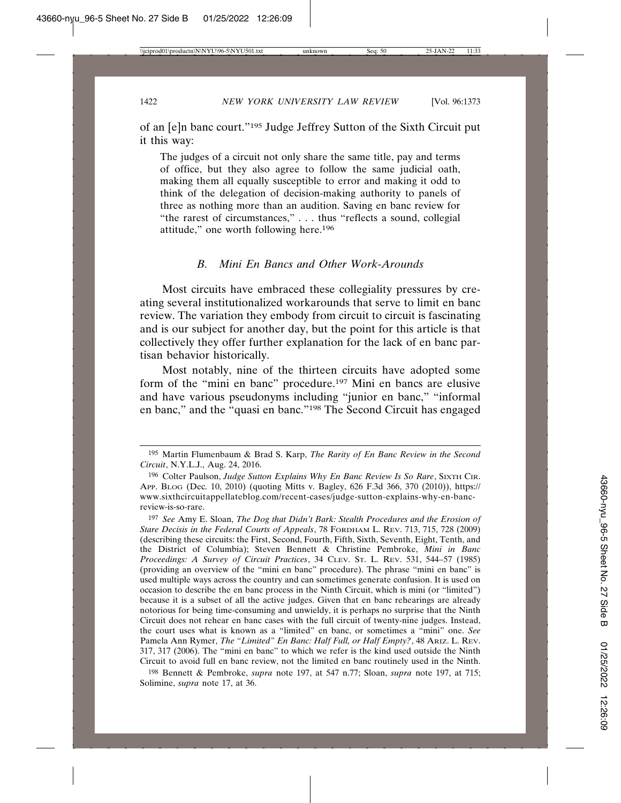of an [e]n banc court."195 Judge Jeffrey Sutton of the Sixth Circuit put it this way:

The judges of a circuit not only share the same title, pay and terms of office, but they also agree to follow the same judicial oath, making them all equally susceptible to error and making it odd to think of the delegation of decision-making authority to panels of three as nothing more than an audition. Saving en banc review for "the rarest of circumstances," . . . thus "reflects a sound, collegial attitude," one worth following here.196

#### *B. Mini En Bancs and Other Work-Arounds*

Most circuits have embraced these collegiality pressures by creating several institutionalized workarounds that serve to limit en banc review. The variation they embody from circuit to circuit is fascinating and is our subject for another day, but the point for this article is that collectively they offer further explanation for the lack of en banc partisan behavior historically.

Most notably, nine of the thirteen circuits have adopted some form of the "mini en banc" procedure.197 Mini en bancs are elusive and have various pseudonyms including "junior en banc," "informal en banc," and the "quasi en banc."198 The Second Circuit has engaged

198 Bennett & Pembroke, *supra* note 197, at 547 n.77; Sloan, *supra* note 197, at 715; Solimine, *supra* note 17, at 36.

<sup>195</sup> Martin Flumenbaum & Brad S. Karp, *The Rarity of En Banc Review in the Second Circuit*, N.Y.L.J., Aug. 24, 2016.

<sup>196</sup> Colter Paulson, *Judge Sutton Explains Why En Banc Review Is So Rare*, SIXTH CIR. APP. BLOG (Dec. 10, 2010) (quoting Mitts v. Bagley, 626 F.3d 366, 370 (2010)), https:// www.sixthcircuitappellateblog.com/recent-cases/judge-sutton-explains-why-en-bancreview-is-so-rare.

<sup>197</sup> *See* Amy E. Sloan, *The Dog that Didn't Bark: Stealth Procedures and the Erosion of Stare Decisis in the Federal Courts of Appeals*, 78 FORDHAM L. REV. 713, 715, 728 (2009) (describing these circuits: the First, Second, Fourth, Fifth, Sixth, Seventh, Eight, Tenth, and the District of Columbia); Steven Bennett & Christine Pembroke, *Mini in Banc Proceedings: A Survey of Circuit Practices*, 34 CLEV. ST. L. REV. 531, 544–57 (1985) (providing an overview of the "mini en banc" procedure). The phrase "mini en banc" is used multiple ways across the country and can sometimes generate confusion. It is used on occasion to describe the en banc process in the Ninth Circuit, which is mini (or "limited") because it is a subset of all the active judges. Given that en banc rehearings are already notorious for being time-consuming and unwieldy, it is perhaps no surprise that the Ninth Circuit does not rehear en banc cases with the full circuit of twenty-nine judges. Instead, the court uses what is known as a "limited" en banc, or sometimes a "mini" one. *See* Pamela Ann Rymer, *The "Limited" En Banc: Half Full, or Half Empty?*, 48 ARIZ. L. REV. 317, 317 (2006). The "mini en banc" to which we refer is the kind used outside the Ninth Circuit to avoid full en banc review, not the limited en banc routinely used in the Ninth.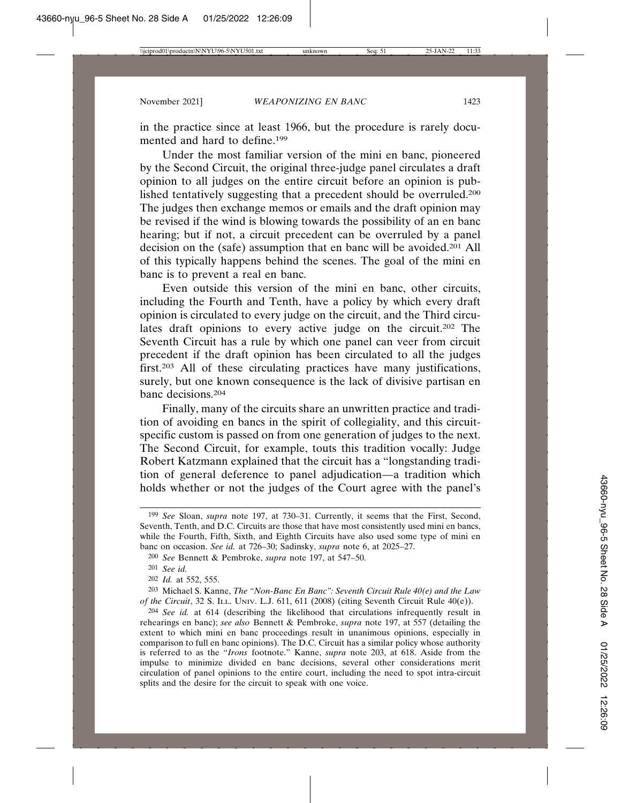in the practice since at least 1966, but the procedure is rarely documented and hard to define.<sup>199</sup>

Under the most familiar version of the mini en banc, pioneered by the Second Circuit, the original three-judge panel circulates a draft opinion to all judges on the entire circuit before an opinion is published tentatively suggesting that a precedent should be overruled.200 The judges then exchange memos or emails and the draft opinion may be revised if the wind is blowing towards the possibility of an en banc hearing; but if not, a circuit precedent can be overruled by a panel decision on the (safe) assumption that en banc will be avoided.201 All of this typically happens behind the scenes. The goal of the mini en banc is to prevent a real en banc.

Even outside this version of the mini en banc, other circuits, including the Fourth and Tenth, have a policy by which every draft opinion is circulated to every judge on the circuit, and the Third circulates draft opinions to every active judge on the circuit.202 The Seventh Circuit has a rule by which one panel can veer from circuit precedent if the draft opinion has been circulated to all the judges first.203 All of these circulating practices have many justifications, surely, but one known consequence is the lack of divisive partisan en banc decisions.204

Finally, many of the circuits share an unwritten practice and tradition of avoiding en bancs in the spirit of collegiality, and this circuitspecific custom is passed on from one generation of judges to the next. The Second Circuit, for example, touts this tradition vocally: Judge Robert Katzmann explained that the circuit has a "longstanding tradition of general deference to panel adjudication—a tradition which holds whether or not the judges of the Court agree with the panel's

203 Michael S. Kanne, *The "Non-Banc En Banc": Seventh Circuit Rule 40(e) and the Law of the Circuit*, 32 S. ILL. UNIV. L.J. 611, 611 (2008) (citing Seventh Circuit Rule 40(e)).

204 *See id.* at 614 (describing the likelihood that circulations infrequently result in rehearings en banc); *see also* Bennett & Pembroke, *supra* note 197, at 557 (detailing the extent to which mini en banc proceedings result in unanimous opinions, especially in comparison to full en banc opinions). The D.C. Circuit has a similar policy whose authority is referred to as the "*Irons* footnote." Kanne, *supra* note 203, at 618. Aside from the impulse to minimize divided en banc decisions, several other considerations merit circulation of panel opinions to the entire court, including the need to spot intra-circuit splits and the desire for the circuit to speak with one voice.

<sup>199</sup> *See* Sloan, *supra* note 197, at 730–31. Currently, it seems that the First, Second, Seventh, Tenth, and D.C. Circuits are those that have most consistently used mini en bancs, while the Fourth, Fifth, Sixth, and Eighth Circuits have also used some type of mini en banc on occasion. *See id.* at 726–30; Sadinsky, *supra* note 6, at 2025–27.

<sup>200</sup> *See* Bennett & Pembroke, *supra* note 197, at 547–50.

<sup>201</sup> *See id.*

<sup>202</sup> *Id.* at 552, 555.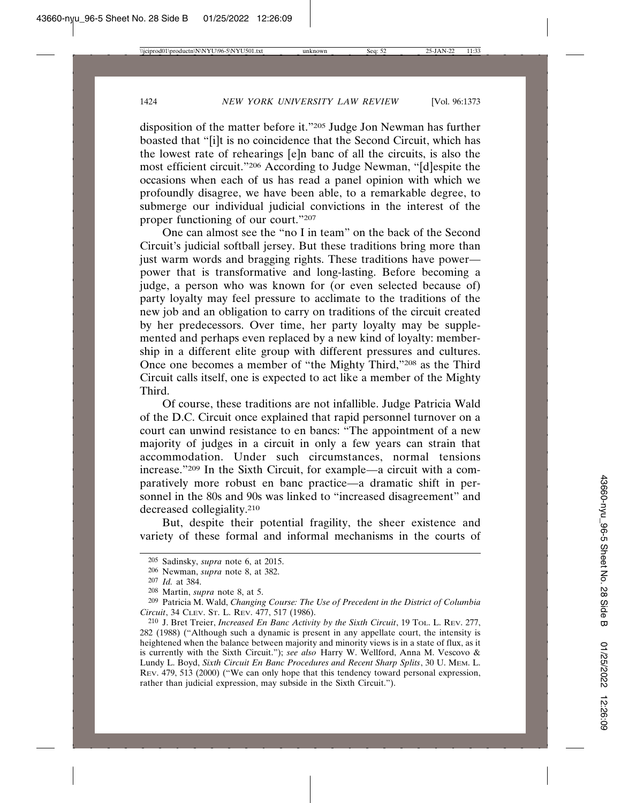disposition of the matter before it."205 Judge Jon Newman has further boasted that "[i]t is no coincidence that the Second Circuit, which has the lowest rate of rehearings [e]n banc of all the circuits, is also the most efficient circuit."206 According to Judge Newman, "[d]espite the occasions when each of us has read a panel opinion with which we profoundly disagree, we have been able, to a remarkable degree, to submerge our individual judicial convictions in the interest of the proper functioning of our court."207

One can almost see the "no I in team" on the back of the Second Circuit's judicial softball jersey. But these traditions bring more than just warm words and bragging rights. These traditions have power power that is transformative and long-lasting. Before becoming a judge, a person who was known for (or even selected because of) party loyalty may feel pressure to acclimate to the traditions of the new job and an obligation to carry on traditions of the circuit created by her predecessors. Over time, her party loyalty may be supplemented and perhaps even replaced by a new kind of loyalty: membership in a different elite group with different pressures and cultures. Once one becomes a member of "the Mighty Third,"208 as the Third Circuit calls itself, one is expected to act like a member of the Mighty Third.

Of course, these traditions are not infallible. Judge Patricia Wald of the D.C. Circuit once explained that rapid personnel turnover on a court can unwind resistance to en bancs: "The appointment of a new majority of judges in a circuit in only a few years can strain that accommodation. Under such circumstances, normal tensions increase."209 In the Sixth Circuit, for example—a circuit with a comparatively more robust en banc practice—a dramatic shift in personnel in the 80s and 90s was linked to "increased disagreement" and decreased collegiality.210

But, despite their potential fragility, the sheer existence and variety of these formal and informal mechanisms in the courts of

<sup>205</sup> Sadinsky, *supra* note 6, at 2015.

<sup>206</sup> Newman, *supra* note 8, at 382.

<sup>207</sup> *Id.* at 384.

<sup>208</sup> Martin, *supra* note 8, at 5.

<sup>209</sup> Patricia M. Wald, *Changing Course: The Use of Precedent in the District of Columbia Circuit*, 34 CLEV. ST. L. REV. 477, 517 (1986).

<sup>210</sup> J. Bret Treier, *Increased En Banc Activity by the Sixth Circuit*, 19 TOL. L. REV. 277, 282 (1988) ("Although such a dynamic is present in any appellate court, the intensity is heightened when the balance between majority and minority views is in a state of flux, as it is currently with the Sixth Circuit."); *see also* Harry W. Wellford, Anna M. Vescovo & Lundy L. Boyd, *Sixth Circuit En Banc Procedures and Recent Sharp Splits*, 30 U. MEM. L. REV. 479, 513 (2000) ("We can only hope that this tendency toward personal expression, rather than judicial expression, may subside in the Sixth Circuit.").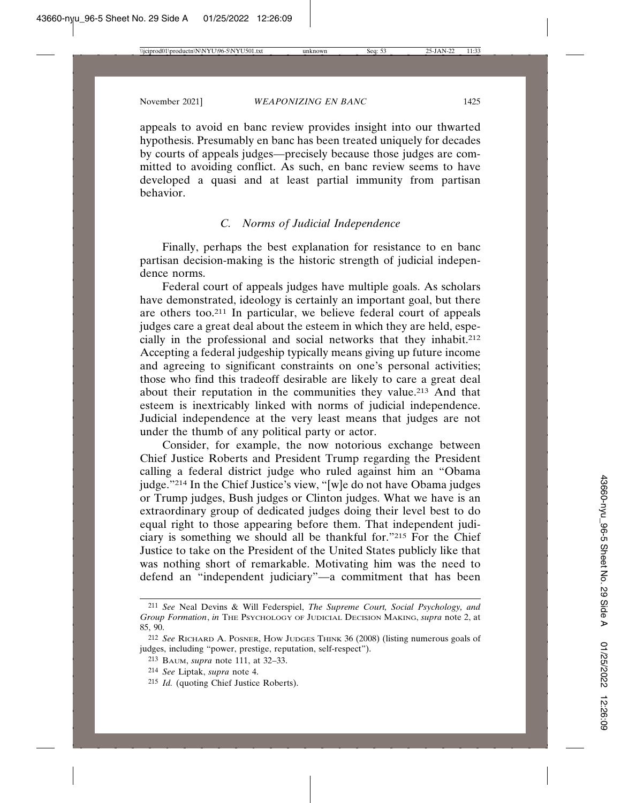appeals to avoid en banc review provides insight into our thwarted hypothesis. Presumably en banc has been treated uniquely for decades by courts of appeals judges—precisely because those judges are committed to avoiding conflict. As such, en banc review seems to have developed a quasi and at least partial immunity from partisan behavior.

## *C. Norms of Judicial Independence*

Finally, perhaps the best explanation for resistance to en banc partisan decision-making is the historic strength of judicial independence norms.

Federal court of appeals judges have multiple goals. As scholars have demonstrated, ideology is certainly an important goal, but there are others too.211 In particular, we believe federal court of appeals judges care a great deal about the esteem in which they are held, especially in the professional and social networks that they inhabit.212 Accepting a federal judgeship typically means giving up future income and agreeing to significant constraints on one's personal activities; those who find this tradeoff desirable are likely to care a great deal about their reputation in the communities they value.213 And that esteem is inextricably linked with norms of judicial independence. Judicial independence at the very least means that judges are not under the thumb of any political party or actor.

Consider, for example, the now notorious exchange between Chief Justice Roberts and President Trump regarding the President calling a federal district judge who ruled against him an "Obama judge."214 In the Chief Justice's view, "[w]e do not have Obama judges or Trump judges, Bush judges or Clinton judges. What we have is an extraordinary group of dedicated judges doing their level best to do equal right to those appearing before them. That independent judiciary is something we should all be thankful for."215 For the Chief Justice to take on the President of the United States publicly like that was nothing short of remarkable. Motivating him was the need to defend an "independent judiciary"—a commitment that has been

- 214 *See* Liptak, *supra* note 4.
- 215 *Id.* (quoting Chief Justice Roberts).

<sup>211</sup> *See* Neal Devins & Will Federspiel, *The Supreme Court, Social Psychology, and Group Formation*, *in* THE PSYCHOLOGY OF JUDICIAL DECISION MAKING, *supra* note 2, at 85, 90.

<sup>212</sup> *See* RICHARD A. POSNER, HOW JUDGES THINK 36 (2008) (listing numerous goals of judges, including "power, prestige, reputation, self-respect").

<sup>213</sup> BAUM, *supra* note 111, at 32–33.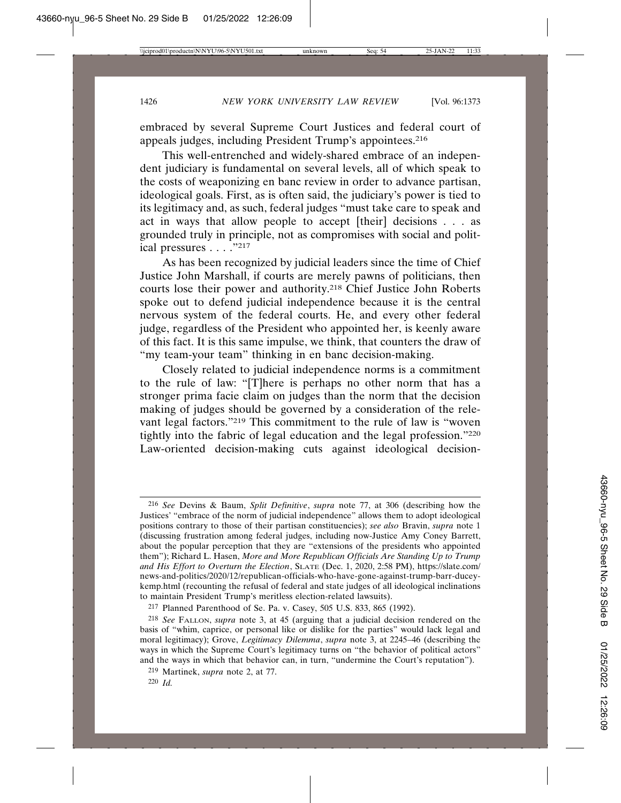embraced by several Supreme Court Justices and federal court of appeals judges, including President Trump's appointees.216

This well-entrenched and widely-shared embrace of an independent judiciary is fundamental on several levels, all of which speak to the costs of weaponizing en banc review in order to advance partisan, ideological goals. First, as is often said, the judiciary's power is tied to its legitimacy and, as such, federal judges "must take care to speak and act in ways that allow people to accept [their] decisions . . . as grounded truly in principle, not as compromises with social and political pressures . . . ."217

As has been recognized by judicial leaders since the time of Chief Justice John Marshall, if courts are merely pawns of politicians, then courts lose their power and authority.218 Chief Justice John Roberts spoke out to defend judicial independence because it is the central nervous system of the federal courts. He, and every other federal judge, regardless of the President who appointed her, is keenly aware of this fact. It is this same impulse, we think, that counters the draw of "my team-your team" thinking in en banc decision-making.

Closely related to judicial independence norms is a commitment to the rule of law: "[T]here is perhaps no other norm that has a stronger prima facie claim on judges than the norm that the decision making of judges should be governed by a consideration of the relevant legal factors."219 This commitment to the rule of law is "woven tightly into the fabric of legal education and the legal profession."220 Law-oriented decision-making cuts against ideological decision-

217 Planned Parenthood of Se. Pa. v. Casey, 505 U.S. 833, 865 (1992).

<sup>216</sup> *See* Devins & Baum, *Split Definitive*, *supra* note 77, at 306 (describing how the Justices' "embrace of the norm of judicial independence" allows them to adopt ideological positions contrary to those of their partisan constituencies); *see also* Bravin, *supra* note 1 (discussing frustration among federal judges, including now-Justice Amy Coney Barrett, about the popular perception that they are "extensions of the presidents who appointed them"); Richard L. Hasen, *More and More Republican Officials Are Standing Up to Trump and His Effort to Overturn the Election*, SLATE (Dec. 1, 2020, 2:58 PM), https://slate.com/ news-and-politics/2020/12/republican-officials-who-have-gone-against-trump-barr-duceykemp.html (recounting the refusal of federal and state judges of all ideological inclinations to maintain President Trump's meritless election-related lawsuits).

<sup>218</sup> *See* FALLON, *supra* note 3, at 45 (arguing that a judicial decision rendered on the basis of "whim, caprice, or personal like or dislike for the parties" would lack legal and moral legitimacy); Grove, *Legitimacy Dilemma*, *supra* note 3, at 2245–46 (describing the ways in which the Supreme Court's legitimacy turns on "the behavior of political actors" and the ways in which that behavior can, in turn, "undermine the Court's reputation").

<sup>219</sup> Martinek, *supra* note 2, at 77.

<sup>220</sup> *Id.*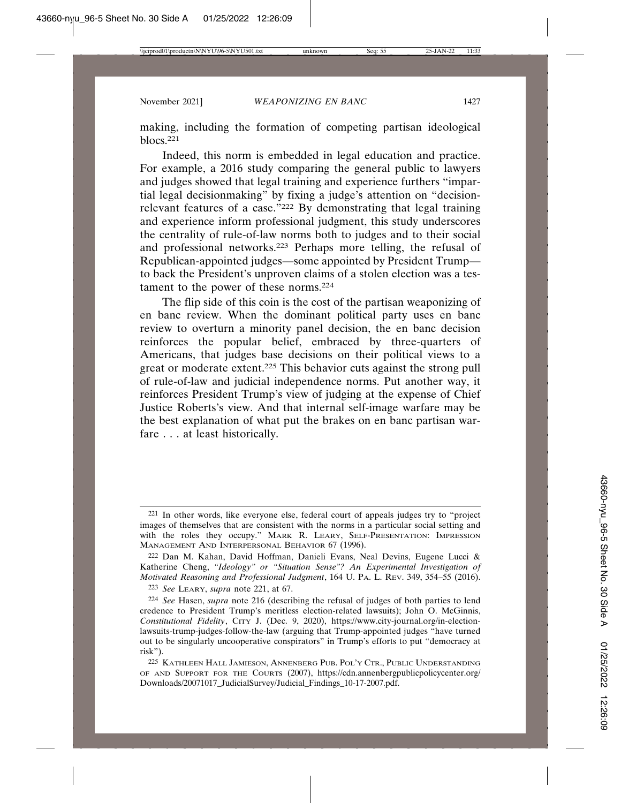making, including the formation of competing partisan ideological blocs.221

Indeed, this norm is embedded in legal education and practice. For example, a 2016 study comparing the general public to lawyers and judges showed that legal training and experience furthers "impartial legal decisionmaking" by fixing a judge's attention on "decisionrelevant features of a case."222 By demonstrating that legal training and experience inform professional judgment, this study underscores the centrality of rule-of-law norms both to judges and to their social and professional networks.223 Perhaps more telling, the refusal of Republican-appointed judges—some appointed by President Trump to back the President's unproven claims of a stolen election was a testament to the power of these norms.224

The flip side of this coin is the cost of the partisan weaponizing of en banc review. When the dominant political party uses en banc review to overturn a minority panel decision, the en banc decision reinforces the popular belief, embraced by three-quarters of Americans, that judges base decisions on their political views to a great or moderate extent.225 This behavior cuts against the strong pull of rule-of-law and judicial independence norms. Put another way, it reinforces President Trump's view of judging at the expense of Chief Justice Roberts's view. And that internal self-image warfare may be the best explanation of what put the brakes on en banc partisan warfare . . . at least historically.

<sup>221</sup> In other words, like everyone else, federal court of appeals judges try to "project images of themselves that are consistent with the norms in a particular social setting and with the roles they occupy." MARK R. LEARY, SELF-PRESENTATION: IMPRESSION MANAGEMENT AND INTERPERSONAL BEHAVIOR 67 (1996).

<sup>222</sup> Dan M. Kahan, David Hoffman, Danieli Evans, Neal Devins, Eugene Lucci & Katherine Cheng, *"Ideology" or "Situation Sense"? An Experimental Investigation of Motivated Reasoning and Professional Judgment*, 164 U. PA. L. REV. 349, 354–55 (2016).

<sup>223</sup> *See* LEARY, *supra* note 221, at 67.

<sup>224</sup> *See* Hasen, *supra* note 216 (describing the refusal of judges of both parties to lend credence to President Trump's meritless election-related lawsuits); John O. McGinnis, Constitutional Fidelity, CITY J. (Dec. 9, 2020), https://www.city-journal.org/in-electionlawsuits-trump-judges-follow-the-law (arguing that Trump-appointed judges "have turned out to be singularly uncooperative conspirators" in Trump's efforts to put "democracy at risk").

<sup>225</sup> KATHLEEN HALL JAMIESON, ANNENBERG PUB. POL'Y CTR., PUBLIC UNDERSTANDING OF AND SUPPORT FOR THE COURTS (2007), https://cdn.annenbergpublicpolicycenter.org/ Downloads/20071017\_JudicialSurvey/Judicial\_Findings\_10-17-2007.pdf.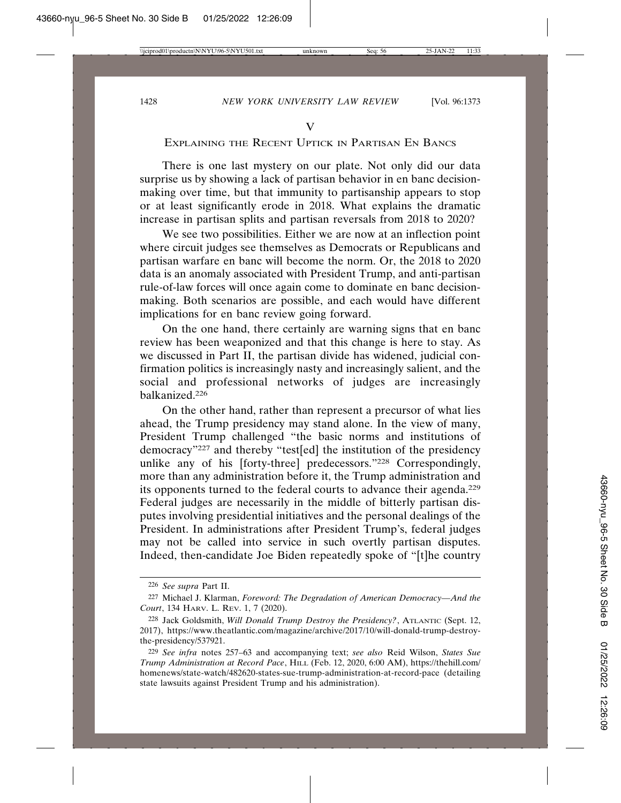## EXPLAINING THE RECENT UPTICK IN PARTISAN EN BANCS

There is one last mystery on our plate. Not only did our data surprise us by showing a lack of partisan behavior in en banc decisionmaking over time, but that immunity to partisanship appears to stop or at least significantly erode in 2018. What explains the dramatic increase in partisan splits and partisan reversals from 2018 to 2020?

We see two possibilities. Either we are now at an inflection point where circuit judges see themselves as Democrats or Republicans and partisan warfare en banc will become the norm. Or, the 2018 to 2020 data is an anomaly associated with President Trump, and anti-partisan rule-of-law forces will once again come to dominate en banc decisionmaking. Both scenarios are possible, and each would have different implications for en banc review going forward.

On the one hand, there certainly are warning signs that en banc review has been weaponized and that this change is here to stay. As we discussed in Part II, the partisan divide has widened, judicial confirmation politics is increasingly nasty and increasingly salient, and the social and professional networks of judges are increasingly balkanized.226

On the other hand, rather than represent a precursor of what lies ahead, the Trump presidency may stand alone. In the view of many, President Trump challenged "the basic norms and institutions of democracy"227 and thereby "test[ed] the institution of the presidency unlike any of his [forty-three] predecessors."228 Correspondingly, more than any administration before it, the Trump administration and its opponents turned to the federal courts to advance their agenda.229 Federal judges are necessarily in the middle of bitterly partisan disputes involving presidential initiatives and the personal dealings of the President. In administrations after President Trump's, federal judges may not be called into service in such overtly partisan disputes. Indeed, then-candidate Joe Biden repeatedly spoke of "[t]he country

<sup>226</sup> *See supra* Part II.

<sup>227</sup> Michael J. Klarman, *Foreword: The Degradation of American Democracy—And the Court*, 134 HARV. L. REV. 1, 7 (2020).

<sup>228</sup> Jack Goldsmith, *Will Donald Trump Destroy the Presidency?*, ATLANTIC (Sept. 12, 2017), https://www.theatlantic.com/magazine/archive/2017/10/will-donald-trump-destroythe-presidency/537921.

<sup>229</sup> *See infra* notes 257–63 and accompanying text; *see also* Reid Wilson, *States Sue Trump Administration at Record Pace*, HILL (Feb. 12, 2020, 6:00 AM), https://thehill.com/ homenews/state-watch/482620-states-sue-trump-administration-at-record-pace (detailing state lawsuits against President Trump and his administration).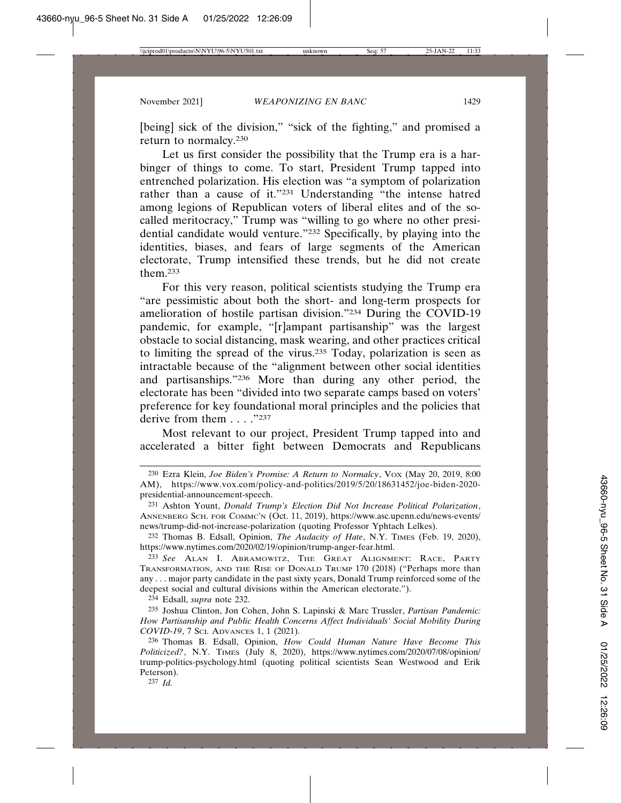[being] sick of the division," "sick of the fighting," and promised a return to normalcy.230

Let us first consider the possibility that the Trump era is a harbinger of things to come. To start, President Trump tapped into entrenched polarization. His election was "a symptom of polarization rather than a cause of it."231 Understanding "the intense hatred among legions of Republican voters of liberal elites and of the socalled meritocracy," Trump was "willing to go where no other presidential candidate would venture."232 Specifically, by playing into the identities, biases, and fears of large segments of the American electorate, Trump intensified these trends, but he did not create them.233

For this very reason, political scientists studying the Trump era "are pessimistic about both the short- and long-term prospects for amelioration of hostile partisan division."234 During the COVID-19 pandemic, for example, "[r]ampant partisanship" was the largest obstacle to social distancing, mask wearing, and other practices critical to limiting the spread of the virus.235 Today, polarization is seen as intractable because of the "alignment between other social identities and partisanships."236 More than during any other period, the electorate has been "divided into two separate camps based on voters' preference for key foundational moral principles and the policies that derive from them . . . . "237

Most relevant to our project, President Trump tapped into and accelerated a bitter fight between Democrats and Republicans

232 Thomas B. Edsall, Opinion, *The Audacity of Hate*, N.Y. TIMES (Feb. 19, 2020), https://www.nytimes.com/2020/02/19/opinion/trump-anger-fear.html.

233 *See* ALAN I. ABRAMOWITZ, THE GREAT ALIGNMENT: RACE, PARTY TRANSFORMATION, AND THE RISE OF DONALD TRUMP 170 (2018) ("Perhaps more than any . . . major party candidate in the past sixty years, Donald Trump reinforced some of the deepest social and cultural divisions within the American electorate.").

234 Edsall, *supra* note 232.

235 Joshua Clinton, Jon Cohen, John S. Lapinski & Marc Trussler, *Partisan Pandemic: How Partisanship and Public Health Concerns Affect Individuals' Social Mobility During COVID-19*, 7 SCI. ADVANCES 1, 1 (2021).

236 Thomas B. Edsall, Opinion, *How Could Human Nature Have Become This Politicized?*, N.Y. TIMES (July 8, 2020), https://www.nytimes.com/2020/07/08/opinion/ trump-politics-psychology.html (quoting political scientists Sean Westwood and Erik Peterson).

237 *Id.*

<sup>230</sup> Ezra Klein, *Joe Biden's Promise: A Return to Normalcy*, VOX (May 20, 2019, 8:00 AM), https://www.vox.com/policy-and-politics/2019/5/20/18631452/joe-biden-2020 presidential-announcement-speech.

<sup>231</sup> Ashton Yount, *Donald Trump's Election Did Not Increase Political Polarization*, ANNENBERG SCH. FOR COMMC'N (Oct. 11, 2019), https://www.asc.upenn.edu/news-events/ news/trump-did-not-increase-polarization (quoting Professor Yphtach Lelkes).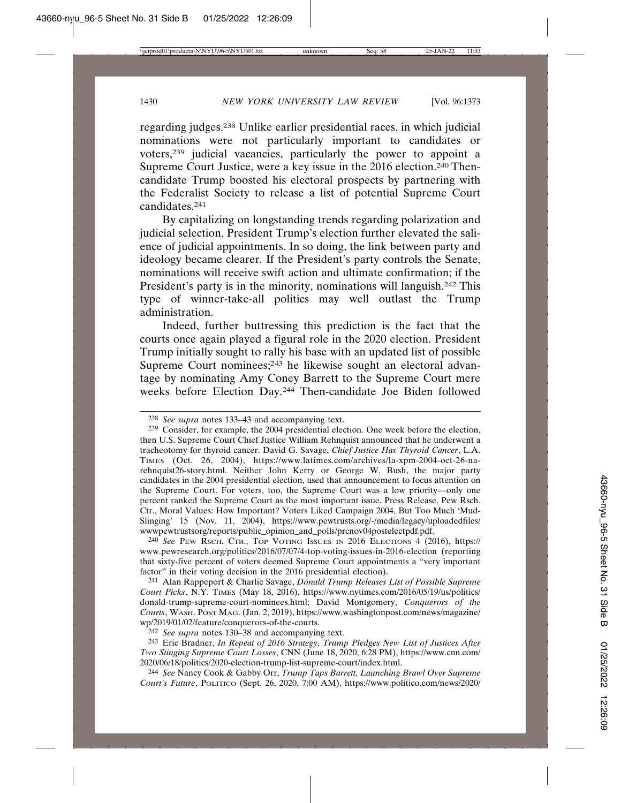regarding judges.238 Unlike earlier presidential races, in which judicial nominations were not particularly important to candidates or voters,239 judicial vacancies, particularly the power to appoint a Supreme Court Justice, were a key issue in the 2016 election.<sup>240</sup> Thencandidate Trump boosted his electoral prospects by partnering with the Federalist Society to release a list of potential Supreme Court candidates.241

By capitalizing on longstanding trends regarding polarization and judicial selection, President Trump's election further elevated the salience of judicial appointments. In so doing, the link between party and ideology became clearer. If the President's party controls the Senate, nominations will receive swift action and ultimate confirmation; if the President's party is in the minority, nominations will languish.<sup>242</sup> This type of winner-take-all politics may well outlast the Trump administration.

Indeed, further buttressing this prediction is the fact that the courts once again played a figural role in the 2020 election. President Trump initially sought to rally his base with an updated list of possible Supreme Court nominees;<sup>243</sup> he likewise sought an electoral advantage by nominating Amy Coney Barrett to the Supreme Court mere weeks before Election Day.244 Then-candidate Joe Biden followed

240 *See* PEW RSCH. CTR., TOP VOTING ISSUES IN 2016 ELECTIONS 4 (2016), https:// www.pewresearch.org/politics/2016/07/07/4-top-voting-issues-in-2016-election (reporting that sixty-five percent of voters deemed Supreme Court appointments a "very important factor" in their voting decision in the 2016 presidential election).

241 Alan Rappeport & Charlie Savage, *Donald Trump Releases List of Possible Supreme Court Picks*, N.Y. TIMES (May 18, 2016), https://www.nytimes.com/2016/05/19/us/politics/ donald-trump-supreme-court-nominees.html; David Montgomery, *Conquerors of the Courts*, WASH. POST MAG. (Jan. 2, 2019), https://www.washingtonpost.com/news/magazine/ wp/2019/01/02/feature/conquerors-of-the-courts.

242 *See supra* notes 130–38 and accompanying text.

243 Eric Bradner, *In Repeat of 2016 Strategy, Trump Pledges New List of Justices After Two Stinging Supreme Court Losses*, CNN (June 18, 2020, 6:28 PM), https://www.cnn.com/ 2020/06/18/politics/2020-election-trump-list-supreme-court/index.html.

244 *See* Nancy Cook & Gabby Orr, *Trump Taps Barrett, Launching Brawl Over Supreme Court's Future*, POLITICO (Sept. 26, 2020, 7:00 AM), https://www.politico.com/news/2020/

<sup>238</sup> *See supra* notes 133–43 and accompanying text.

<sup>239</sup> Consider, for example, the 2004 presidential election. One week before the election, then U.S. Supreme Court Chief Justice William Rehnquist announced that he underwent a tracheotomy for thyroid cancer. David G. Savage, *Chief Justice Has Thyroid Cancer*, L.A. TIMES (Oct. 26, 2004), https://www.latimes.com/archives/la-xpm-2004-oct-26-narehnquist26-story.html. Neither John Kerry or George W. Bush, the major party candidates in the 2004 presidential election, used that announcement to focus attention on the Supreme Court. For voters, too, the Supreme Court was a low priority—only one percent ranked the Supreme Court as the most important issue. Press Release, Pew Rsch. Ctr., Moral Values: How Important? Voters Liked Campaign 2004, But Too Much 'Mud-Slinging' 15 (Nov. 11, 2004), https://www.pewtrusts.org/-/media/legacy/uploadedfiles/ wwwpewtrustsorg/reports/public\_opinion\_and\_polls/prcnov04postelectpdf.pdf.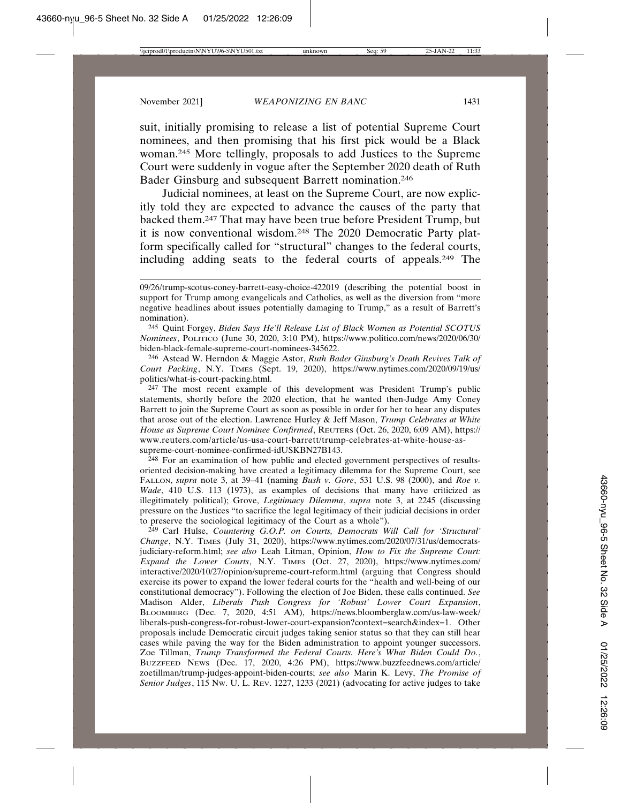suit, initially promising to release a list of potential Supreme Court nominees, and then promising that his first pick would be a Black woman.245 More tellingly, proposals to add Justices to the Supreme Court were suddenly in vogue after the September 2020 death of Ruth Bader Ginsburg and subsequent Barrett nomination.246

Judicial nominees, at least on the Supreme Court, are now explicitly told they are expected to advance the causes of the party that backed them.247 That may have been true before President Trump, but it is now conventional wisdom.248 The 2020 Democratic Party platform specifically called for "structural" changes to the federal courts, including adding seats to the federal courts of appeals.249 The

246 Astead W. Herndon & Maggie Astor, *Ruth Bader Ginsburg's Death Revives Talk of Court Packing*, N.Y. TIMES (Sept. 19, 2020), https://www.nytimes.com/2020/09/19/us/ politics/what-is-court-packing.html.

247 The most recent example of this development was President Trump's public statements, shortly before the 2020 election, that he wanted then-Judge Amy Coney Barrett to join the Supreme Court as soon as possible in order for her to hear any disputes that arose out of the election. Lawrence Hurley & Jeff Mason, *Trump Celebrates at White House as Supreme Court Nominee Confirmed*, REUTERS (Oct. 26, 2020, 6:09 AM), https:// www.reuters.com/article/us-usa-court-barrett/trump-celebrates-at-white-house-assupreme-court-nominee-confirmed-idUSKBN27B143.

<sup>248</sup> For an examination of how public and elected government perspectives of resultsoriented decision-making have created a legitimacy dilemma for the Supreme Court, see FALLON, *supra* note 3, at 39–41 (naming *Bush v. Gore*, 531 U.S. 98 (2000), and *Roe v. Wade*, 410 U.S. 113 (1973), as examples of decisions that many have criticized as illegitimately political); Grove, *Legitimacy Dilemma*, *supra* note 3, at 2245 (discussing pressure on the Justices "to sacrifice the legal legitimacy of their judicial decisions in order to preserve the sociological legitimacy of the Court as a whole").

249 Carl Hulse, *Countering G.O.P. on Courts, Democrats Will Call for 'Structural' Change*, N.Y. TIMES (July 31, 2020), https://www.nytimes.com/2020/07/31/us/democratsjudiciary-reform.html; *see also* Leah Litman, Opinion, *How to Fix the Supreme Court: Expand the Lower Courts*, N.Y. TIMES (Oct. 27, 2020), https://www.nytimes.com/ interactive/2020/10/27/opinion/supreme-court-reform.html (arguing that Congress should exercise its power to expand the lower federal courts for the "health and well-being of our constitutional democracy"). Following the election of Joe Biden, these calls continued. *See* Madison Alder, *Liberals Push Congress for 'Robust' Lower Court Expansion*, BLOOMBERG (Dec. 7, 2020, 4:51 AM), https://news.bloomberglaw.com/us-law-week/ liberals-push-congress-for-robust-lower-court-expansion?context=search&index=1. Other proposals include Democratic circuit judges taking senior status so that they can still hear cases while paving the way for the Biden administration to appoint younger successors. Zoe Tillman, *Trump Transformed the Federal Courts. Here's What Biden Could Do.*, BUZZFEED NEWS (Dec. 17, 2020, 4:26 PM), https://www.buzzfeednews.com/article/ zoetillman/trump-judges-appoint-biden-courts; *see also* Marin K. Levy, *The Promise of Senior Judges*, 115 NW. U. L. REV. 1227, 1233 (2021) (advocating for active judges to take

<sup>09/26/</sup>trump-scotus-coney-barrett-easy-choice-422019 (describing the potential boost in support for Trump among evangelicals and Catholics, as well as the diversion from "more negative headlines about issues potentially damaging to Trump," as a result of Barrett's nomination).

<sup>245</sup> Quint Forgey, *Biden Says He'll Release List of Black Women as Potential SCOTUS Nominees*, POLITICO (June 30, 2020, 3:10 PM), https://www.politico.com/news/2020/06/30/ biden-black-female-supreme-court-nominees-345622.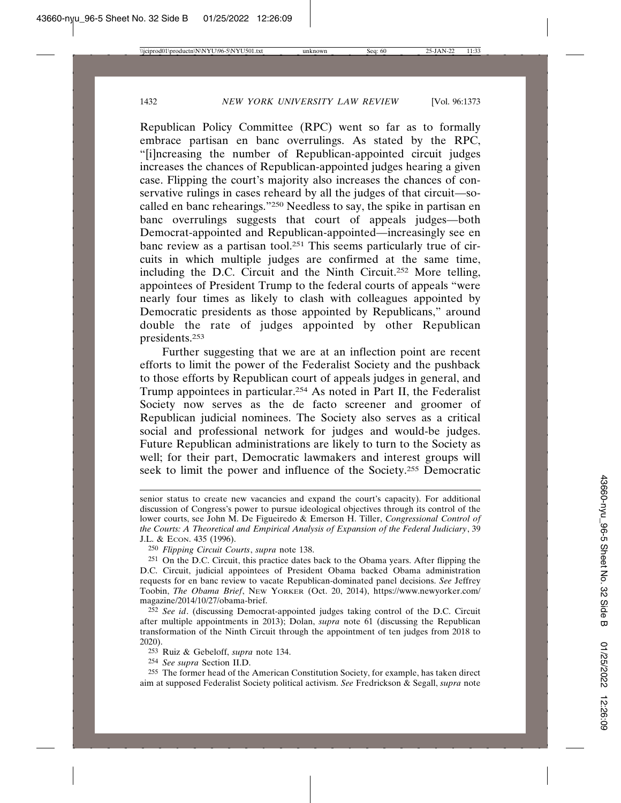Republican Policy Committee (RPC) went so far as to formally embrace partisan en banc overrulings. As stated by the RPC, "[i]ncreasing the number of Republican-appointed circuit judges increases the chances of Republican-appointed judges hearing a given case. Flipping the court's majority also increases the chances of conservative rulings in cases reheard by all the judges of that circuit—socalled en banc rehearings."250 Needless to say, the spike in partisan en banc overrulings suggests that court of appeals judges—both Democrat-appointed and Republican-appointed—increasingly see en banc review as a partisan tool.251 This seems particularly true of circuits in which multiple judges are confirmed at the same time, including the D.C. Circuit and the Ninth Circuit.252 More telling, appointees of President Trump to the federal courts of appeals "were nearly four times as likely to clash with colleagues appointed by Democratic presidents as those appointed by Republicans," around double the rate of judges appointed by other Republican presidents.253

Further suggesting that we are at an inflection point are recent efforts to limit the power of the Federalist Society and the pushback to those efforts by Republican court of appeals judges in general, and Trump appointees in particular.254 As noted in Part II, the Federalist Society now serves as the de facto screener and groomer of Republican judicial nominees. The Society also serves as a critical social and professional network for judges and would-be judges. Future Republican administrations are likely to turn to the Society as well; for their part, Democratic lawmakers and interest groups will seek to limit the power and influence of the Society.255 Democratic

252 *See id*. (discussing Democrat-appointed judges taking control of the D.C. Circuit after multiple appointments in 2013); Dolan, *supra* note 61 (discussing the Republican transformation of the Ninth Circuit through the appointment of ten judges from 2018 to 2020).

253 Ruiz & Gebeloff, *supra* note 134.

254 *See supra* Section II.D.

255 The former head of the American Constitution Society, for example, has taken direct aim at supposed Federalist Society political activism. *See* Fredrickson & Segall, *supra* note

senior status to create new vacancies and expand the court's capacity). For additional discussion of Congress's power to pursue ideological objectives through its control of the lower courts, see John M. De Figueiredo & Emerson H. Tiller, *Congressional Control of the Courts: A Theoretical and Empirical Analysis of Expansion of the Federal Judiciary*, 39 J.L. & ECON. 435 (1996).

<sup>250</sup> *Flipping Circuit Courts*, *supra* note 138.

<sup>251</sup> On the D.C. Circuit, this practice dates back to the Obama years. After flipping the D.C. Circuit, judicial appointees of President Obama backed Obama administration requests for en banc review to vacate Republican-dominated panel decisions. *See* Jeffrey Toobin, *The Obama Brief*, NEW YORKER (Oct. 20, 2014), https://www.newyorker.com/ magazine/2014/10/27/obama-brief.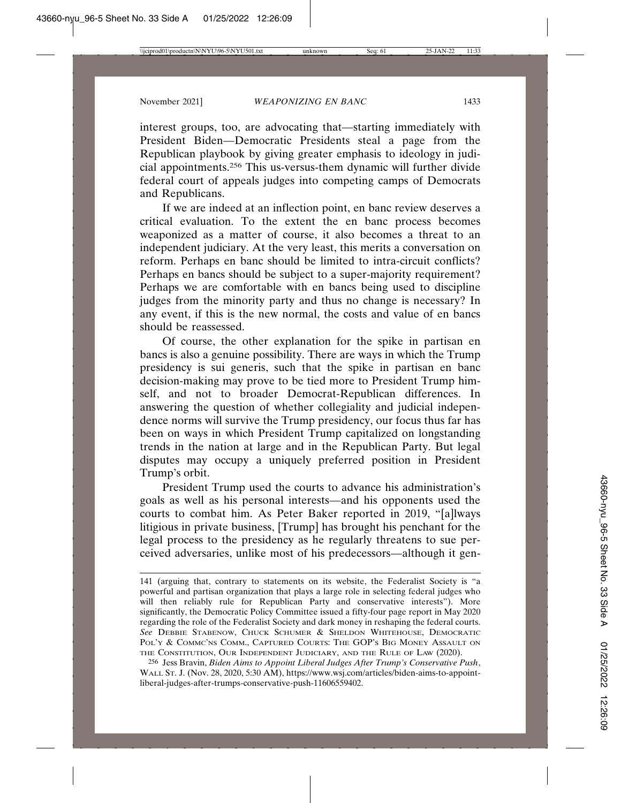interest groups, too, are advocating that—starting immediately with President Biden—Democratic Presidents steal a page from the Republican playbook by giving greater emphasis to ideology in judicial appointments.256 This us-versus-them dynamic will further divide federal court of appeals judges into competing camps of Democrats and Republicans.

If we are indeed at an inflection point, en banc review deserves a critical evaluation. To the extent the en banc process becomes weaponized as a matter of course, it also becomes a threat to an independent judiciary. At the very least, this merits a conversation on reform. Perhaps en banc should be limited to intra-circuit conflicts? Perhaps en bancs should be subject to a super-majority requirement? Perhaps we are comfortable with en bancs being used to discipline judges from the minority party and thus no change is necessary? In any event, if this is the new normal, the costs and value of en bancs should be reassessed.

Of course, the other explanation for the spike in partisan en bancs is also a genuine possibility. There are ways in which the Trump presidency is sui generis, such that the spike in partisan en banc decision-making may prove to be tied more to President Trump himself, and not to broader Democrat-Republican differences. In answering the question of whether collegiality and judicial independence norms will survive the Trump presidency, our focus thus far has been on ways in which President Trump capitalized on longstanding trends in the nation at large and in the Republican Party. But legal disputes may occupy a uniquely preferred position in President Trump's orbit.

President Trump used the courts to advance his administration's goals as well as his personal interests—and his opponents used the courts to combat him. As Peter Baker reported in 2019, "[a]lways litigious in private business, [Trump] has brought his penchant for the legal process to the presidency as he regularly threatens to sue perceived adversaries, unlike most of his predecessors—although it gen-

<sup>141 (</sup>arguing that, contrary to statements on its website, the Federalist Society is "a powerful and partisan organization that plays a large role in selecting federal judges who will then reliably rule for Republican Party and conservative interests"). More significantly, the Democratic Policy Committee issued a fifty-four page report in May 2020 regarding the role of the Federalist Society and dark money in reshaping the federal courts. *See* DEBBIE STABENOW, CHUCK SCHUMER & SHELDON WHITEHOUSE, DEMOCRATIC POL'Y & COMMC'NS COMM., CAPTURED COURTS: THE GOP'S BIG MONEY ASSAULT ON THE CONSTITUTION, OUR INDEPENDENT JUDICIARY, AND THE RULE OF LAW (2020).

<sup>256</sup> Jess Bravin, *Biden Aims to Appoint Liberal Judges After Trump's Conservative Push*, WALL ST. J. (Nov. 28, 2020, 5:30 AM), https://www.wsj.com/articles/biden-aims-to-appointliberal-judges-after-trumps-conservative-push-11606559402.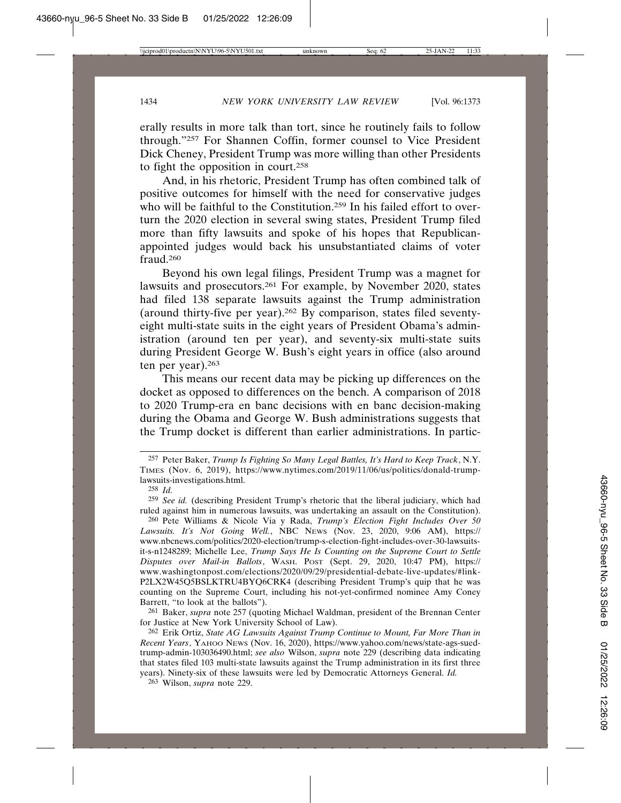erally results in more talk than tort, since he routinely fails to follow through."257 For Shannen Coffin, former counsel to Vice President Dick Cheney, President Trump was more willing than other Presidents to fight the opposition in court.258

And, in his rhetoric, President Trump has often combined talk of positive outcomes for himself with the need for conservative judges who will be faithful to the Constitution.<sup>259</sup> In his failed effort to overturn the 2020 election in several swing states, President Trump filed more than fifty lawsuits and spoke of his hopes that Republicanappointed judges would back his unsubstantiated claims of voter fraud.260

Beyond his own legal filings, President Trump was a magnet for lawsuits and prosecutors.261 For example, by November 2020, states had filed 138 separate lawsuits against the Trump administration (around thirty-five per year).262 By comparison, states filed seventyeight multi-state suits in the eight years of President Obama's administration (around ten per year), and seventy-six multi-state suits during President George W. Bush's eight years in office (also around ten per year).263

This means our recent data may be picking up differences on the docket as opposed to differences on the bench. A comparison of 2018 to 2020 Trump-era en banc decisions with en banc decision-making during the Obama and George W. Bush administrations suggests that the Trump docket is different than earlier administrations. In partic-

261 Baker, *supra* note 257 (quoting Michael Waldman, president of the Brennan Center for Justice at New York University School of Law).

<sup>257</sup> Peter Baker, *Trump Is Fighting So Many Legal Battles, It's Hard to Keep Track*, N.Y. TIMES (Nov. 6, 2019), https://www.nytimes.com/2019/11/06/us/politics/donald-trumplawsuits-investigations.html.

<sup>258</sup> *Id.*

<sup>259</sup> *See id.* (describing President Trump's rhetoric that the liberal judiciary, which had ruled against him in numerous lawsuits, was undertaking an assault on the Constitution).

<sup>260</sup> Pete Williams & Nicole Via y Rada, *Trump's Election Fight Includes Over 50 Lawsuits. It's Not Going Well.*, NBC NEWS (Nov. 23, 2020, 9:06 AM), https:// www.nbcnews.com/politics/2020-election/trump-s-election-fight-includes-over-30-lawsuitsit-s-n1248289; Michelle Lee, *Trump Says He Is Counting on the Supreme Court to Settle Disputes over Mail-in Ballots*, WASH. POST (Sept. 29, 2020, 10:47 PM), https:// www.washingtonpost.com/elections/2020/09/29/presidential-debate-live-updates/#link-P2LX2W45Q5BSLKTRU4BYQ6CRK4 (describing President Trump's quip that he was counting on the Supreme Court, including his not-yet-confirmed nominee Amy Coney Barrett, "to look at the ballots").

<sup>262</sup> Erik Ortiz, *State AG Lawsuits Against Trump Continue to Mount, Far More Than in Recent Years*, YAHOO NEWS (Nov. 16, 2020), https://www.yahoo.com/news/state-ags-suedtrump-admin-103036490.html; *see also* Wilson, *supra* note 229 (describing data indicating that states filed 103 multi-state lawsuits against the Trump administration in its first three years). Ninety-six of these lawsuits were led by Democratic Attorneys General. *Id.*

<sup>263</sup> Wilson, *supra* note 229.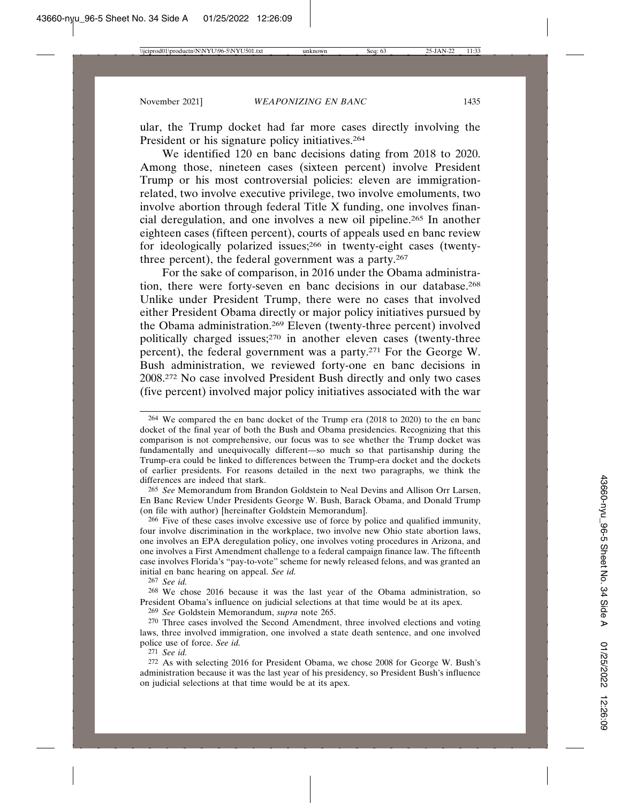ular, the Trump docket had far more cases directly involving the President or his signature policy initiatives.<sup>264</sup>

We identified 120 en banc decisions dating from 2018 to 2020. Among those, nineteen cases (sixteen percent) involve President Trump or his most controversial policies: eleven are immigrationrelated, two involve executive privilege, two involve emoluments, two involve abortion through federal Title X funding, one involves financial deregulation, and one involves a new oil pipeline.265 In another eighteen cases (fifteen percent), courts of appeals used en banc review for ideologically polarized issues;266 in twenty-eight cases (twentythree percent), the federal government was a party.<sup>267</sup>

For the sake of comparison, in 2016 under the Obama administration, there were forty-seven en banc decisions in our database.268 Unlike under President Trump, there were no cases that involved either President Obama directly or major policy initiatives pursued by the Obama administration.269 Eleven (twenty-three percent) involved politically charged issues;270 in another eleven cases (twenty-three percent), the federal government was a party.271 For the George W. Bush administration, we reviewed forty-one en banc decisions in 2008.272 No case involved President Bush directly and only two cases (five percent) involved major policy initiatives associated with the war

265 *See* Memorandum from Brandon Goldstein to Neal Devins and Allison Orr Larsen, En Banc Review Under Presidents George W. Bush, Barack Obama, and Donald Trump (on file with author) [hereinafter Goldstein Memorandum].

266 Five of these cases involve excessive use of force by police and qualified immunity, four involve discrimination in the workplace, two involve new Ohio state abortion laws, one involves an EPA deregulation policy, one involves voting procedures in Arizona, and one involves a First Amendment challenge to a federal campaign finance law. The fifteenth case involves Florida's "pay-to-vote" scheme for newly released felons, and was granted an initial en banc hearing on appeal. *See id.*

267 *See id.* 

268 We chose 2016 because it was the last year of the Obama administration, so President Obama's influence on judicial selections at that time would be at its apex.

269 *See* Goldstein Memorandum, *supra* note 265.

270 Three cases involved the Second Amendment, three involved elections and voting laws, three involved immigration, one involved a state death sentence, and one involved police use of force. *See id.*

271 *See id.*

<sup>264</sup> We compared the en banc docket of the Trump era (2018 to 2020) to the en banc docket of the final year of both the Bush and Obama presidencies. Recognizing that this comparison is not comprehensive, our focus was to see whether the Trump docket was fundamentally and unequivocally different—so much so that partisanship during the Trump-era could be linked to differences between the Trump-era docket and the dockets of earlier presidents. For reasons detailed in the next two paragraphs, we think the differences are indeed that stark.

<sup>272</sup> As with selecting 2016 for President Obama, we chose 2008 for George W. Bush's administration because it was the last year of his presidency, so President Bush's influence on judicial selections at that time would be at its apex.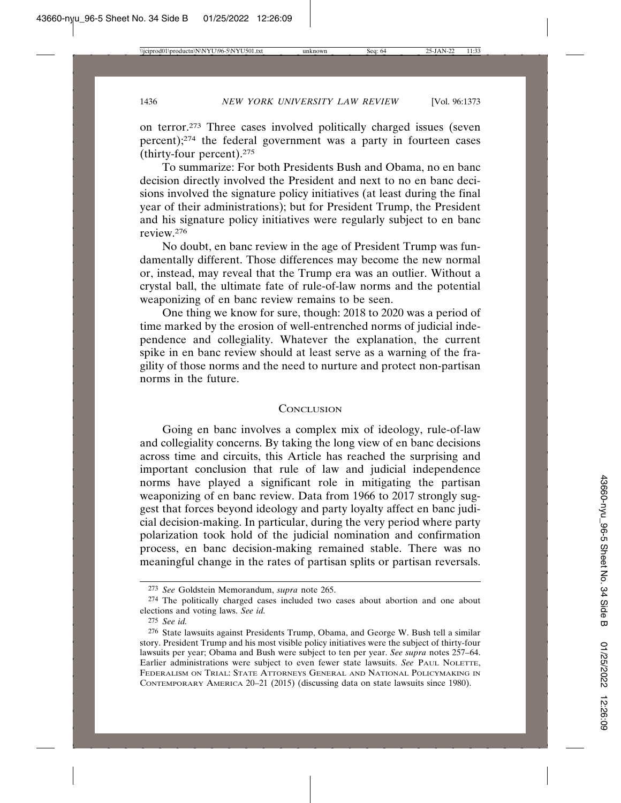on terror.273 Three cases involved politically charged issues (seven percent);274 the federal government was a party in fourteen cases (thirty-four percent).275

To summarize: For both Presidents Bush and Obama, no en banc decision directly involved the President and next to no en banc decisions involved the signature policy initiatives (at least during the final year of their administrations); but for President Trump, the President and his signature policy initiatives were regularly subject to en banc review.276

No doubt, en banc review in the age of President Trump was fundamentally different. Those differences may become the new normal or, instead, may reveal that the Trump era was an outlier. Without a crystal ball, the ultimate fate of rule-of-law norms and the potential weaponizing of en banc review remains to be seen.

One thing we know for sure, though: 2018 to 2020 was a period of time marked by the erosion of well-entrenched norms of judicial independence and collegiality. Whatever the explanation, the current spike in en banc review should at least serve as a warning of the fragility of those norms and the need to nurture and protect non-partisan norms in the future.

#### **CONCLUSION**

Going en banc involves a complex mix of ideology, rule-of-law and collegiality concerns. By taking the long view of en banc decisions across time and circuits, this Article has reached the surprising and important conclusion that rule of law and judicial independence norms have played a significant role in mitigating the partisan weaponizing of en banc review. Data from 1966 to 2017 strongly suggest that forces beyond ideology and party loyalty affect en banc judicial decision-making. In particular, during the very period where party polarization took hold of the judicial nomination and confirmation process, en banc decision-making remained stable. There was no meaningful change in the rates of partisan splits or partisan reversals.

<sup>273</sup> *See* Goldstein Memorandum, *supra* note 265.

<sup>274</sup> The politically charged cases included two cases about abortion and one about elections and voting laws. *See id.* 

<sup>275</sup> *See id.*

<sup>276</sup> State lawsuits against Presidents Trump, Obama, and George W. Bush tell a similar story. President Trump and his most visible policy initiatives were the subject of thirty-four lawsuits per year; Obama and Bush were subject to ten per year. *See supra* notes 257–64. Earlier administrations were subject to even fewer state lawsuits. *See* PAUL NOLETTE, FEDERALISM ON TRIAL: STATE ATTORNEYS GENERAL AND NATIONAL POLICYMAKING IN CONTEMPORARY AMERICA 20–21 (2015) (discussing data on state lawsuits since 1980).